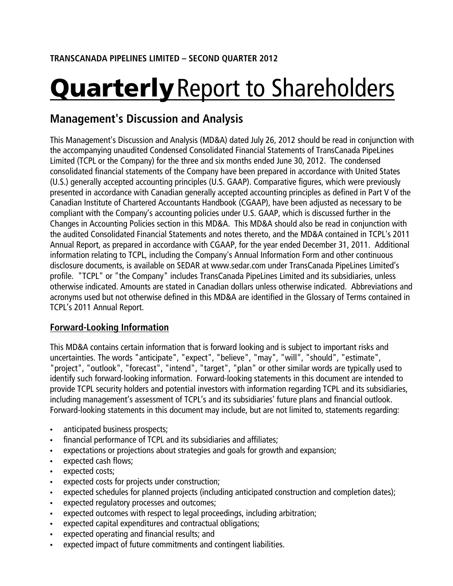# Quarterly Report to Shareholders

# **Management's Discussion and Analysis**

This Management's Discussion and Analysis (MD&A) dated July 26, 2012 should be read in conjunction with the accompanying unaudited Condensed Consolidated Financial Statements of TransCanada PipeLines Limited (TCPL or the Company) for the three and six months ended June 30, 2012. The condensed consolidated financial statements of the Company have been prepared in accordance with United States (U.S.) generally accepted accounting principles (U.S. GAAP). Comparative figures, which were previously presented in accordance with Canadian generally accepted accounting principles as defined in Part V of the Canadian Institute of Chartered Accountants Handbook (CGAAP), have been adjusted as necessary to be compliant with the Company's accounting policies under U.S. GAAP, which is discussed further in the Changes in Accounting Policies section in this MD&A. This MD&A should also be read in conjunction with the audited Consolidated Financial Statements and notes thereto, and the MD&A contained in TCPL's 2011 Annual Report, as prepared in accordance with CGAAP, for the year ended December 31, 2011. Additional information relating to TCPL, including the Company's Annual Information Form and other continuous disclosure documents, is available on SEDAR at www.sedar.com under TransCanada PipeLines Limited's profile. "TCPL" or "the Company" includes TransCanada PipeLines Limited and its subsidiaries, unless otherwise indicated. Amounts are stated in Canadian dollars unless otherwise indicated. Abbreviations and acronyms used but not otherwise defined in this MD&A are identified in the Glossary of Terms contained in TCPL's 2011 Annual Report.

# **Forward-Looking Information**

This MD&A contains certain information that is forward looking and is subject to important risks and uncertainties. The words "anticipate", "expect", "believe", "may", "will", "should", "estimate", "project", "outlook", "forecast", "intend", "target", "plan" or other similar words are typically used to identify such forward-looking information. Forward-looking statements in this document are intended to provide TCPL security holders and potential investors with information regarding TCPL and its subsidiaries, including management's assessment of TCPL's and its subsidiaries' future plans and financial outlook. Forward-looking statements in this document may include, but are not limited to, statements regarding:

- anticipated business prospects;
- financial performance of TCPL and its subsidiaries and affiliates;
- expectations or projections about strategies and goals for growth and expansion;
- expected cash flows;
- expected costs;
- expected costs for projects under construction;
- expected schedules for planned projects (including anticipated construction and completion dates);
- expected regulatory processes and outcomes;
- expected outcomes with respect to legal proceedings, including arbitration;
- expected capital expenditures and contractual obligations;
- expected operating and financial results; and
- expected impact of future commitments and contingent liabilities.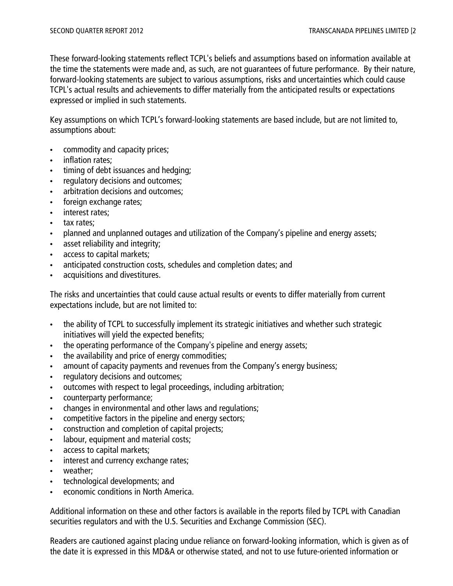These forward-looking statements reflect TCPL's beliefs and assumptions based on information available at the time the statements were made and, as such, are not guarantees of future performance. By their nature, forward-looking statements are subject to various assumptions, risks and uncertainties which could cause TCPL's actual results and achievements to differ materially from the anticipated results or expectations expressed or implied in such statements.

Key assumptions on which TCPL's forward-looking statements are based include, but are not limited to, assumptions about:

- commodity and capacity prices;
- inflation rates:
- timing of debt issuances and hedging;
- regulatory decisions and outcomes;
- arbitration decisions and outcomes;
- foreign exchange rates;
- interest rates;
- tax rates;
- planned and unplanned outages and utilization of the Company's pipeline and energy assets;
- asset reliability and integrity;
- access to capital markets;
- anticipated construction costs, schedules and completion dates; and
- acquisitions and divestitures.

The risks and uncertainties that could cause actual results or events to differ materially from current expectations include, but are not limited to:

- the ability of TCPL to successfully implement its strategic initiatives and whether such strategic initiatives will yield the expected benefits;
- the operating performance of the Company's pipeline and energy assets;
- the availability and price of energy commodities;
- amount of capacity payments and revenues from the Company's energy business;
- regulatory decisions and outcomes;
- outcomes with respect to legal proceedings, including arbitration;
- counterparty performance;
- changes in environmental and other laws and regulations;
- competitive factors in the pipeline and energy sectors;
- construction and completion of capital projects;
- labour, equipment and material costs;
- access to capital markets;
- interest and currency exchange rates;
- weather;
- technological developments; and
- economic conditions in North America.

Additional information on these and other factors is available in the reports filed by TCPL with Canadian securities regulators and with the U.S. Securities and Exchange Commission (SEC).

Readers are cautioned against placing undue reliance on forward-looking information, which is given as of the date it is expressed in this MD&A or otherwise stated, and not to use future-oriented information or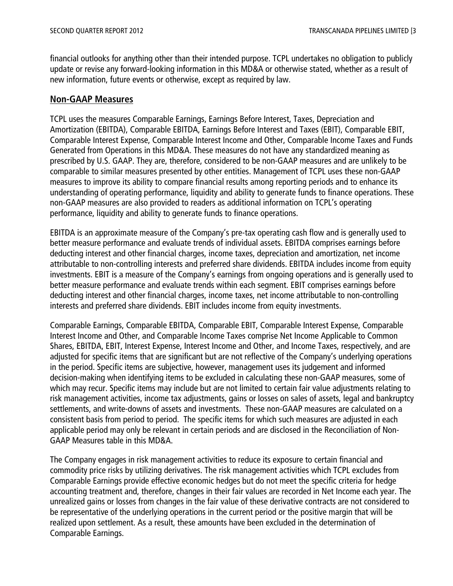financial outlooks for anything other than their intended purpose. TCPL undertakes no obligation to publicly update or revise any forward-looking information in this MD&A or otherwise stated, whether as a result of new information, future events or otherwise, except as required by law.

#### **Non-GAAP Measures**

TCPL uses the measures Comparable Earnings, Earnings Before Interest, Taxes, Depreciation and Amortization (EBITDA), Comparable EBITDA, Earnings Before Interest and Taxes (EBIT), Comparable EBIT, Comparable Interest Expense, Comparable Interest Income and Other, Comparable Income Taxes and Funds Generated from Operations in this MD&A. These measures do not have any standardized meaning as prescribed by U.S. GAAP. They are, therefore, considered to be non-GAAP measures and are unlikely to be comparable to similar measures presented by other entities. Management of TCPL uses these non-GAAP measures to improve its ability to compare financial results among reporting periods and to enhance its understanding of operating performance, liquidity and ability to generate funds to finance operations. These non-GAAP measures are also provided to readers as additional information on TCPL's operating performance, liquidity and ability to generate funds to finance operations.

EBITDA is an approximate measure of the Company's pre-tax operating cash flow and is generally used to better measure performance and evaluate trends of individual assets. EBITDA comprises earnings before deducting interest and other financial charges, income taxes, depreciation and amortization, net income attributable to non-controlling interests and preferred share dividends. EBITDA includes income from equity investments. EBIT is a measure of the Company's earnings from ongoing operations and is generally used to better measure performance and evaluate trends within each segment. EBIT comprises earnings before deducting interest and other financial charges, income taxes, net income attributable to non-controlling interests and preferred share dividends. EBIT includes income from equity investments.

Comparable Earnings, Comparable EBITDA, Comparable EBIT, Comparable Interest Expense, Comparable Interest Income and Other, and Comparable Income Taxes comprise Net Income Applicable to Common Shares, EBITDA, EBIT, Interest Expense, Interest Income and Other, and Income Taxes, respectively, and are adjusted for specific items that are significant but are not reflective of the Company's underlying operations in the period. Specific items are subjective, however, management uses its judgement and informed decision-making when identifying items to be excluded in calculating these non-GAAP measures, some of which may recur. Specific items may include but are not limited to certain fair value adjustments relating to risk management activities, income tax adjustments, gains or losses on sales of assets, legal and bankruptcy settlements, and write-downs of assets and investments. These non-GAAP measures are calculated on a consistent basis from period to period. The specific items for which such measures are adjusted in each applicable period may only be relevant in certain periods and are disclosed in the Reconciliation of Non-GAAP Measures table in this MD&A.

The Company engages in risk management activities to reduce its exposure to certain financial and commodity price risks by utilizing derivatives. The risk management activities which TCPL excludes from Comparable Earnings provide effective economic hedges but do not meet the specific criteria for hedge accounting treatment and, therefore, changes in their fair values are recorded in Net Income each year. The unrealized gains or losses from changes in the fair value of these derivative contracts are not considered to be representative of the underlying operations in the current period or the positive margin that will be realized upon settlement. As a result, these amounts have been excluded in the determination of Comparable Earnings.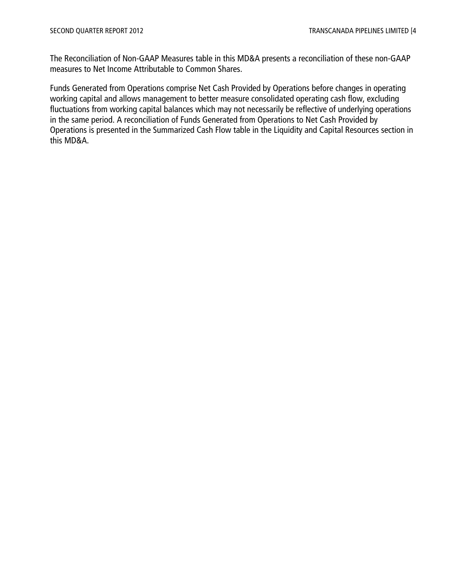The Reconciliation of Non-GAAP Measures table in this MD&A presents a reconciliation of these non-GAAP measures to Net Income Attributable to Common Shares.

Funds Generated from Operations comprise Net Cash Provided by Operations before changes in operating working capital and allows management to better measure consolidated operating cash flow, excluding fluctuations from working capital balances which may not necessarily be reflective of underlying operations in the same period. A reconciliation of Funds Generated from Operations to Net Cash Provided by Operations is presented in the Summarized Cash Flow table in the Liquidity and Capital Resources section in this MD&A.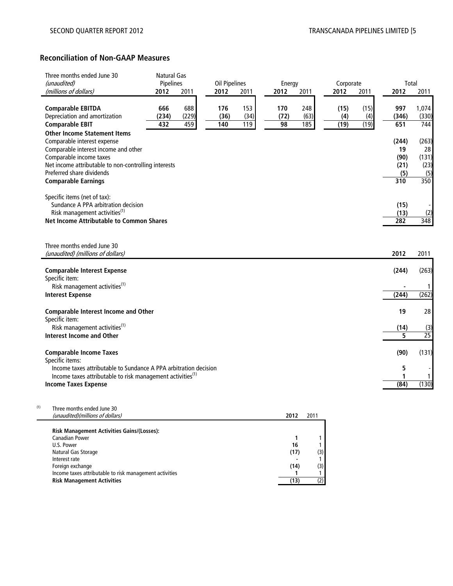#### **Reconciliation of Non-GAAP Measures**

| Three months ended June 30                                             | Natural Gas      |       |                      |      |        |      |           |      |       |       |
|------------------------------------------------------------------------|------------------|-------|----------------------|------|--------|------|-----------|------|-------|-------|
| (unaudited)                                                            | <b>Pipelines</b> |       | <b>Oil Pipelines</b> |      | Energy |      | Corporate |      | Total |       |
| (millions of dollars)                                                  | 2012             | 2011  | 2012                 | 2011 | 2012   | 2011 | 2012      | 2011 | 2012  | 2011  |
| <b>Comparable EBITDA</b>                                               | 666              | 688   | 176                  | 153  | 170    | 248  | (15)      | (15) | 997   | 1,074 |
| Depreciation and amortization                                          | (234)            | (229) | (36)                 | (34) | (72)   | (63) | (4)       | (4)  | (346) | (330) |
| <b>Comparable EBIT</b>                                                 | 432              | 459   | 140                  | 119  | 98     | 185  | (19)      | (19) | 651   | 744   |
| <b>Other Income Statement Items</b>                                    |                  |       |                      |      |        |      |           |      |       |       |
| Comparable interest expense                                            |                  |       |                      |      |        |      |           |      | (244) | (263) |
| Comparable interest income and other                                   |                  |       |                      |      |        |      |           |      | 19    | 28    |
| Comparable income taxes                                                |                  |       |                      |      |        |      |           |      | (90)  | (131) |
| Net income attributable to non-controlling interests                   |                  |       |                      |      |        |      |           |      | (21)  | (23)  |
| Preferred share dividends                                              |                  |       |                      |      |        |      |           |      | (5)   | (5)   |
| <b>Comparable Earnings</b>                                             |                  |       |                      |      |        |      |           |      | 310   | 350   |
|                                                                        |                  |       |                      |      |        |      |           |      |       |       |
| Specific items (net of tax):<br>Sundance A PPA arbitration decision    |                  |       |                      |      |        |      |           |      | (15)  |       |
| Risk management activities <sup>(1)</sup>                              |                  |       |                      |      |        |      |           |      | (13)  | (2)   |
| <b>Net Income Attributable to Common Shares</b>                        |                  |       |                      |      |        |      |           |      | 282   | 348   |
|                                                                        |                  |       |                      |      |        |      |           |      |       |       |
|                                                                        |                  |       |                      |      |        |      |           |      |       |       |
| Three months ended June 30                                             |                  |       |                      |      |        |      |           |      |       |       |
| (unaudited) (millions of dollars)                                      |                  |       |                      |      |        |      |           |      | 2012  | 2011  |
| <b>Comparable Interest Expense</b>                                     |                  |       |                      |      |        |      |           |      | (244) | (263) |
| Specific item:                                                         |                  |       |                      |      |        |      |           |      |       |       |
| Risk management activities <sup>(1)</sup>                              |                  |       |                      |      |        |      |           |      |       | 1     |
| <b>Interest Expense</b>                                                |                  |       |                      |      |        |      |           |      | (244) | (262) |
|                                                                        |                  |       |                      |      |        |      |           |      |       |       |
| <b>Comparable Interest Income and Other</b>                            |                  |       |                      |      |        |      |           |      | 19    | 28    |
| Specific item:                                                         |                  |       |                      |      |        |      |           |      |       |       |
| Risk management activities <sup>(1)</sup>                              |                  |       |                      |      |        |      |           |      | (14)  | (3)   |
| Interest Income and Other                                              |                  |       |                      |      |        |      |           |      | 5     | 25    |
| <b>Comparable Income Taxes</b>                                         |                  |       |                      |      |        |      |           |      | (90)  | (131) |
| Specific items:                                                        |                  |       |                      |      |        |      |           |      |       |       |
| Income taxes attributable to Sundance A PPA arbitration decision       |                  |       |                      |      |        |      |           |      | 5     |       |
| Income taxes attributable to risk management activities <sup>(1)</sup> |                  |       |                      |      |        |      |           |      | 1     | 1     |
| <b>Income Taxes Expense</b>                                            |                  |       |                      |      |        |      |           |      | (84)  | (130) |
|                                                                        |                  |       |                      |      |        |      |           |      |       |       |
|                                                                        |                  |       |                      |      |        |      |           |      |       |       |

| 2012 | 2011 |
|------|------|
|      |      |
|      |      |
| 16   |      |
| (17) | (3)  |
|      |      |
| (14) | (3)  |
|      |      |
| (13) | (2)  |
|      |      |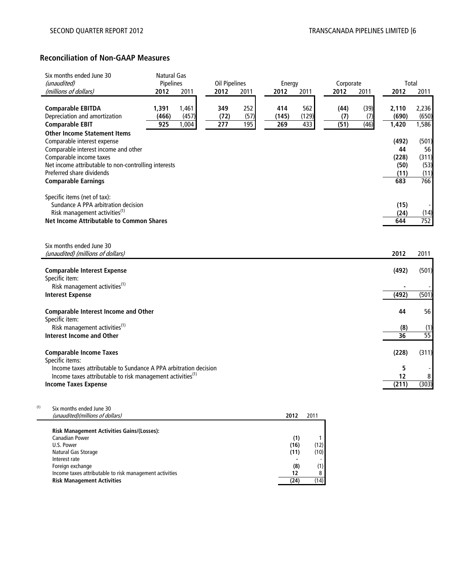#### **Reconciliation of Non-GAAP Measures**

| Six months ended June 30<br>(unaudited)                                                                                                                                                       | Natural Gas<br><b>Pipelines</b> |                         | <b>Oil Pipelines</b> |                    | Energy              |                     | Corporate           |                     | Total                        |                              |
|-----------------------------------------------------------------------------------------------------------------------------------------------------------------------------------------------|---------------------------------|-------------------------|----------------------|--------------------|---------------------|---------------------|---------------------|---------------------|------------------------------|------------------------------|
| (millions of dollars)                                                                                                                                                                         | 2012                            | 2011                    | 2012                 | 2011               | 2012                | 2011                | 2012                | 2011                | 2012                         | 2011                         |
| <b>Comparable EBITDA</b><br>Depreciation and amortization<br><b>Comparable EBIT</b>                                                                                                           | 1,391<br>(466)<br>925           | 1,461<br>(457)<br>1,004 | 349<br>(72)<br>277   | 252<br>(57)<br>195 | 414<br>(145)<br>269 | 562<br>(129)<br>433 | (44)<br>(7)<br>(51) | (39)<br>(7)<br>(46) | 2,110<br>(690)<br>1,420      | 2,236<br>(650)<br>1,586      |
| <b>Other Income Statement Items</b><br>Comparable interest expense<br>Comparable interest income and other<br>Comparable income taxes<br>Net income attributable to non-controlling interests |                                 |                         |                      |                    |                     |                     |                     |                     | (492)<br>44<br>(228)<br>(50) | (501)<br>56<br>(311)<br>(53) |
| Preferred share dividends                                                                                                                                                                     |                                 |                         |                      |                    |                     |                     |                     |                     | (11)                         | (11)                         |
| <b>Comparable Earnings</b>                                                                                                                                                                    |                                 |                         |                      |                    |                     |                     |                     |                     | 683                          | 766                          |
| Specific items (net of tax):<br>Sundance A PPA arbitration decision<br>Risk management activities <sup>(1)</sup>                                                                              |                                 |                         |                      |                    |                     |                     |                     |                     | (15)<br>(24)                 | (14)                         |
| <b>Net Income Attributable to Common Shares</b>                                                                                                                                               |                                 |                         |                      |                    |                     |                     |                     |                     | 644                          | 752                          |
|                                                                                                                                                                                               |                                 |                         |                      |                    |                     |                     |                     |                     |                              |                              |
| Six months ended June 30<br>(unaudited) (millions of dollars)                                                                                                                                 |                                 |                         |                      |                    |                     |                     |                     |                     | 2012                         | 2011                         |
| <b>Comparable Interest Expense</b><br>Specific item:                                                                                                                                          |                                 |                         |                      |                    |                     |                     |                     |                     | (492)                        | (501)                        |
| Risk management activities <sup>(1)</sup><br><b>Interest Expense</b>                                                                                                                          |                                 |                         |                      |                    |                     |                     |                     |                     | (492)                        | (501)                        |
| <b>Comparable Interest Income and Other</b><br>Specific item:                                                                                                                                 |                                 |                         |                      |                    |                     |                     |                     |                     | 44                           | 56                           |
| Risk management activities <sup>(1)</sup>                                                                                                                                                     |                                 |                         |                      |                    |                     |                     |                     |                     | (8)                          | (1)                          |
| Interest Income and Other                                                                                                                                                                     |                                 |                         |                      |                    |                     |                     |                     |                     | 36                           | $\overline{55}$              |
| <b>Comparable Income Taxes</b><br>Specific items:                                                                                                                                             |                                 |                         |                      |                    |                     |                     |                     |                     | (228)                        | (311)                        |
| Income taxes attributable to Sundance A PPA arbitration decision                                                                                                                              |                                 |                         |                      |                    |                     |                     |                     |                     | 5                            |                              |
| Income taxes attributable to risk management activities <sup>(1)</sup><br><b>Income Taxes Expense</b>                                                                                         |                                 |                         |                      |                    |                     |                     |                     |                     | 12<br>(211)                  | 8<br>(303)                   |
|                                                                                                                                                                                               |                                 |                         |                      |                    |                     |                     |                     |                     |                              |                              |
| (1)<br>Six months ended June 30                                                                                                                                                               |                                 |                         |                      |                    |                     |                     |                     |                     |                              |                              |

| (unaudited)(millions of dollars)                        | 2012 | 2011 |
|---------------------------------------------------------|------|------|
|                                                         |      |      |
| <b>Risk Management Activities Gains/(Losses):</b>       |      |      |
| Canadian Power                                          | (1)  |      |
| U.S. Power                                              | (16) | (12) |
| Natural Gas Storage                                     | (11) | (10) |
| Interest rate                                           |      |      |
| Foreign exchange                                        | (8)  | (1)  |
| Income taxes attributable to risk management activities | 12   | 8    |
| <b>Risk Management Activities</b>                       | (24) | (14) |
|                                                         |      |      |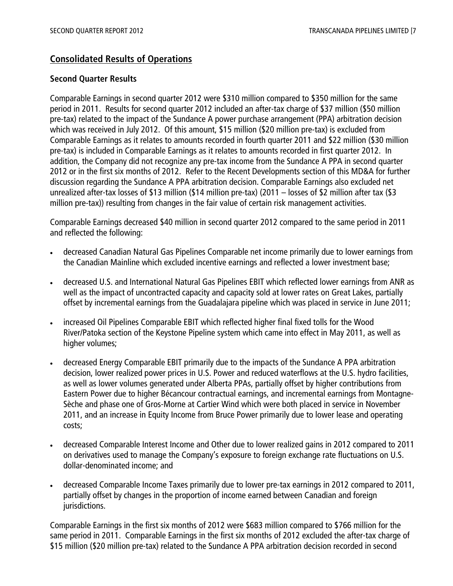# **Consolidated Results of Operations**

#### **Second Quarter Results**

Comparable Earnings in second quarter 2012 were \$310 million compared to \$350 million for the same period in 2011. Results for second quarter 2012 included an after-tax charge of \$37 million (\$50 million pre-tax) related to the impact of the Sundance A power purchase arrangement (PPA) arbitration decision which was received in July 2012. Of this amount, \$15 million (\$20 million pre-tax) is excluded from Comparable Earnings as it relates to amounts recorded in fourth quarter 2011 and \$22 million (\$30 million pre-tax) is included in Comparable Earnings as it relates to amounts recorded in first quarter 2012. In addition, the Company did not recognize any pre-tax income from the Sundance A PPA in second quarter 2012 or in the first six months of 2012. Refer to the Recent Developments section of this MD&A for further discussion regarding the Sundance A PPA arbitration decision. Comparable Earnings also excluded net unrealized after-tax losses of \$13 million (\$14 million pre-tax) (2011 – losses of \$2 million after tax (\$3 million pre-tax)) resulting from changes in the fair value of certain risk management activities.

Comparable Earnings decreased \$40 million in second quarter 2012 compared to the same period in 2011 and reflected the following:

- decreased Canadian Natural Gas Pipelines Comparable net income primarily due to lower earnings from the Canadian Mainline which excluded incentive earnings and reflected a lower investment base;
- decreased U.S. and International Natural Gas Pipelines EBIT which reflected lower earnings from ANR as well as the impact of uncontracted capacity and capacity sold at lower rates on Great Lakes, partially offset by incremental earnings from the Guadalajara pipeline which was placed in service in June 2011;
- increased Oil Pipelines Comparable EBIT which reflected higher final fixed tolls for the Wood River/Patoka section of the Keystone Pipeline system which came into effect in May 2011, as well as higher volumes;
- decreased Energy Comparable EBIT primarily due to the impacts of the Sundance A PPA arbitration decision, lower realized power prices in U.S. Power and reduced waterflows at the U.S. hydro facilities, as well as lower volumes generated under Alberta PPAs, partially offset by higher contributions from Eastern Power due to higher Bécancour contractual earnings, and incremental earnings from Montagne-Sèche and phase one of Gros-Morne at Cartier Wind which were both placed in service in November 2011, and an increase in Equity Income from Bruce Power primarily due to lower lease and operating costs;
- decreased Comparable Interest Income and Other due to lower realized gains in 2012 compared to 2011 on derivatives used to manage the Company's exposure to foreign exchange rate fluctuations on U.S. dollar-denominated income; and
- decreased Comparable Income Taxes primarily due to lower pre-tax earnings in 2012 compared to 2011, partially offset by changes in the proportion of income earned between Canadian and foreign jurisdictions.

Comparable Earnings in the first six months of 2012 were \$683 million compared to \$766 million for the same period in 2011. Comparable Earnings in the first six months of 2012 excluded the after-tax charge of \$15 million (\$20 million pre-tax) related to the Sundance A PPA arbitration decision recorded in second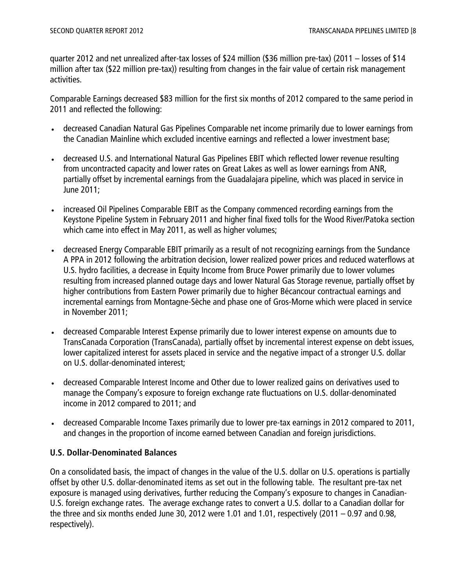quarter 2012 and net unrealized after-tax losses of \$24 million (\$36 million pre-tax) (2011 – losses of \$14 million after tax (\$22 million pre-tax)) resulting from changes in the fair value of certain risk management activities.

Comparable Earnings decreased \$83 million for the first six months of 2012 compared to the same period in 2011 and reflected the following:

- decreased Canadian Natural Gas Pipelines Comparable net income primarily due to lower earnings from the Canadian Mainline which excluded incentive earnings and reflected a lower investment base;
- decreased U.S. and International Natural Gas Pipelines EBIT which reflected lower revenue resulting from uncontracted capacity and lower rates on Great Lakes as well as lower earnings from ANR, partially offset by incremental earnings from the Guadalajara pipeline, which was placed in service in June 2011;
- increased Oil Pipelines Comparable EBIT as the Company commenced recording earnings from the Keystone Pipeline System in February 2011 and higher final fixed tolls for the Wood River/Patoka section which came into effect in May 2011, as well as higher volumes;
- decreased Energy Comparable EBIT primarily as a result of not recognizing earnings from the Sundance A PPA in 2012 following the arbitration decision, lower realized power prices and reduced waterflows at U.S. hydro facilities, a decrease in Equity Income from Bruce Power primarily due to lower volumes resulting from increased planned outage days and lower Natural Gas Storage revenue, partially offset by higher contributions from Eastern Power primarily due to higher Bécancour contractual earnings and incremental earnings from Montagne-Sèche and phase one of Gros-Morne which were placed in service in November 2011;
- decreased Comparable Interest Expense primarily due to lower interest expense on amounts due to TransCanada Corporation (TransCanada), partially offset by incremental interest expense on debt issues, lower capitalized interest for assets placed in service and the negative impact of a stronger U.S. dollar on U.S. dollar-denominated interest;
- decreased Comparable Interest Income and Other due to lower realized gains on derivatives used to manage the Company's exposure to foreign exchange rate fluctuations on U.S. dollar-denominated income in 2012 compared to 2011; and
- decreased Comparable Income Taxes primarily due to lower pre-tax earnings in 2012 compared to 2011, and changes in the proportion of income earned between Canadian and foreign jurisdictions.

# **U.S. Dollar-Denominated Balances**

On a consolidated basis, the impact of changes in the value of the U.S. dollar on U.S. operations is partially offset by other U.S. dollar-denominated items as set out in the following table. The resultant pre-tax net exposure is managed using derivatives, further reducing the Company's exposure to changes in Canadian-U.S. foreign exchange rates. The average exchange rates to convert a U.S. dollar to a Canadian dollar for the three and six months ended June 30, 2012 were 1.01 and 1.01, respectively (2011 – 0.97 and 0.98, respectively).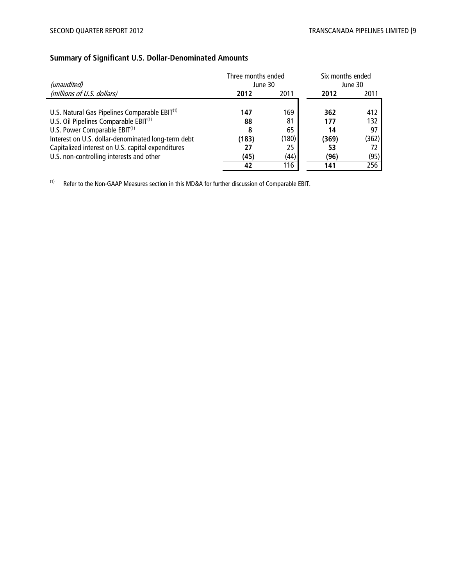# **Summary of Significant U.S. Dollar-Denominated Amounts**

|                                                           | Three months ended |       | Six months ended |         |  |
|-----------------------------------------------------------|--------------------|-------|------------------|---------|--|
| (unaudited)                                               | June 30            |       |                  | June 30 |  |
| (millions of U.S. dollars)                                | 2012               | 2011  | 2012             | 2011    |  |
|                                                           |                    |       |                  |         |  |
| U.S. Natural Gas Pipelines Comparable EBIT <sup>(1)</sup> | 147                | 169   | 362              | 412     |  |
| U.S. Oil Pipelines Comparable EBIT <sup>(1)</sup>         | 88                 | 81    | 177              | 132     |  |
| U.S. Power Comparable EBIT <sup>(1)</sup>                 | 8                  | 65    | 14               | 97      |  |
| Interest on U.S. dollar-denominated long-term debt        | (183)              | (180) | (369)            | (362)   |  |
| Capitalized interest on U.S. capital expenditures         |                    | 25    | 53               | 72      |  |
| U.S. non-controlling interests and other                  | (45)               | (44)  | (96)             | (95)    |  |
|                                                           | 42                 | 116   | 141              | 256     |  |

(1) Refer to the Non-GAAP Measures section in this MD&A for further discussion of Comparable EBIT.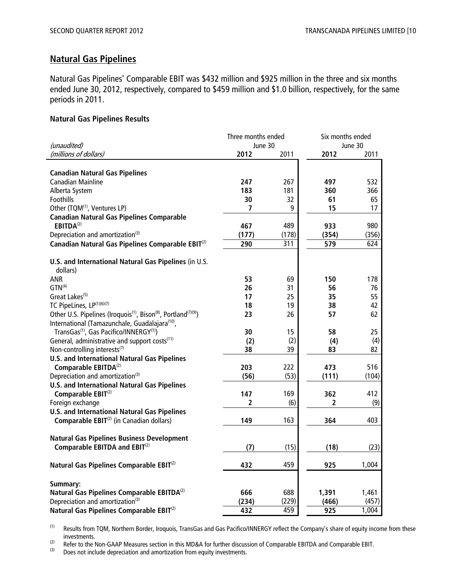# **Natural Gas Pipelines**

Natural Gas Pipelines' Comparable EBIT was \$432 million and \$925 million in the three and six months ended June 30, 2012, respectively, compared to \$459 million and \$1.0 billion, respectively, for the same periods in 2011.

#### **Natural Gas Pipelines Results**

|                                                                                                             | Three months ended |       | Six months ended |         |  |
|-------------------------------------------------------------------------------------------------------------|--------------------|-------|------------------|---------|--|
| (unaudited)                                                                                                 | June 30            |       |                  | June 30 |  |
| (millions of dollars)                                                                                       | 2012               | 2011  | 2012             | 2011    |  |
|                                                                                                             |                    |       |                  |         |  |
| <b>Canadian Natural Gas Pipelines</b>                                                                       |                    |       |                  |         |  |
| <b>Canadian Mainline</b>                                                                                    | 247                | 267   | 497              | 532     |  |
| Alberta System                                                                                              | 183                | 181   | 360              | 366     |  |
| Foothills                                                                                                   | 30                 | 32    | 61               | 65      |  |
| Other (TQM <sup>(1)</sup> , Ventures LP)                                                                    | 7                  | 9     | 15               | 17      |  |
| <b>Canadian Natural Gas Pipelines Comparable</b>                                                            |                    |       |                  |         |  |
| EBITDA <sup>(2)</sup>                                                                                       | 467                | 489   | 933              | 980     |  |
| Depreciation and amortization <sup>(3)</sup>                                                                | (177)              | (178) | (354)            | (356)   |  |
| Canadian Natural Gas Pipelines Comparable EBIT <sup>(2)</sup>                                               | 290                | 311   | 579              | 624     |  |
| U.S. and International Natural Gas Pipelines (in U.S.<br>dollars)                                           |                    |       |                  |         |  |
| ANR                                                                                                         | 53                 | 69    | 150              | 178     |  |
| $GTN^{(4)}$                                                                                                 | 26                 | 31    | 56               | 76      |  |
| Great Lakes <sup>(5)</sup>                                                                                  | 17                 | 25    | 35               | 55      |  |
| TC PipeLines, LP(1)(6)(7)                                                                                   | 18                 | 19    | 38               | 42      |  |
| Other U.S. Pipelines (Iroquois <sup>(1)</sup> , Bison <sup>(8)</sup> , Portland <sup>(7)(9)</sup> )         | 23                 | 26    | 57               | 62      |  |
| International (Tamazunchale, Guadalajara <sup>(10)</sup> ,                                                  |                    |       |                  |         |  |
| TransGas <sup>(1)</sup> , Gas Pacifico/INNERGY <sup>(1)</sup> )                                             | 30                 | 15    | 58               | 25      |  |
| General, administrative and support costs <sup>(11)</sup>                                                   | (2)                | (2)   | (4)              | (4)     |  |
| Non-controlling interests <sup>(7)</sup>                                                                    | 38                 | 39    | 83               | 82      |  |
| <b>U.S. and International Natural Gas Pipelines</b>                                                         |                    |       |                  |         |  |
| Comparable EBITDA <sup>(2)</sup>                                                                            | 203                | 222   | 473              | 516     |  |
| Depreciation and amortization <sup>(3)</sup>                                                                | (56)               | (53)  | (111)            | (104)   |  |
| <b>U.S. and International Natural Gas Pipelines</b>                                                         |                    |       |                  |         |  |
| Comparable EBIT <sup>(2)</sup>                                                                              | 147                | 169   | 362              | 412     |  |
| Foreign exchange                                                                                            | 2                  | (6)   | $\overline{2}$   | (9)     |  |
| <b>U.S. and International Natural Gas Pipelines</b><br>Comparable EBIT <sup>(2)</sup> (in Canadian dollars) | 149                | 163   | 364              | 403     |  |
|                                                                                                             |                    |       |                  |         |  |
| <b>Natural Gas Pipelines Business Development</b>                                                           |                    |       |                  |         |  |
| Comparable EBITDA and EBIT <sup>(2)</sup>                                                                   | (7)                | (15)  | (18)             | (23)    |  |
| Natural Gas Pipelines Comparable EBIT <sup>(2)</sup>                                                        | 432                | 459   | 925              | 1,004   |  |
| <b>Summary:</b>                                                                                             |                    |       |                  |         |  |
| Natural Gas Pipelines Comparable EBITDA <sup>(2)</sup>                                                      | 666                | 688   | 1,391            | 1,461   |  |
| Depreciation and amortization <sup>(3)</sup>                                                                | (234)              | (229) | (466)            | (457)   |  |
| Natural Gas Pipelines Comparable EBIT <sup>(2)</sup>                                                        | 432                | 459   | 925              | 1,004   |  |
|                                                                                                             |                    |       |                  |         |  |

(1) Results from TQM, Northern Border, Iroquois, TransGas and Gas Pacifico/INNERGY reflect the Company's share of equity income from these investments.

(2) Refer to the Non-GAAP Measures section in this MD&A for further discussion of Comparable EBITDA and Comparable EBIT.<br>(3) Does not include depreciation and amortization from equity investments

Does not include depreciation and amortization from equity investments.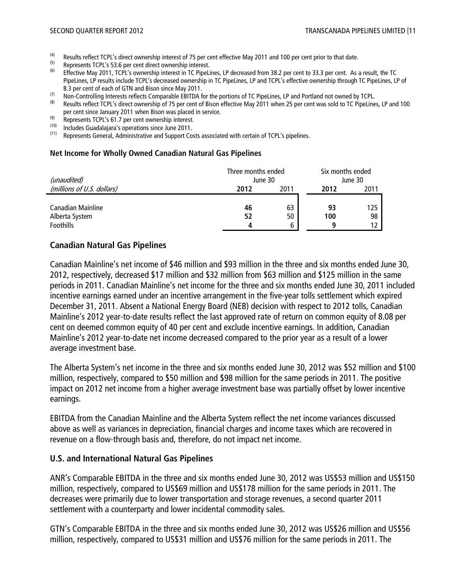- (4) Results reflect TCPL's direct ownership interest of 75 per cent effective May 2011 and 100 per cent prior to that date.
- (5) Represents TCPL's 53.6 per cent direct ownership interest.
- Effective May 2011, TCPL's ownership interest in TC PipeLines, LP decreased from 38.2 per cent to 33.3 per cent. As a result, the TC PipeLines, LP results include TCPL's decreased ownership in TC PipeLines, LP and TCPL's effective ownership through TC PipeLines, LP of 8.3 per cent of each of GTN and Bison since May 2011.
- (7) Non-Controlling Interests reflects Comparable EBITDA for the portions of TC PipeLines, LP and Portland not owned by TCPL.
- Results reflect TCPL's direct ownership of 75 per cent of Bison effective May 2011 when 25 per cent was sold to TC PipeLines, LP and 100 per cent since January 2011 when Bison was placed in service.
- $\frac{1}{100}$  Represents TCPL's 61.7 per cent ownership interest.
- $\frac{(10)}{(11)}$  Includes Guadalajara's operations since June 2011.
- Represents General, Administrative and Support Costs associated with certain of TCPL's pipelines.

#### **Net Income for Wholly Owned Canadian Natural Gas Pipelines**

| (unaudited)                | Three months ended<br>June 30 |      | Six months ended<br>June 30 |      |  |
|----------------------------|-------------------------------|------|-----------------------------|------|--|
| (millions of U.S. dollars) | 2012                          | 2011 | 2012                        | 2011 |  |
|                            |                               |      |                             |      |  |
| Canadian Mainline          | 46                            | 63   | 93                          | 125  |  |
| Alberta System             | 52                            | 50   | 100                         | 98   |  |
| <b>Foothills</b>           |                               | 6    | a                           |      |  |

#### **Canadian Natural Gas Pipelines**

Canadian Mainline's net income of \$46 million and \$93 million in the three and six months ended June 30, 2012, respectively, decreased \$17 million and \$32 million from \$63 million and \$125 million in the same periods in 2011. Canadian Mainline's net income for the three and six months ended June 30, 2011 included incentive earnings earned under an incentive arrangement in the five-year tolls settlement which expired December 31, 2011. Absent a National Energy Board (NEB) decision with respect to 2012 tolls, Canadian Mainline's 2012 year-to-date results reflect the last approved rate of return on common equity of 8.08 per cent on deemed common equity of 40 per cent and exclude incentive earnings. In addition, Canadian Mainline's 2012 year-to-date net income decreased compared to the prior year as a result of a lower average investment base.

The Alberta System's net income in the three and six months ended June 30, 2012 was \$52 million and \$100 million, respectively, compared to \$50 million and \$98 million for the same periods in 2011. The positive impact on 2012 net income from a higher average investment base was partially offset by lower incentive earnings.

EBITDA from the Canadian Mainline and the Alberta System reflect the net income variances discussed above as well as variances in depreciation, financial charges and income taxes which are recovered in revenue on a flow-through basis and, therefore, do not impact net income.

#### **U.S. and International Natural Gas Pipelines**

ANR's Comparable EBITDA in the three and six months ended June 30, 2012 was US\$53 million and US\$150 million, respectively, compared to US\$69 million and US\$178 million for the same periods in 2011. The decreases were primarily due to lower transportation and storage revenues, a second quarter 2011 settlement with a counterparty and lower incidental commodity sales.

GTN's Comparable EBITDA in the three and six months ended June 30, 2012 was US\$26 million and US\$56 million, respectively, compared to US\$31 million and US\$76 million for the same periods in 2011. The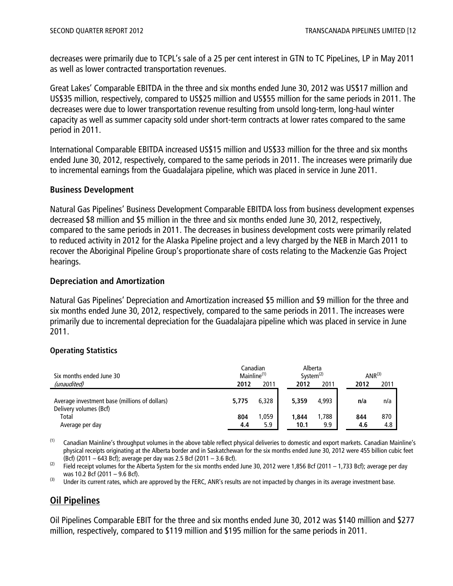decreases were primarily due to TCPL's sale of a 25 per cent interest in GTN to TC PipeLines, LP in May 2011 as well as lower contracted transportation revenues.

Great Lakes' Comparable EBITDA in the three and six months ended June 30, 2012 was US\$17 million and US\$35 million, respectively, compared to US\$25 million and US\$55 million for the same periods in 2011. The decreases were due to lower transportation revenue resulting from unsold long-term, long-haul winter capacity as well as summer capacity sold under short-term contracts at lower rates compared to the same period in 2011.

International Comparable EBITDA increased US\$15 million and US\$33 million for the three and six months ended June 30, 2012, respectively, compared to the same periods in 2011. The increases were primarily due to incremental earnings from the Guadalajara pipeline, which was placed in service in June 2011.

#### **Business Development**

Natural Gas Pipelines' Business Development Comparable EBITDA loss from business development expenses decreased \$8 million and \$5 million in the three and six months ended June 30, 2012, respectively, compared to the same periods in 2011. The decreases in business development costs were primarily related to reduced activity in 2012 for the Alaska Pipeline project and a levy charged by the NEB in March 2011 to recover the Aboriginal Pipeline Group's proportionate share of costs relating to the Mackenzie Gas Project hearings.

#### **Depreciation and Amortization**

Natural Gas Pipelines' Depreciation and Amortization increased \$5 million and \$9 million for the three and six months ended June 30, 2012, respectively, compared to the same periods in 2011. The increases were primarily due to incremental depreciation for the Guadalajara pipeline which was placed in service in June 2011.

#### **Operating Statistics**

| Six months ended June 30                                                |       | Canadian<br>Mainline <sup>(1)</sup> |       |              |      | Alberta<br>System $(2)$ |  | $ANR^{(3)}$ |
|-------------------------------------------------------------------------|-------|-------------------------------------|-------|--------------|------|-------------------------|--|-------------|
| (unaudited)                                                             | 2012  | 2011                                | 2012  | 2011         | 2012 | 2011                    |  |             |
| Average investment base (millions of dollars)<br>Delivery volumes (Bcf) | 5.775 | 6,328                               | 5.359 | 4.993        | n/a  | n/a                     |  |             |
| Total                                                                   | 804   | 1,059<br>5.9                        | 1.844 | 1.788<br>9.9 | 844  | 870                     |  |             |
| Average per day                                                         | 4.4   |                                     | 10.1  |              | 4.6  | 4.8                     |  |             |

<sup>(1)</sup> Canadian Mainline's throughput volumes in the above table reflect physical deliveries to domestic and export markets. Canadian Mainline's physical receipts originating at the Alberta border and in Saskatchewan for the six months ended June 30, 2012 were 455 billion cubic feet (Bcf) (2011 – 643 Bcf); average per day was 2.5 Bcf (2011 – 3.6 Bcf).

(2) Field receipt volumes for the Alberta System for the six months ended June 30, 2012 were 1,856 Bcf (2011 – 1,733 Bcf); average per day was 10.2 Bcf (2011 – 9.6 Bcf).

 $^{(3)}$  Under its current rates, which are approved by the FERC, ANR's results are not impacted by changes in its average investment base.

# **Oil Pipelines**

Oil Pipelines Comparable EBIT for the three and six months ended June 30, 2012 was \$140 million and \$277 million, respectively, compared to \$119 million and \$195 million for the same periods in 2011.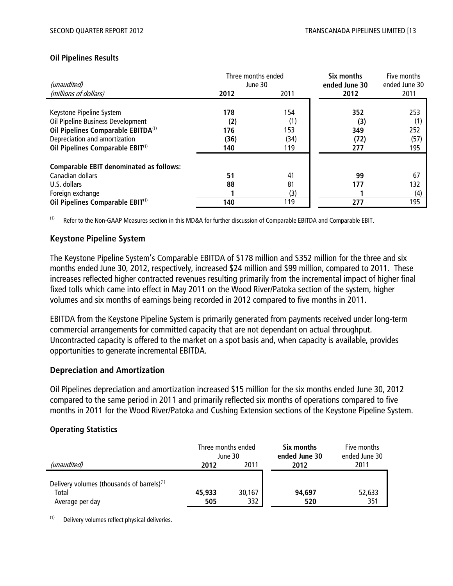#### **Oil Pipelines Results**

| (unaudited)                                    | Three months ended<br>June 30 |      |                       | Five months<br>ended June 30 |
|------------------------------------------------|-------------------------------|------|-----------------------|------------------------------|
| (millions of dollars)                          | 2012                          | 2011 | ended June 30<br>2012 | 2011                         |
|                                                |                               |      |                       |                              |
| Keystone Pipeline System                       | 178                           | 154  | 352                   | 253                          |
| Oil Pipeline Business Development              | (2)                           | (1)  | (3)                   | (1)                          |
| Oil Pipelines Comparable EBITDA <sup>(1)</sup> | 176                           | 153  | 349                   | 252                          |
| Depreciation and amortization                  | (36)                          | (34) | (72)                  | (57)                         |
| Oil Pipelines Comparable EBIT <sup>(1)</sup>   | 140                           | 119  | 277                   | 195                          |
| <b>Comparable EBIT denominated as follows:</b> |                               |      |                       |                              |
| Canadian dollars                               | 51                            | 41   | 99                    | 67                           |
| U.S. dollars                                   | 88                            | 81   | 177                   | 132                          |
| Foreign exchange                               |                               | (3)  |                       | (4)                          |
| Oil Pipelines Comparable EBIT <sup>(1)</sup>   | 140                           | 119  | 277                   | 195                          |

(1) Refer to the Non-GAAP Measures section in this MD&A for further discussion of Comparable EBITDA and Comparable EBIT.

# **Keystone Pipeline System**

The Keystone Pipeline System's Comparable EBITDA of \$178 million and \$352 million for the three and six months ended June 30, 2012, respectively, increased \$24 million and \$99 million, compared to 2011. These increases reflected higher contracted revenues resulting primarily from the incremental impact of higher final fixed tolls which came into effect in May 2011 on the Wood River/Patoka section of the system, higher volumes and six months of earnings being recorded in 2012 compared to five months in 2011.

EBITDA from the Keystone Pipeline System is primarily generated from payments received under long-term commercial arrangements for committed capacity that are not dependant on actual throughput. Uncontracted capacity is offered to the market on a spot basis and, when capacity is available, provides opportunities to generate incremental EBITDA.

#### **Depreciation and Amortization**

Oil Pipelines depreciation and amortization increased \$15 million for the six months ended June 30, 2012 compared to the same period in 2011 and primarily reflected six months of operations compared to five months in 2011 for the Wood River/Patoka and Cushing Extension sections of the Keystone Pipeline System.

#### **Operating Statistics**

|                                                                                    | Three months ended<br>June 30 |               | Six months<br>ended June 30 | Five months<br>ended June 30 |      |      |
|------------------------------------------------------------------------------------|-------------------------------|---------------|-----------------------------|------------------------------|------|------|
| (unaudited)                                                                        | 2011<br>2012                  |               |                             |                              | 2012 | 2011 |
| Delivery volumes (thousands of barrels) <sup>(1)</sup><br>Total<br>Average per day | 45,933<br>505                 | 30,167<br>332 | 94,697<br>520               | 52,633<br>351                |      |      |

(1) Delivery volumes reflect physical deliveries.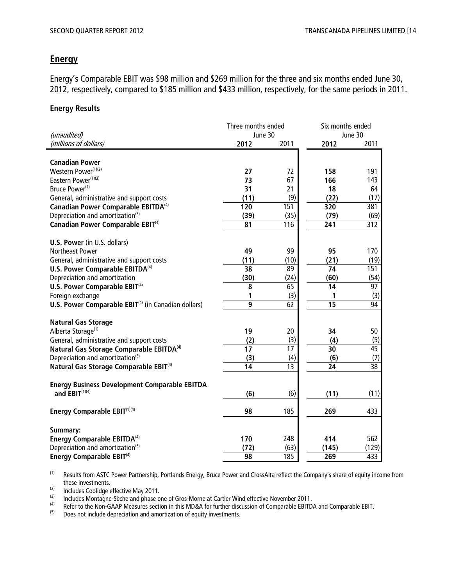# **Energy**

Energy's Comparable EBIT was \$98 million and \$269 million for the three and six months ended June 30, 2012, respectively, compared to \$185 million and \$433 million, respectively, for the same periods in 2011.

#### **Energy Results**

|                                                                             | Three months ended |            | Six months ended |                 |  |
|-----------------------------------------------------------------------------|--------------------|------------|------------------|-----------------|--|
| (unaudited)                                                                 | June 30            |            |                  | June 30         |  |
| (millions of dollars)                                                       | 2012               | 2011       | 2012             | 2011            |  |
| <b>Canadian Power</b>                                                       |                    |            |                  |                 |  |
| Western Power <sup>(1)(2)</sup>                                             | 27                 | 72         | 158              | 191             |  |
| Eastern Power <sup>(1)(3)</sup>                                             | 73                 | 67         | 166              | 143             |  |
| Bruce Power <sup>(1)</sup>                                                  | 31                 | 21         | 18               | 64              |  |
|                                                                             | (11)               |            | (22)             | (17)            |  |
| General, administrative and support costs                                   | 120                | (9)<br>151 | 320              | 381             |  |
| Canadian Power Comparable EBITDA <sup>(4)</sup>                             |                    |            |                  |                 |  |
| Depreciation and amortization <sup>(5)</sup>                                | (39)               | (35)       | (79)             | (69)            |  |
| Canadian Power Comparable EBIT <sup>(4)</sup>                               | 81                 | 116        | 241              | 312             |  |
| U.S. Power (in U.S. dollars)                                                |                    |            |                  |                 |  |
| <b>Northeast Power</b>                                                      | 49                 | 99         | 95               | 170             |  |
| General, administrative and support costs                                   | (11)               | (10)       | (21)             | (19)            |  |
| U.S. Power Comparable EBITDA <sup>(4)</sup>                                 | 38                 | 89         | 74               | 151             |  |
| Depreciation and amortization                                               | (30)               | (24)       | (60)             | (54)            |  |
| U.S. Power Comparable EBIT <sup>(4)</sup>                                   | 8                  | 65         | 14               | 97              |  |
| Foreign exchange                                                            | 1                  | (3)        | 1                | (3)             |  |
| U.S. Power Comparable EBIT <sup>(4)</sup> (in Canadian dollars)             | $\overline{9}$     | 62         | 15               | 94              |  |
|                                                                             |                    |            |                  |                 |  |
| <b>Natural Gas Storage</b>                                                  |                    |            |                  |                 |  |
| Alberta Storage <sup>(1)</sup>                                              | 19                 | 20         | 34               | 50              |  |
| General, administrative and support costs                                   | (2)                | (3)        | (4)              | (5)             |  |
| Natural Gas Storage Comparable EBITDA <sup>(4)</sup>                        | 17                 | 17         | 30               | 45              |  |
| Depreciation and amortization <sup>(5)</sup>                                | (3)                | (4)        | (6)              | (7)             |  |
| Natural Gas Storage Comparable EBIT <sup>(4)</sup>                          | 14                 | 13         | 24               | $\overline{38}$ |  |
|                                                                             |                    |            |                  |                 |  |
| <b>Energy Business Development Comparable EBITDA</b><br>and $EBIT^{(1)(4)}$ | (6)                | (6)        | (11)             | (11)            |  |
|                                                                             |                    |            |                  |                 |  |
| Energy Comparable EBIT <sup>(1)(4)</sup>                                    | 98                 | 185        | 269              | 433             |  |
| Summary:                                                                    |                    |            |                  |                 |  |
| Energy Comparable EBITDA <sup>(4)</sup>                                     | 170                | 248        | 414              | 562             |  |
| Depreciation and amortization <sup>(5)</sup>                                | (72)               | (63)       | (145)            | (129)           |  |
| Energy Comparable EBIT <sup>(4)</sup>                                       | 98                 | 185        | 269              | 433             |  |

(1) Results from ASTC Power Partnership, Portlands Energy, Bruce Power and CrossAlta reflect the Company's share of equity income from these investments.

 $\frac{1}{2}$  Includes Coolidge effective May 2011.

(3) Includes Montagne-Sèche and phase one of Gros-Morne at Cartier Wind effective November 2011.<br>(4) Befer to the Non-GAAP Measures section in this MD&A for further discussion of Comparable EBITD

(4) Refer to the Non-GAAP Measures section in this MD&A for further discussion of Comparable EBITDA and Comparable EBIT.<br>(5) Does not include depreciation and amortization of equity investments.

Does not include depreciation and amortization of equity investments.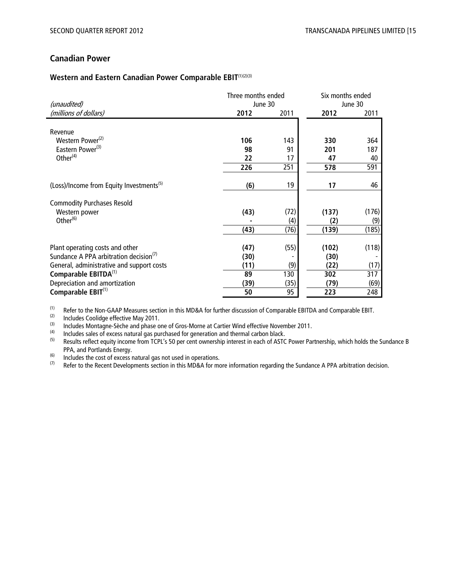# **Canadian Power**

# **Western and Eastern Canadian Power Comparable EBIT**(1)(2)(3)

| (unaudited)                                          | Three months ended<br>June 30 | Six months ended<br>June 30 |       |       |
|------------------------------------------------------|-------------------------------|-----------------------------|-------|-------|
| (millions of dollars)                                | 2012                          | 2011                        | 2012  | 2011  |
| Revenue                                              |                               |                             |       |       |
| Western Power <sup>(2)</sup>                         | 106                           | 143                         | 330   | 364   |
| Eastern Power <sup>(3)</sup>                         | 98                            | 91                          | 201   | 187   |
| Other <sup>(4)</sup>                                 | 22                            | 17                          | 47    | 40    |
|                                                      | 226                           | 251                         | 578   | 591   |
| (Loss)/Income from Equity Investments <sup>(5)</sup> | (6)                           | 19                          | 17    | 46    |
| <b>Commodity Purchases Resold</b>                    |                               |                             |       |       |
| Western power                                        | (43)                          | (72)                        | (137) | (176) |
| Other <sup>(6)</sup>                                 |                               | (4)                         | (2)   | (9)   |
|                                                      | (43)                          | (76)                        | (139) | (185) |
| Plant operating costs and other                      | (47)                          | (55)                        | (102) | (118) |
| Sundance A PPA arbitration decision <sup>(7)</sup>   | (30)                          |                             | (30)  |       |
| General, administrative and support costs            | (11)                          | (9)                         | (22)  | (17)  |
| Comparable EBITDA <sup>(1)</sup>                     | 89                            | 130                         | 302   | 317   |
| Depreciation and amortization                        | (39)                          | (35)                        | (79)  | (69)  |
| Comparable EBIT <sup>(1)</sup>                       | 50                            | 95                          | 223   | 248   |

(1) Refer to the Non-GAAP Measures section in this MD&A for further discussion of Comparable EBITDA and Comparable EBIT.<br>(2) Includes Coolidge effective May 2011

 $\frac{2}{3}$  Includes Coolidge effective May 2011.

 $\frac{(3)}{(4)}$  Includes Montagne-Sèche and phase one of Gros-Morne at Cartier Wind effective November 2011.

(4) Includes sales of excess natural gas purchased for generation and thermal carbon black.<br>(5) Becults reflect equity income from TCPL's 50 per cent ownership interest in each of ASTC

Results reflect equity income from TCPL's 50 per cent ownership interest in each of ASTC Power Partnership, which holds the Sundance B PPA, and Portlands Energy.

(6)  $\frac{1}{10}$  Includes the cost of excess natural gas not used in operations.<br>(7) Refer to the Recent Developments section in this MD&A for mo

Refer to the Recent Developments section in this MD&A for more information regarding the Sundance A PPA arbitration decision.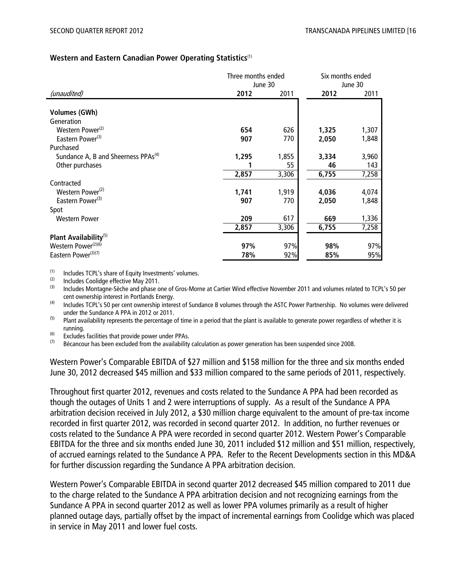#### **Western and Eastern Canadian Power Operating Statistics**(1)

|                                                 | Three months ended |       | Six months ended |       |  |
|-------------------------------------------------|--------------------|-------|------------------|-------|--|
|                                                 | June 30            |       | June 30          |       |  |
| (unaudited)                                     | 2012               | 2011  | 2012             | 2011  |  |
|                                                 |                    |       |                  |       |  |
| <b>Volumes (GWh)</b>                            |                    |       |                  |       |  |
| Generation                                      |                    |       |                  |       |  |
| Western Power <sup>(2)</sup>                    | 654                | 626   | 1,325            | 1,307 |  |
| Eastern Power <sup>(3)</sup>                    | 907                | 770   | 2,050            | 1,848 |  |
| Purchased                                       |                    |       |                  |       |  |
| Sundance A, B and Sheerness PPAs <sup>(4)</sup> | 1,295              | 1,855 | 3,334            | 3,960 |  |
| Other purchases                                 |                    | 55    | 46               | 143   |  |
|                                                 | 2,857              | 3,306 | 6,755            | 7,258 |  |
| Contracted                                      |                    |       |                  |       |  |
| Western Power <sup>(2)</sup>                    | 1,741              | 1,919 | 4,036            | 4,074 |  |
| Eastern Power <sup>(3)</sup>                    | 907                | 770   | 2,050            | 1,848 |  |
| Spot                                            |                    |       |                  |       |  |
| <b>Western Power</b>                            | 209                | 617   | 669              | 1,336 |  |
|                                                 | 2,857              | 3,306 | 6,755            | 7,258 |  |
| Plant Availability <sup>(5)</sup>               |                    |       |                  |       |  |
| Western Power <sup>(2)(6)</sup>                 | 97%                | 97%   | 98%              | 97%   |  |
| Eastern Power(3)(7)                             | 78%                | 92%   | 85%              | 95%   |  |

(1) Includes TCPL's share of Equity Investments' volumes.<br>(2) Includes Coolidge effective May 2011.

 $\binom{2}{3}$  Includes Coolidge effective May 2011.

Includes Montagne-Sèche and phase one of Gros-Morne at Cartier Wind effective November 2011 and volumes related to TCPL's 50 per cent ownership interest in Portlands Energy.

(4) Includes TCPL's 50 per cent ownership interest of Sundance B volumes through the ASTC Power Partnership. No volumes were delivered under the Sundance A PPA in 2012 or 2011.

<sup>(5)</sup> Plant availability represents the percentage of time in a period that the plant is available to generate power regardless of whether it is running.

 $\frac{6}{7}$  Excludes facilities that provide power under PPAs.<br> $\frac{7}{7}$  Bécauseur has been excluded from the availability

Bécancour has been excluded from the availability calculation as power generation has been suspended since 2008.

Western Power's Comparable EBITDA of \$27 million and \$158 million for the three and six months ended June 30, 2012 decreased \$45 million and \$33 million compared to the same periods of 2011, respectively.

Throughout first quarter 2012, revenues and costs related to the Sundance A PPA had been recorded as though the outages of Units 1 and 2 were interruptions of supply. As a result of the Sundance A PPA arbitration decision received in July 2012, a \$30 million charge equivalent to the amount of pre-tax income recorded in first quarter 2012, was recorded in second quarter 2012. In addition, no further revenues or costs related to the Sundance A PPA were recorded in second quarter 2012. Western Power's Comparable EBITDA for the three and six months ended June 30, 2011 included \$12 million and \$51 million, respectively, of accrued earnings related to the Sundance A PPA. Refer to the Recent Developments section in this MD&A for further discussion regarding the Sundance A PPA arbitration decision.

Western Power's Comparable EBITDA in second quarter 2012 decreased \$45 million compared to 2011 due to the charge related to the Sundance A PPA arbitration decision and not recognizing earnings from the Sundance A PPA in second quarter 2012 as well as lower PPA volumes primarily as a result of higher planned outage days, partially offset by the impact of incremental earnings from Coolidge which was placed in service in May 2011 and lower fuel costs.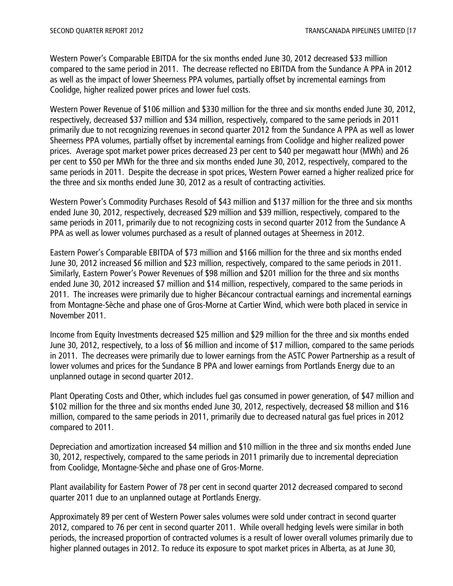Western Power's Comparable EBITDA for the six months ended June 30, 2012 decreased \$33 million compared to the same period in 2011. The decrease reflected no EBITDA from the Sundance A PPA in 2012 as well as the impact of lower Sheerness PPA volumes, partially offset by incremental earnings from Coolidge, higher realized power prices and lower fuel costs.

Western Power Revenue of \$106 million and \$330 million for the three and six months ended June 30, 2012, respectively, decreased \$37 million and \$34 million, respectively, compared to the same periods in 2011 primarily due to not recognizing revenues in second quarter 2012 from the Sundance A PPA as well as lower Sheerness PPA volumes, partially offset by incremental earnings from Coolidge and higher realized power prices. Average spot market power prices decreased 23 per cent to \$40 per megawatt hour (MWh) and 26 per cent to \$50 per MWh for the three and six months ended June 30, 2012, respectively, compared to the same periods in 2011. Despite the decrease in spot prices, Western Power earned a higher realized price for the three and six months ended June 30, 2012 as a result of contracting activities.

Western Power's Commodity Purchases Resold of \$43 million and \$137 million for the three and six months ended June 30, 2012, respectively, decreased \$29 million and \$39 million, respectively, compared to the same periods in 2011, primarily due to not recognizing costs in second quarter 2012 from the Sundance A PPA as well as lower volumes purchased as a result of planned outages at Sheerness in 2012.

Eastern Power's Comparable EBITDA of \$73 million and \$166 million for the three and six months ended June 30, 2012 increased \$6 million and \$23 million, respectively, compared to the same periods in 2011. Similarly, Eastern Power's Power Revenues of \$98 million and \$201 million for the three and six months ended June 30, 2012 increased \$7 million and \$14 million, respectively, compared to the same periods in 2011. The increases were primarily due to higher Bécancour contractual earnings and incremental earnings from Montagne-Sèche and phase one of Gros-Morne at Cartier Wind, which were both placed in service in November 2011.

Income from Equity Investments decreased \$25 million and \$29 million for the three and six months ended June 30, 2012, respectively, to a loss of \$6 million and income of \$17 million, compared to the same periods in 2011. The decreases were primarily due to lower earnings from the ASTC Power Partnership as a result of lower volumes and prices for the Sundance B PPA and lower earnings from Portlands Energy due to an unplanned outage in second quarter 2012.

Plant Operating Costs and Other, which includes fuel gas consumed in power generation, of \$47 million and \$102 million for the three and six months ended June 30, 2012, respectively, decreased \$8 million and \$16 million, compared to the same periods in 2011, primarily due to decreased natural gas fuel prices in 2012 compared to 2011.

Depreciation and amortization increased \$4 million and \$10 million in the three and six months ended June 30, 2012, respectively, compared to the same periods in 2011 primarily due to incremental depreciation from Coolidge, Montagne-Sèche and phase one of Gros-Morne.

Plant availability for Eastern Power of 78 per cent in second quarter 2012 decreased compared to second quarter 2011 due to an unplanned outage at Portlands Energy.

Approximately 89 per cent of Western Power sales volumes were sold under contract in second quarter 2012, compared to 76 per cent in second quarter 2011. While overall hedging levels were similar in both periods, the increased proportion of contracted volumes is a result of lower overall volumes primarily due to higher planned outages in 2012. To reduce its exposure to spot market prices in Alberta, as at June 30,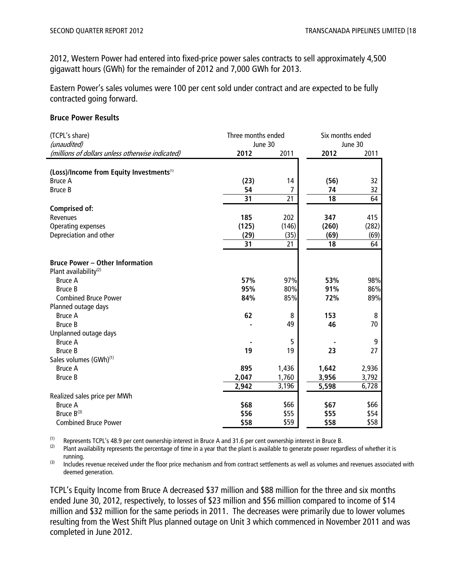2012, Western Power had entered into fixed-price power sales contracts to sell approximately 4,500 gigawatt hours (GWh) for the remainder of 2012 and 7,000 GWh for 2013.

Eastern Power's sales volumes were 100 per cent sold under contract and are expected to be fully contracted going forward.

#### **Bruce Power Results**

| (TCPL's share)                                       | Three months ended |       | Six months ended |       |  |
|------------------------------------------------------|--------------------|-------|------------------|-------|--|
| (unaudited)                                          | June 30            |       | June 30          |       |  |
| (millions of dollars unless otherwise indicated)     | 2012               | 2011  | 2012             | 2011  |  |
|                                                      |                    |       |                  |       |  |
| (Loss)/Income from Equity Investments <sup>(1)</sup> |                    |       |                  |       |  |
| <b>Bruce A</b>                                       | (23)               | 14    | (56)             | 32    |  |
| <b>Bruce B</b>                                       | 54                 | 7     | 74               | 32    |  |
|                                                      | 31                 | 21    | 18               | 64    |  |
| <b>Comprised of:</b>                                 |                    |       |                  |       |  |
| Revenues                                             | 185                | 202   | 347              | 415   |  |
| Operating expenses                                   | (125)              | (146) | (260)            | (282) |  |
| Depreciation and other                               | (29)               | (35)  | (69)             | (69)  |  |
|                                                      | 31                 | 21    | 18               | 64    |  |
|                                                      |                    |       |                  |       |  |
| <b>Bruce Power - Other Information</b>               |                    |       |                  |       |  |
| Plant availability <sup>(2)</sup>                    |                    |       |                  |       |  |
| <b>Bruce A</b>                                       | 57%                | 97%   | 53%              | 98%   |  |
| <b>Bruce B</b>                                       | 95%                | 80%   | 91%              | 86%   |  |
| <b>Combined Bruce Power</b>                          | 84%                | 85%   | 72%              | 89%   |  |
| Planned outage days                                  |                    |       |                  |       |  |
| <b>Bruce A</b>                                       | 62                 | 8     | 153              | 8     |  |
| <b>Bruce B</b>                                       |                    | 49    | 46               | 70    |  |
| Unplanned outage days                                |                    |       |                  |       |  |
| <b>Bruce A</b>                                       |                    | 5     |                  | 9     |  |
| <b>Bruce B</b>                                       | 19                 | 19    | 23               | 27    |  |
| Sales volumes (GWh) <sup>(1)</sup>                   |                    |       |                  |       |  |
| <b>Bruce A</b>                                       | 895                | 1,436 | 1,642            | 2,936 |  |
| <b>Bruce B</b>                                       | 2,047              | 1,760 | 3,956            | 3,792 |  |
|                                                      | 2,942              | 3,196 | 5,598            | 6,728 |  |
| Realized sales price per MWh                         |                    |       |                  |       |  |
| <b>Bruce A</b>                                       | \$68               | \$66  | \$67             | \$66  |  |
| Bruce $B^{(3)}$                                      | \$56               | \$55  | \$55             | \$54  |  |
| <b>Combined Bruce Power</b>                          | \$58               | \$59  | \$58             | \$58  |  |

(1) Represents TCPL's 48.9 per cent ownership interest in Bruce A and 31.6 per cent ownership interest in Bruce B.

Plant availability represents the percentage of time in a year that the plant is available to generate power regardless of whether it is running.

<sup>(3)</sup> Includes revenue received under the floor price mechanism and from contract settlements as well as volumes and revenues associated with deemed generation.

TCPL's Equity Income from Bruce A decreased \$37 million and \$88 million for the three and six months ended June 30, 2012, respectively, to losses of \$23 million and \$56 million compared to income of \$14 million and \$32 million for the same periods in 2011. The decreases were primarily due to lower volumes resulting from the West Shift Plus planned outage on Unit 3 which commenced in November 2011 and was completed in June 2012.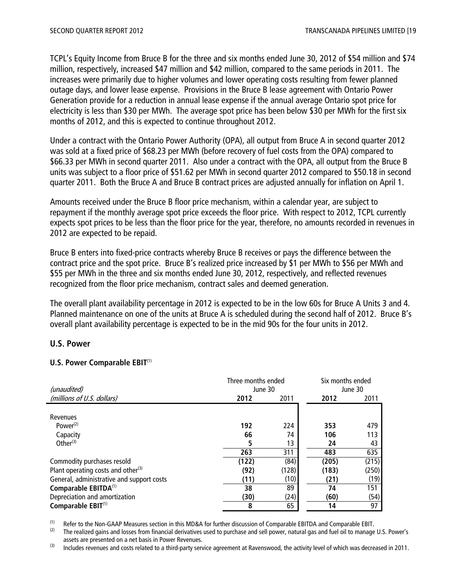TCPL's Equity Income from Bruce B for the three and six months ended June 30, 2012 of \$54 million and \$74 million, respectively, increased \$47 million and \$42 million, compared to the same periods in 2011. The increases were primarily due to higher volumes and lower operating costs resulting from fewer planned outage days, and lower lease expense. Provisions in the Bruce B lease agreement with Ontario Power Generation provide for a reduction in annual lease expense if the annual average Ontario spot price for electricity is less than \$30 per MWh. The average spot price has been below \$30 per MWh for the first six months of 2012, and this is expected to continue throughout 2012.

Under a contract with the Ontario Power Authority (OPA), all output from Bruce A in second quarter 2012 was sold at a fixed price of \$68.23 per MWh (before recovery of fuel costs from the OPA) compared to \$66.33 per MWh in second quarter 2011. Also under a contract with the OPA, all output from the Bruce B units was subject to a floor price of \$51.62 per MWh in second quarter 2012 compared to \$50.18 in second quarter 2011. Both the Bruce A and Bruce B contract prices are adjusted annually for inflation on April 1.

Amounts received under the Bruce B floor price mechanism, within a calendar year, are subject to repayment if the monthly average spot price exceeds the floor price. With respect to 2012, TCPL currently expects spot prices to be less than the floor price for the year, therefore, no amounts recorded in revenues in 2012 are expected to be repaid.

Bruce B enters into fixed-price contracts whereby Bruce B receives or pays the difference between the contract price and the spot price. Bruce B's realized price increased by \$1 per MWh to \$56 per MWh and \$55 per MWh in the three and six months ended June 30, 2012, respectively, and reflected revenues recognized from the floor price mechanism, contract sales and deemed generation.

The overall plant availability percentage in 2012 is expected to be in the low 60s for Bruce A Units 3 and 4. Planned maintenance on one of the units at Bruce A is scheduled during the second half of 2012. Bruce B's overall plant availability percentage is expected to be in the mid 90s for the four units in 2012.

#### **U.S. Power**

#### **U.S. Power Comparable EBIT(1)**

| (unaudited)                                    | Three months ended<br>June 30 |           | Six months ended<br>June 30 |            |
|------------------------------------------------|-------------------------------|-----------|-----------------------------|------------|
| (millions of U.S. dollars)                     | 2012                          | 2011      | 2012                        | 2011       |
| Revenues                                       |                               |           |                             |            |
| Power <sup>(2)</sup><br>Capacity               | 192<br>66                     | 224<br>74 | 353<br>106                  | 479<br>113 |
| Other $(3)$                                    | 5                             | 13        | 24                          | 43         |
|                                                | 263                           | 311       | 483                         | 635        |
| Commodity purchases resold                     | (122)                         | (84)      | (205)                       | (215)      |
| Plant operating costs and other <sup>(3)</sup> | (92)                          | (128)     | (183)                       | (250)      |
| General, administrative and support costs      | (11)                          | (10)      | (21)                        | (19)       |
| Comparable EBITDA <sup>(1)</sup>               | 38                            | 89        | 74                          | 151        |
| Depreciation and amortization                  | (30)                          | (24)      | (60)                        | (54)       |
| Comparable EBIT <sup>(1)</sup>                 | 8                             | 65        | 14                          | 97         |

(1) Refer to the Non-GAAP Measures section in this MD&A for further discussion of Comparable EBITDA and Comparable EBIT.<br>(2) The realized gains and losses from financial derivatives used to purchase and sell power, patura

(2) The realized gains and losses from financial derivatives used to purchase and sell power, natural gas and fuel oil to manage U.S. Power's assets are presented on a net basis in Power Revenues.

 $^{(3)}$  Includes revenues and costs related to a third-party service agreement at Ravenswood, the activity level of which was decreased in 2011.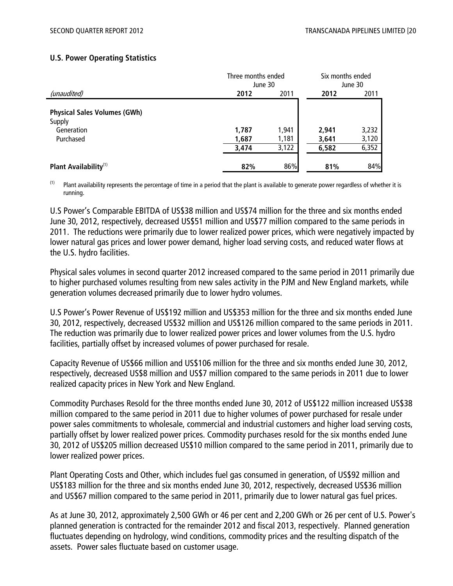#### **U.S. Power Operating Statistics**

|                                                                          | Three months ended<br>June 30 | Six months ended<br>June 30 |                         |                         |
|--------------------------------------------------------------------------|-------------------------------|-----------------------------|-------------------------|-------------------------|
| (unaudited)                                                              | 2012                          | 2011                        |                         | 2011                    |
| <b>Physical Sales Volumes (GWh)</b><br>Supply<br>Generation<br>Purchased | 1,787<br>1,687<br>3,474       | 1,941<br>1,181<br>3,122     | 2,941<br>3,641<br>6,582 | 3,232<br>3,120<br>6,352 |
| Plant Availability <sup>(1)</sup>                                        | 82%                           | 86%                         | 81%                     | 84%                     |

 $(1)$  Plant availability represents the percentage of time in a period that the plant is available to generate power regardless of whether it is running.

U.S Power's Comparable EBITDA of US\$38 million and US\$74 million for the three and six months ended June 30, 2012, respectively, decreased US\$51 million and US\$77 million compared to the same periods in 2011. The reductions were primarily due to lower realized power prices, which were negatively impacted by lower natural gas prices and lower power demand, higher load serving costs, and reduced water flows at the U.S. hydro facilities.

Physical sales volumes in second quarter 2012 increased compared to the same period in 2011 primarily due to higher purchased volumes resulting from new sales activity in the PJM and New England markets, while generation volumes decreased primarily due to lower hydro volumes.

U.S Power's Power Revenue of US\$192 million and US\$353 million for the three and six months ended June 30, 2012, respectively, decreased US\$32 million and US\$126 million compared to the same periods in 2011. The reduction was primarily due to lower realized power prices and lower volumes from the U.S. hydro facilities, partially offset by increased volumes of power purchased for resale.

Capacity Revenue of US\$66 million and US\$106 million for the three and six months ended June 30, 2012, respectively, decreased US\$8 million and US\$7 million compared to the same periods in 2011 due to lower realized capacity prices in New York and New England.

Commodity Purchases Resold for the three months ended June 30, 2012 of US\$122 million increased US\$38 million compared to the same period in 2011 due to higher volumes of power purchased for resale under power sales commitments to wholesale, commercial and industrial customers and higher load serving costs, partially offset by lower realized power prices. Commodity purchases resold for the six months ended June 30, 2012 of US\$205 million decreased US\$10 million compared to the same period in 2011, primarily due to lower realized power prices.

Plant Operating Costs and Other, which includes fuel gas consumed in generation, of US\$92 million and US\$183 million for the three and six months ended June 30, 2012, respectively, decreased US\$36 million and US\$67 million compared to the same period in 2011, primarily due to lower natural gas fuel prices.

As at June 30, 2012, approximately 2,500 GWh or 46 per cent and 2,200 GWh or 26 per cent of U.S. Power's planned generation is contracted for the remainder 2012 and fiscal 2013, respectively. Planned generation fluctuates depending on hydrology, wind conditions, commodity prices and the resulting dispatch of the assets. Power sales fluctuate based on customer usage.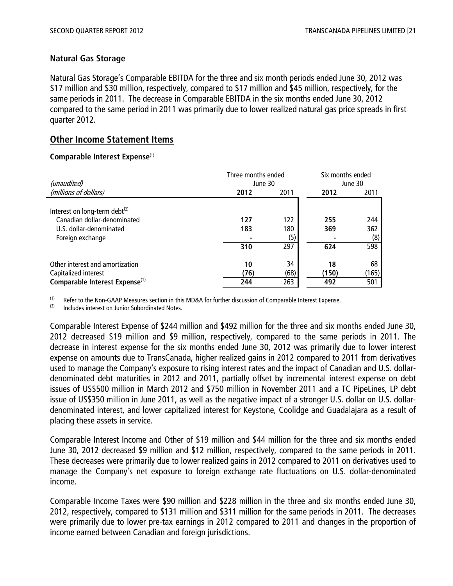#### **Natural Gas Storage**

Natural Gas Storage's Comparable EBITDA for the three and six month periods ended June 30, 2012 was \$17 million and \$30 million, respectively, compared to \$17 million and \$45 million, respectively, for the same periods in 2011. The decrease in Comparable EBITDA in the six months ended June 30, 2012 compared to the same period in 2011 was primarily due to lower realized natural gas price spreads in first quarter 2012.

#### **Other Income Statement Items**

#### **Comparable Interest Expense**(1)

|                                            | Three months ended |      | Six months ended |       |  |
|--------------------------------------------|--------------------|------|------------------|-------|--|
| (unaudited)                                | June 30            |      | June 30          |       |  |
| (millions of dollars)                      | 2012               | 2011 | 2012             | 2011  |  |
|                                            |                    |      |                  |       |  |
| Interest on long-term debt $(2)$           |                    |      |                  |       |  |
| Canadian dollar-denominated                | 127                | 122  | 255              | 244   |  |
| U.S. dollar-denominated                    | 183                | 180  | 369              | 362   |  |
| Foreign exchange                           |                    | (5)  |                  | (8)   |  |
|                                            | 310                | 297  | 624              | 598   |  |
| Other interest and amortization            | 10                 | 34   | 18               | 68    |  |
| Capitalized interest                       | (76)               | (68) | (150)            | (165) |  |
| Comparable Interest Expense <sup>(1)</sup> | 244                | 263  | 492              | 501   |  |

(1) Refer to the Non-GAAP Measures section in this MD&A for further discussion of Comparable Interest Expense.<br>(2) Includes interest on Junier Subordinated Nates

Includes interest on Junior Subordinated Notes.

Comparable Interest Expense of \$244 million and \$492 million for the three and six months ended June 30, 2012 decreased \$19 million and \$9 million, respectively, compared to the same periods in 2011. The decrease in interest expense for the six months ended June 30, 2012 was primarily due to lower interest expense on amounts due to TransCanada, higher realized gains in 2012 compared to 2011 from derivatives used to manage the Company's exposure to rising interest rates and the impact of Canadian and U.S. dollardenominated debt maturities in 2012 and 2011, partially offset by incremental interest expense on debt issues of US\$500 million in March 2012 and \$750 million in November 2011 and a TC PipeLines, LP debt issue of US\$350 million in June 2011, as well as the negative impact of a stronger U.S. dollar on U.S. dollardenominated interest, and lower capitalized interest for Keystone, Coolidge and Guadalajara as a result of placing these assets in service.

Comparable Interest Income and Other of \$19 million and \$44 million for the three and six months ended June 30, 2012 decreased \$9 million and \$12 million, respectively, compared to the same periods in 2011. These decreases were primarily due to lower realized gains in 2012 compared to 2011 on derivatives used to manage the Company's net exposure to foreign exchange rate fluctuations on U.S. dollar-denominated income.

Comparable Income Taxes were \$90 million and \$228 million in the three and six months ended June 30, 2012, respectively, compared to \$131 million and \$311 million for the same periods in 2011. The decreases were primarily due to lower pre-tax earnings in 2012 compared to 2011 and changes in the proportion of income earned between Canadian and foreign jurisdictions.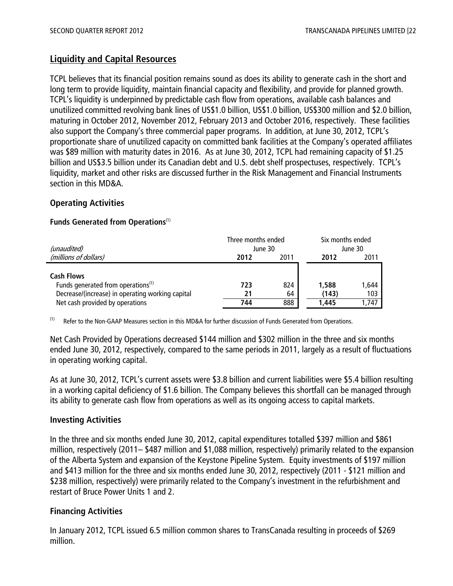# **Liquidity and Capital Resources**

TCPL believes that its financial position remains sound as does its ability to generate cash in the short and long term to provide liquidity, maintain financial capacity and flexibility, and provide for planned growth. TCPL's liquidity is underpinned by predictable cash flow from operations, available cash balances and unutilized committed revolving bank lines of US\$1.0 billion, US\$1.0 billion, US\$300 million and \$2.0 billion, maturing in October 2012, November 2012, February 2013 and October 2016, respectively. These facilities also support the Company's three commercial paper programs. In addition, at June 30, 2012, TCPL's proportionate share of unutilized capacity on committed bank facilities at the Company's operated affiliates was \$89 million with maturity dates in 2016. As at June 30, 2012, TCPL had remaining capacity of \$1.25 billion and US\$3.5 billion under its Canadian debt and U.S. debt shelf prospectuses, respectively. TCPL's liquidity, market and other risks are discussed further in the Risk Management and Financial Instruments section in this MD&A.

# **Operating Activities**

#### **Funds Generated from Operations**(1)

| (unaudited)                                                                                                                                                | Three months ended<br>June 30 |                  | Six months ended<br>June 30 |                       |
|------------------------------------------------------------------------------------------------------------------------------------------------------------|-------------------------------|------------------|-----------------------------|-----------------------|
| (millions of dollars)                                                                                                                                      | 2012                          | 2011             | 2012                        | 2011                  |
| <b>Cash Flows</b><br>Funds generated from operations <sup>(1)</sup><br>Decrease/(increase) in operating working capital<br>Net cash provided by operations | 723<br>21<br>744              | 824<br>64<br>888 | 1,588<br>(143)<br>1,445     | 1,644<br>103<br>1,747 |

<sup>(1)</sup> Refer to the Non-GAAP Measures section in this MD&A for further discussion of Funds Generated from Operations.

Net Cash Provided by Operations decreased \$144 million and \$302 million in the three and six months ended June 30, 2012, respectively, compared to the same periods in 2011, largely as a result of fluctuations in operating working capital.

As at June 30, 2012, TCPL's current assets were \$3.8 billion and current liabilities were \$5.4 billion resulting in a working capital deficiency of \$1.6 billion. The Company believes this shortfall can be managed through its ability to generate cash flow from operations as well as its ongoing access to capital markets.

#### **Investing Activities**

In the three and six months ended June 30, 2012, capital expenditures totalled \$397 million and \$861 million, respectively (2011– \$487 million and \$1,088 million, respectively) primarily related to the expansion of the Alberta System and expansion of the Keystone Pipeline System. Equity investments of \$197 million and \$413 million for the three and six months ended June 30, 2012, respectively (2011 - \$121 million and \$238 million, respectively) were primarily related to the Company's investment in the refurbishment and restart of Bruce Power Units 1 and 2.

# **Financing Activities**

In January 2012, TCPL issued 6.5 million common shares to TransCanada resulting in proceeds of \$269 million.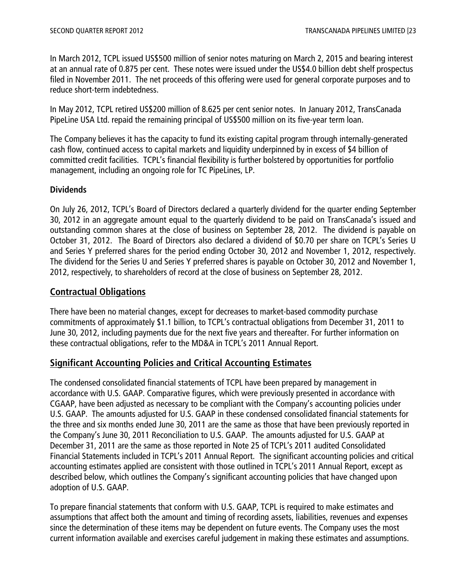In March 2012, TCPL issued US\$500 million of senior notes maturing on March 2, 2015 and bearing interest at an annual rate of 0.875 per cent. These notes were issued under the US\$4.0 billion debt shelf prospectus filed in November 2011. The net proceeds of this offering were used for general corporate purposes and to reduce short-term indebtedness.

In May 2012, TCPL retired US\$200 million of 8.625 per cent senior notes. In January 2012, TransCanada PipeLine USA Ltd. repaid the remaining principal of US\$500 million on its five-year term loan.

The Company believes it has the capacity to fund its existing capital program through internally-generated cash flow, continued access to capital markets and liquidity underpinned by in excess of \$4 billion of committed credit facilities. TCPL's financial flexibility is further bolstered by opportunities for portfolio management, including an ongoing role for TC PipeLines, LP.

# **Dividends**

On July 26, 2012, TCPL's Board of Directors declared a quarterly dividend for the quarter ending September 30, 2012 in an aggregate amount equal to the quarterly dividend to be paid on TransCanada's issued and outstanding common shares at the close of business on September 28, 2012. The dividend is payable on October 31, 2012. The Board of Directors also declared a dividend of \$0.70 per share on TCPL's Series U and Series Y preferred shares for the period ending October 30, 2012 and November 1, 2012, respectively. The dividend for the Series U and Series Y preferred shares is payable on October 30, 2012 and November 1, 2012, respectively, to shareholders of record at the close of business on September 28, 2012.

# **Contractual Obligations**

There have been no material changes, except for decreases to market-based commodity purchase commitments of approximately \$1.1 billion, to TCPL's contractual obligations from December 31, 2011 to June 30, 2012, including payments due for the next five years and thereafter. For further information on these contractual obligations, refer to the MD&A in TCPL's 2011 Annual Report.

# **Significant Accounting Policies and Critical Accounting Estimates**

The condensed consolidated financial statements of TCPL have been prepared by management in accordance with U.S. GAAP. Comparative figures, which were previously presented in accordance with CGAAP, have been adjusted as necessary to be compliant with the Company's accounting policies under U.S. GAAP. The amounts adjusted for U.S. GAAP in these condensed consolidated financial statements for the three and six months ended June 30, 2011 are the same as those that have been previously reported in the Company's June 30, 2011 Reconciliation to U.S. GAAP. The amounts adjusted for U.S. GAAP at December 31, 2011 are the same as those reported in Note 25 of TCPL's 2011 audited Consolidated Financial Statements included in TCPL's 2011 Annual Report. The significant accounting policies and critical accounting estimates applied are consistent with those outlined in TCPL's 2011 Annual Report, except as described below, which outlines the Company's significant accounting policies that have changed upon adoption of U.S. GAAP.

To prepare financial statements that conform with U.S. GAAP, TCPL is required to make estimates and assumptions that affect both the amount and timing of recording assets, liabilities, revenues and expenses since the determination of these items may be dependent on future events. The Company uses the most current information available and exercises careful judgement in making these estimates and assumptions.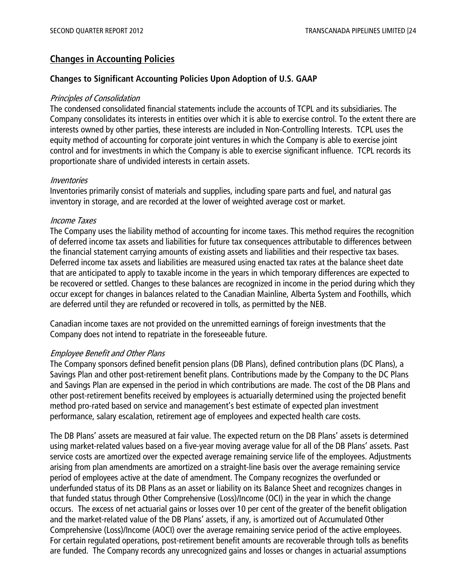# **Changes in Accounting Policies**

#### **Changes to Significant Accounting Policies Upon Adoption of U.S. GAAP**

#### Principles of Consolidation

The condensed consolidated financial statements include the accounts of TCPL and its subsidiaries. The Company consolidates its interests in entities over which it is able to exercise control. To the extent there are interests owned by other parties, these interests are included in Non-Controlling Interests. TCPL uses the equity method of accounting for corporate joint ventures in which the Company is able to exercise joint control and for investments in which the Company is able to exercise significant influence. TCPL records its proportionate share of undivided interests in certain assets.

#### Inventories

Inventories primarily consist of materials and supplies, including spare parts and fuel, and natural gas inventory in storage, and are recorded at the lower of weighted average cost or market.

#### Income Taxes

The Company uses the liability method of accounting for income taxes. This method requires the recognition of deferred income tax assets and liabilities for future tax consequences attributable to differences between the financial statement carrying amounts of existing assets and liabilities and their respective tax bases. Deferred income tax assets and liabilities are measured using enacted tax rates at the balance sheet date that are anticipated to apply to taxable income in the years in which temporary differences are expected to be recovered or settled. Changes to these balances are recognized in income in the period during which they occur except for changes in balances related to the Canadian Mainline, Alberta System and Foothills, which are deferred until they are refunded or recovered in tolls, as permitted by the NEB.

Canadian income taxes are not provided on the unremitted earnings of foreign investments that the Company does not intend to repatriate in the foreseeable future.

#### Employee Benefit and Other Plans

The Company sponsors defined benefit pension plans (DB Plans), defined contribution plans (DC Plans), a Savings Plan and other post-retirement benefit plans. Contributions made by the Company to the DC Plans and Savings Plan are expensed in the period in which contributions are made. The cost of the DB Plans and other post-retirement benefits received by employees is actuarially determined using the projected benefit method pro-rated based on service and management's best estimate of expected plan investment performance, salary escalation, retirement age of employees and expected health care costs.

The DB Plans' assets are measured at fair value. The expected return on the DB Plans' assets is determined using market-related values based on a five-year moving average value for all of the DB Plans' assets. Past service costs are amortized over the expected average remaining service life of the employees. Adjustments arising from plan amendments are amortized on a straight-line basis over the average remaining service period of employees active at the date of amendment. The Company recognizes the overfunded or underfunded status of its DB Plans as an asset or liability on its Balance Sheet and recognizes changes in that funded status through Other Comprehensive (Loss)/Income (OCI) in the year in which the change occurs. The excess of net actuarial gains or losses over 10 per cent of the greater of the benefit obligation and the market-related value of the DB Plans' assets, if any, is amortized out of Accumulated Other Comprehensive (Loss)/Income (AOCI) over the average remaining service period of the active employees. For certain regulated operations, post-retirement benefit amounts are recoverable through tolls as benefits are funded. The Company records any unrecognized gains and losses or changes in actuarial assumptions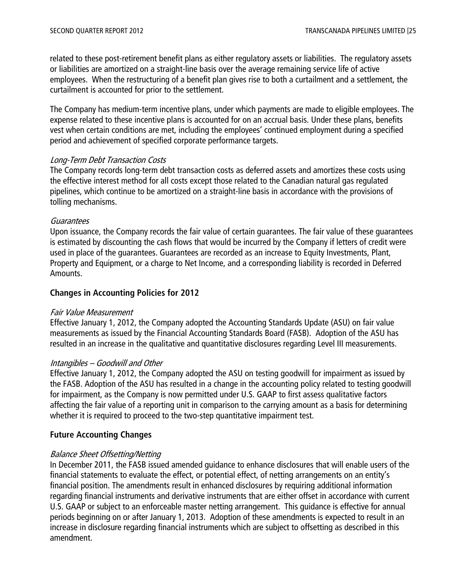related to these post-retirement benefit plans as either regulatory assets or liabilities. The regulatory assets or liabilities are amortized on a straight-line basis over the average remaining service life of active employees. When the restructuring of a benefit plan gives rise to both a curtailment and a settlement, the curtailment is accounted for prior to the settlement.

The Company has medium-term incentive plans, under which payments are made to eligible employees. The expense related to these incentive plans is accounted for on an accrual basis. Under these plans, benefits vest when certain conditions are met, including the employees' continued employment during a specified period and achievement of specified corporate performance targets.

#### Long-Term Debt Transaction Costs

The Company records long-term debt transaction costs as deferred assets and amortizes these costs using the effective interest method for all costs except those related to the Canadian natural gas regulated pipelines, which continue to be amortized on a straight-line basis in accordance with the provisions of tolling mechanisms.

#### Guarantees

Upon issuance, the Company records the fair value of certain guarantees. The fair value of these guarantees is estimated by discounting the cash flows that would be incurred by the Company if letters of credit were used in place of the guarantees. Guarantees are recorded as an increase to Equity Investments, Plant, Property and Equipment, or a charge to Net Income, and a corresponding liability is recorded in Deferred Amounts.

# **Changes in Accounting Policies for 2012**

#### Fair Value Measurement

Effective January 1, 2012, the Company adopted the Accounting Standards Update (ASU) on fair value measurements as issued by the Financial Accounting Standards Board (FASB). Adoption of the ASU has resulted in an increase in the qualitative and quantitative disclosures regarding Level III measurements.

# Intangibles – Goodwill and Other

Effective January 1, 2012, the Company adopted the ASU on testing goodwill for impairment as issued by the FASB. Adoption of the ASU has resulted in a change in the accounting policy related to testing goodwill for impairment, as the Company is now permitted under U.S. GAAP to first assess qualitative factors affecting the fair value of a reporting unit in comparison to the carrying amount as a basis for determining whether it is required to proceed to the two-step quantitative impairment test.

# **Future Accounting Changes**

# Balance Sheet Offsetting/Netting

In December 2011, the FASB issued amended guidance to enhance disclosures that will enable users of the financial statements to evaluate the effect, or potential effect, of netting arrangements on an entity's financial position. The amendments result in enhanced disclosures by requiring additional information regarding financial instruments and derivative instruments that are either offset in accordance with current U.S. GAAP or subject to an enforceable master netting arrangement. This guidance is effective for annual periods beginning on or after January 1, 2013. Adoption of these amendments is expected to result in an increase in disclosure regarding financial instruments which are subject to offsetting as described in this amendment.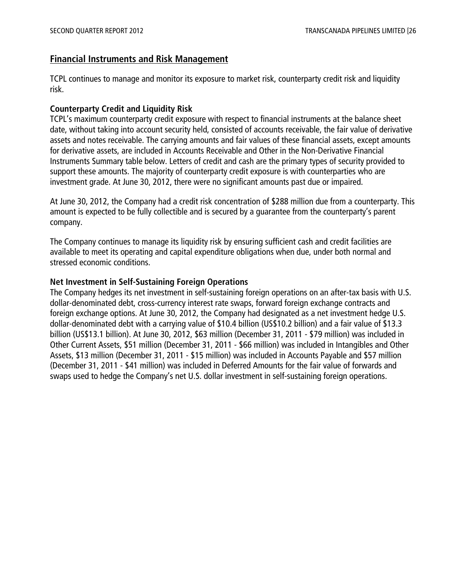# **Financial Instruments and Risk Management**

TCPL continues to manage and monitor its exposure to market risk, counterparty credit risk and liquidity risk.

#### **Counterparty Credit and Liquidity Risk**

TCPL's maximum counterparty credit exposure with respect to financial instruments at the balance sheet date, without taking into account security held, consisted of accounts receivable, the fair value of derivative assets and notes receivable. The carrying amounts and fair values of these financial assets, except amounts for derivative assets, are included in Accounts Receivable and Other in the Non-Derivative Financial Instruments Summary table below. Letters of credit and cash are the primary types of security provided to support these amounts. The majority of counterparty credit exposure is with counterparties who are investment grade. At June 30, 2012, there were no significant amounts past due or impaired.

At June 30, 2012, the Company had a credit risk concentration of \$288 million due from a counterparty. This amount is expected to be fully collectible and is secured by a guarantee from the counterparty's parent company.

The Company continues to manage its liquidity risk by ensuring sufficient cash and credit facilities are available to meet its operating and capital expenditure obligations when due, under both normal and stressed economic conditions.

#### **Net Investment in Self-Sustaining Foreign Operations**

The Company hedges its net investment in self-sustaining foreign operations on an after-tax basis with U.S. dollar-denominated debt, cross-currency interest rate swaps, forward foreign exchange contracts and foreign exchange options. At June 30, 2012, the Company had designated as a net investment hedge U.S. dollar-denominated debt with a carrying value of \$10.4 billion (US\$10.2 billion) and a fair value of \$13.3 billion (US\$13.1 billion). At June 30, 2012, \$63 million (December 31, 2011 - \$79 million) was included in Other Current Assets, \$51 million (December 31, 2011 - \$66 million) was included in Intangibles and Other Assets, \$13 million (December 31, 2011 - \$15 million) was included in Accounts Payable and \$57 million (December 31, 2011 - \$41 million) was included in Deferred Amounts for the fair value of forwards and swaps used to hedge the Company's net U.S. dollar investment in self-sustaining foreign operations.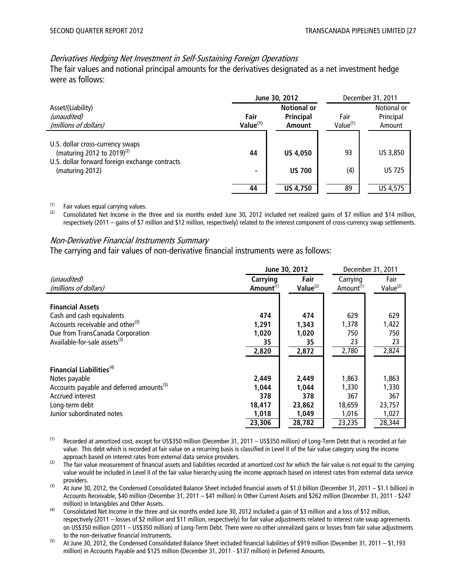#### Derivatives Hedging Net Investment in Self-Sustaining Foreign Operations

The fair values and notional principal amounts for the derivatives designated as a net investment hedge were as follows:

|                                                                                                                                                 |                     | June 30, 2012                                    |           | December 31, 2011                  |
|-------------------------------------------------------------------------------------------------------------------------------------------------|---------------------|--------------------------------------------------|-----------|------------------------------------|
| Asset/(Liability)<br>(unaudited)<br>(millions of dollars)                                                                                       | Fair<br>Value $(1)$ | <b>Notional or</b><br>Principal<br><b>Amount</b> |           | Notional or<br>Principal<br>Amount |
| U.S. dollar cross-currency swaps<br>(maturing 2012 to 2019) <sup>(2)</sup><br>U.S. dollar forward foreign exchange contracts<br>(maturing 2012) | 44                  | <b>US 4,050</b><br><b>US 700</b>                 | 93<br>(4) | US 3,850<br><b>US 725</b>          |
|                                                                                                                                                 | 44                  | <b>US 4,750</b>                                  | 89        | US 4,575                           |

 $\frac{1}{2}$  Fair values equal carrying values.

Consolidated Net Income in the three and six months ended June 30, 2012 included net realized gains of \$7 million and \$14 million, respectively (2011 – gains of \$7 million and \$12 million, respectively) related to the interest component of cross-currency swap settlements.

#### Non-Derivative Financial Instruments Summary

The carrying and fair values of non-derivative financial instruments were as follows:

|                                                      | June 30, 2012         | December 31, 2011 |                       |             |
|------------------------------------------------------|-----------------------|-------------------|-----------------------|-------------|
| (unaudited)                                          | Carrying              | Fair              | Carrying              | Fair        |
| (millions of dollars)                                | Amount <sup>(1)</sup> | Value $(2)$       | Amount <sup>(1)</sup> | Value $(2)$ |
|                                                      |                       |                   |                       |             |
| <b>Financial Assets</b>                              |                       |                   |                       |             |
| Cash and cash equivalents                            | 474                   | 474               | 629                   | 629         |
| Accounts receivable and other <sup>(3)</sup>         | 1,291                 | 1,343             | 1,378                 | 1,422       |
| Due from TransCanada Corporation                     | 1,020                 | 1,020             | 750                   | 750         |
| Available-for-sale assets <sup>(3)</sup>             | 35                    | 35                | 23                    | 23          |
|                                                      | 2,820                 | 2,872             | 2,780                 | 2,824       |
|                                                      |                       |                   |                       |             |
| Financial Liabilities <sup>(4)</sup>                 |                       |                   |                       |             |
| Notes payable                                        | 2,449                 | 2,449             | 1,863                 | 1,863       |
| Accounts payable and deferred amounts <sup>(5)</sup> | 1,044                 | 1.044             | 1,330                 | 1,330       |
| <b>Accrued interest</b>                              | 378                   | 378               | 367                   | 367         |
| Long-term debt                                       | 18,417                | 23,862            | 18,659                | 23,757      |
| Junior subordinated notes                            | 1,018                 | 1,049             | 1,016                 | 1,027       |
|                                                      | 23,306                | 28,782            | 23,235                | 28,344      |

(1) Recorded at amortized cost, except for US\$350 million (December 31, 2011 – US\$350 million) of Long-Term Debt that is recorded at fair value. This debt which is recorded at fair value on a recurring basis is classified in Level II of the fair value category using the income approach based on interest rates from external data service providers.

(2) The fair value measurement of financial assets and liabilities recorded at amortized cost for which the fair value is not equal to the carrying value would be included in Level II of the fair value hierarchy using the income approach based on interest rates from external data service providers.

(3) At June 30, 2012, the Condensed Consolidated Balance Sheet included financial assets of \$1.0 billion (December 31, 2011 – \$1.1 billion) in Accounts Receivable, \$40 million (December 31, 2011 – \$41 million) in Other Current Assets and \$262 million (December 31, 2011 - \$247 million) in Intangibles and Other Assets.

(4) Consolidated Net Income in the three and six months ended June 30, 2012 included a gain of \$3 million and a loss of \$12 million, respectively (2011 – losses of \$2 million and \$11 million, respectively) for fair value adjustments related to interest rate swap agreements on US\$350 million (2011 – US\$350 million) of Long-Term Debt. There were no other unrealized gains or losses from fair value adjustments to the non-derivative financial instruments.

<sup>(5)</sup> At June 30, 2012, the Condensed Consolidated Balance Sheet included financial liabilities of \$919 million (December 31, 2011 – \$1,193 million) in Accounts Payable and \$125 million (December 31, 2011 - \$137 million) in Deferred Amounts.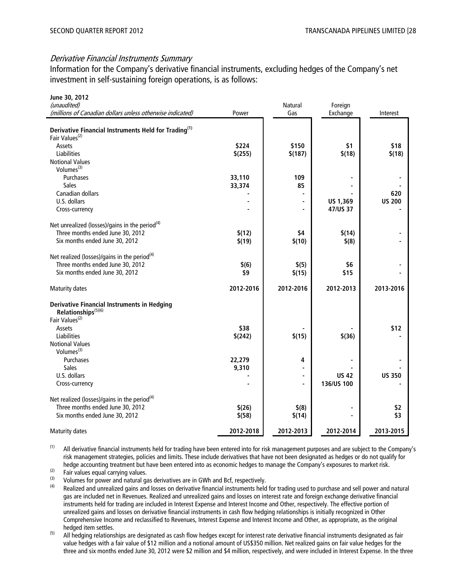#### Derivative Financial Instruments Summary

Information for the Company's derivative financial instruments, excluding hedges of the Company's net investment in self-sustaining foreign operations, is as follows:

| June 30, 2012<br>(unaudited)                                                                   |           | <b>Natural</b> | Foreign      |               |
|------------------------------------------------------------------------------------------------|-----------|----------------|--------------|---------------|
| (millions of Canadian dollars unless otherwise indicated)                                      | Power     | Gas            | Exchange     | Interest      |
| Derivative Financial Instruments Held for Trading <sup>(1)</sup><br>Fair Values <sup>(2)</sup> |           |                |              |               |
| Assets                                                                                         | \$224     | \$150          | \$1          | \$18          |
| <b>Liabilities</b>                                                                             | \$(255)   | \$(187)        | \$(18)       | \$(18)        |
| <b>Notional Values</b>                                                                         |           |                |              |               |
| Volumes <sup>(3)</sup>                                                                         |           |                |              |               |
| Purchases                                                                                      | 33,110    | 109            |              |               |
| <b>Sales</b>                                                                                   | 33,374    | 85             |              |               |
| Canadian dollars                                                                               |           |                |              | 620           |
| U.S. dollars                                                                                   |           |                | US 1,369     | <b>US 200</b> |
| Cross-currency                                                                                 |           |                | 47/US 37     |               |
| Net unrealized (losses)/gains in the period <sup>(4)</sup>                                     |           |                |              |               |
| Three months ended June 30, 2012                                                               | \$(12)    | \$4            | \$(14)       |               |
| Six months ended June 30, 2012                                                                 | \$(19)    | \$(10)         | \$(8)        |               |
| Net realized (losses)/gains in the period <sup>(4)</sup>                                       |           |                |              |               |
| Three months ended June 30, 2012                                                               | \$(6)     | \$(5)          | \$6          |               |
| Six months ended June 30, 2012                                                                 | \$9       | \$(15)         | \$15         |               |
|                                                                                                |           |                |              |               |
| <b>Maturity dates</b>                                                                          | 2012-2016 | 2012-2016      | 2012-2013    | 2013-2016     |
| <b>Derivative Financial Instruments in Hedging</b><br>Relationships <sup>(5)(6)</sup>          |           |                |              |               |
| Fair Values <sup>(2)</sup>                                                                     |           |                |              |               |
| Assets                                                                                         | \$38      |                |              | \$12          |
| Liabilities                                                                                    | \$(242)   | \$(15)         | \$(36)       |               |
| <b>Notional Values</b>                                                                         |           |                |              |               |
| Volumes <sup>(3)</sup>                                                                         |           |                |              |               |
| Purchases                                                                                      | 22,279    | 4              |              |               |
| Sales                                                                                          | 9,310     |                |              |               |
| U.S. dollars                                                                                   |           |                | <b>US 42</b> | <b>US 350</b> |
| Cross-currency                                                                                 |           |                | 136/US 100   |               |
| Net realized (losses)/gains in the period <sup>(4)</sup>                                       |           |                |              |               |
| Three months ended June 30, 2012                                                               | \$(26)    | \$(8)          |              | \$2           |
| Six months ended June 30, 2012                                                                 | \$(58)    | \$(14)         |              | \$3           |
| <b>Maturity dates</b>                                                                          | 2012-2018 | 2012-2013      | 2012-2014    | 2013-2015     |

 $<sup>(1)</sup>$  All derivative financial instruments held for trading have been entered into for risk management purposes and are subject to the Company's</sup> risk management strategies, policies and limits. These include derivatives that have not been designated as hedges or do not qualify for hedge accounting treatment but have been entered into as economic hedges to manage the Company's exposures to market risk.

 $\overrightarrow{c}$  Fair values equal carrying values.

 $\frac{(3)}{2}$  Volumes for power and natural gas derivatives are in GWh and Bcf, respectively.

- Realized and unrealized gains and losses on derivative financial instruments held for trading used to purchase and sell power and natural gas are included net in Revenues. Realized and unrealized gains and losses on interest rate and foreign exchange derivative financial instruments held for trading are included in Interest Expense and Interest Income and Other, respectively. The effective portion of unrealized gains and losses on derivative financial instruments in cash flow hedging relationships is initially recognized in Other Comprehensive Income and reclassified to Revenues, Interest Expense and Interest Income and Other, as appropriate, as the original hedged item settles.
- $<sup>(5)</sup>$  All hedging relationships are designated as cash flow hedges except for interest rate derivative financial instruments designated as fair</sup> value hedges with a fair value of \$12 million and a notional amount of US\$350 million. Net realized gains on fair value hedges for the three and six months ended June 30, 2012 were \$2 million and \$4 million, respectively, and were included in Interest Expense. In the three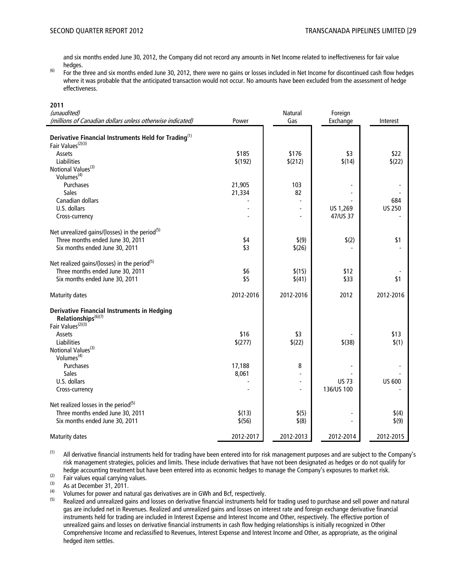**2011** 

and six months ended June 30, 2012, the Company did not record any amounts in Net Income related to ineffectiveness for fair value hedges.

(6) For the three and six months ended June 30, 2012, there were no gains or losses included in Net Income for discontinued cash flow hedges where it was probable that the anticipated transaction would not occur. No amounts have been excluded from the assessment of hedge effectiveness.

| ZV11<br>(unaudited)<br>(millions of Canadian dollars unless otherwise indicated)                  | Power     | Natural<br>Gas | Foreign<br>Exchange | Interest      |
|---------------------------------------------------------------------------------------------------|-----------|----------------|---------------------|---------------|
|                                                                                                   |           |                |                     |               |
| Derivative Financial Instruments Held for Trading <sup>(1)</sup><br>Fair Values <sup>(2)(3)</sup> |           |                |                     |               |
| Assets                                                                                            | \$185     | \$176          | \$3                 | \$22          |
| Liabilities                                                                                       | \$(192)   | \$(212)        | \$(14)              | \$(22)        |
| Notional Values <sup>(3)</sup>                                                                    |           |                |                     |               |
| Volumes <sup>(4)</sup>                                                                            |           |                |                     |               |
| Purchases                                                                                         | 21,905    | 103            |                     |               |
| Sales                                                                                             | 21,334    | 82             |                     |               |
| Canadian dollars                                                                                  |           |                |                     | 684           |
| U.S. dollars                                                                                      |           |                | US 1,269            | <b>US 250</b> |
| Cross-currency                                                                                    |           |                | 47/US 37            |               |
| Net unrealized gains/(losses) in the period <sup>(5)</sup>                                        |           |                |                     |               |
| Three months ended June 30, 2011                                                                  | \$4       | \$(9)          | \$(2)               | \$1           |
| Six months ended June 30, 2011                                                                    | \$3       | \$(26)         |                     |               |
|                                                                                                   |           |                |                     |               |
| Net realized gains/(losses) in the period <sup>(5)</sup>                                          |           |                |                     |               |
| Three months ended June 30, 2011                                                                  | \$6       | \$(15)         | \$12                |               |
| Six months ended June 30, 2011                                                                    | \$5       | \$(41)         | \$33                | \$1           |
| <b>Maturity dates</b>                                                                             | 2012-2016 | 2012-2016      | 2012                | 2012-2016     |
| <b>Derivative Financial Instruments in Hedging</b>                                                |           |                |                     |               |
| Relationships <sup>(6)(7)</sup>                                                                   |           |                |                     |               |
| Fair Values <sup>(2)(3)</sup>                                                                     |           |                |                     |               |
| Assets                                                                                            | \$16      | \$3            |                     | \$13          |
| Liabilities                                                                                       | \$(277)   | \$(22)         | $$$ (38)            | \$(1)         |
| Notional Values <sup>(3)</sup><br>Volumes <sup>(4)</sup>                                          |           |                |                     |               |
| Purchases                                                                                         | 17,188    | 8              |                     |               |
| Sales                                                                                             | 8,061     |                |                     |               |
| U.S. dollars                                                                                      |           | $\overline{a}$ | <b>US 73</b>        | <b>US 600</b> |
| Cross-currency                                                                                    |           | $\overline{a}$ | 136/US 100          |               |
|                                                                                                   |           |                |                     |               |
| Net realized losses in the period <sup>(5)</sup>                                                  |           |                |                     |               |
| Three months ended June 30, 2011                                                                  | \$(13)    | \$(5)          |                     | \$(4)         |
| Six months ended June 30, 2011                                                                    | \$(56)    | \$(8)          |                     | \$(9)         |
| <b>Maturity dates</b>                                                                             | 2012-2017 | 2012-2013      | 2012-2014           | 2012-2015     |

<sup>(1)</sup> All derivative financial instruments held for trading have been entered into for risk management purposes and are subject to the Company's risk management strategies, policies and limits. These include derivatives that have not been designated as hedges or do not qualify for hedge accounting treatment but have been entered into as economic hedges to manage the Company's exposures to market risk.

 $(2)$  Fair values equal carrying values.<br> $(3)$  As at Desember 21, 2011.

 $^{(3)}$  As at December 31, 2011.

(4) Volumes for power and natural gas derivatives are in GWh and Bcf, respectively.<br>(5) Bealized and unrealized gains and losses on derivative financial instruments held

Realized and unrealized gains and losses on derivative financial instruments held for trading used to purchase and sell power and natural gas are included net in Revenues. Realized and unrealized gains and losses on interest rate and foreign exchange derivative financial instruments held for trading are included in Interest Expense and Interest Income and Other, respectively. The effective portion of unrealized gains and losses on derivative financial instruments in cash flow hedging relationships is initially recognized in Other Comprehensive Income and reclassified to Revenues, Interest Expense and Interest Income and Other, as appropriate, as the original hedged item settles.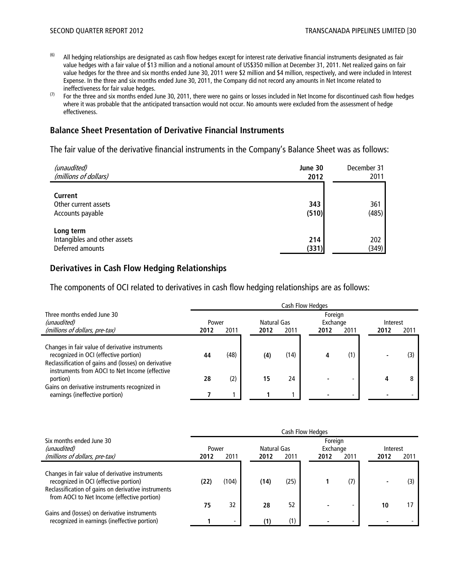- <sup>(6)</sup> All hedging relationships are designated as cash flow hedges except for interest rate derivative financial instruments designated as fair value hedges with a fair value of \$13 million and a notional amount of US\$350 million at December 31, 2011. Net realized gains on fair value hedges for the three and six months ended June 30, 2011 were \$2 million and \$4 million, respectively, and were included in Interest Expense. In the three and six months ended June 30, 2011, the Company did not record any amounts in Net Income related to ineffectiveness for fair value hedges.
- (7) For the three and six months ended June 30, 2011, there were no gains or losses included in Net Income for discontinued cash flow hedges where it was probable that the anticipated transaction would not occur. No amounts were excluded from the assessment of hedge effectiveness.

#### **Balance Sheet Presentation of Derivative Financial Instruments**

The fair value of the derivative financial instruments in the Company's Balance Sheet was as follows:

| (unaudited)<br>(millions of dollars)                          | June 30<br>2012 | December 31<br>2011 |
|---------------------------------------------------------------|-----------------|---------------------|
| Current<br>Other current assets<br>Accounts payable           | 343<br>(510)    | 361<br>(485)        |
| Long term<br>Intangibles and other assets<br>Deferred amounts | 214<br>(331)    | 202<br>(349)        |

#### **Derivatives in Cash Flow Hedging Relationships**

The components of OCI related to derivatives in cash flow hedging relationships are as follows:

|                                                                                                                                                 | Cash Flow Hedges |      |             |      |          |      |          |      |
|-------------------------------------------------------------------------------------------------------------------------------------------------|------------------|------|-------------|------|----------|------|----------|------|
| Three months ended June 30                                                                                                                      |                  |      |             |      | Foreign  |      |          |      |
| (unaudited)                                                                                                                                     | Power            |      | Natural Gas |      | Exchange |      | Interest |      |
| (millions of dollars, pre-tax)                                                                                                                  | 2012             | 2011 | 2012        | 2011 | 2012     | 2011 | 2012     | 2011 |
| Changes in fair value of derivative instruments                                                                                                 |                  |      |             |      |          |      |          |      |
| recognized in OCI (effective portion)<br>Reclassification of gains and (losses) on derivative<br>instruments from AOCI to Net Income (effective | 44               | (48) | (4)         | (14) | 4        | (1)  |          |      |
| portion)                                                                                                                                        | 28               | (2)  | 15          | 24   |          |      |          |      |
| Gains on derivative instruments recognized in<br>earnings (ineffective portion)                                                                 |                  |      |             |      |          |      |          |      |

|                                                                                                                                                                                                | Cash Flow Hedges |       |      |             |          |      |          |      |
|------------------------------------------------------------------------------------------------------------------------------------------------------------------------------------------------|------------------|-------|------|-------------|----------|------|----------|------|
| Six months ended June 30                                                                                                                                                                       |                  |       |      |             | Foreign  |      |          |      |
| (unaudited)                                                                                                                                                                                    | Power            |       |      | Natural Gas | Exchange |      | Interest |      |
| (millions of dollars, pre-tax)                                                                                                                                                                 | 2012             | 2011  | 2012 | 2011        | 2012     | 2011 | 2012     | 2011 |
| Changes in fair value of derivative instruments<br>recognized in OCI (effective portion)<br>Reclassification of gains on derivative instruments<br>from AOCI to Net Income (effective portion) | (22)             | (104) | (14) | (25)        |          | (7)  |          |      |
|                                                                                                                                                                                                | 75               | 32    | 28   | 52          |          |      | 10       |      |
| Gains and (losses) on derivative instruments<br>recognized in earnings (ineffective portion)                                                                                                   |                  | -     | (1)  | (1)         |          |      |          |      |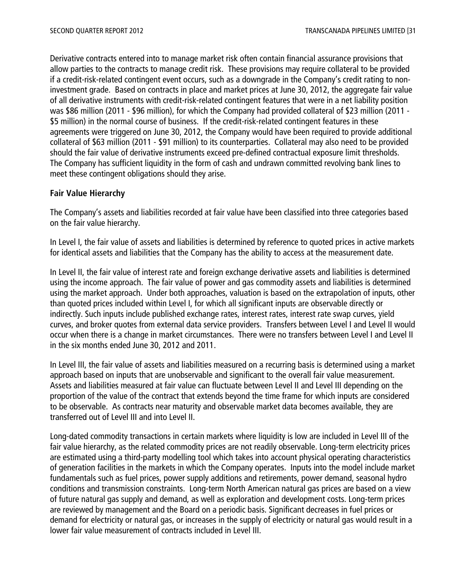Derivative contracts entered into to manage market risk often contain financial assurance provisions that allow parties to the contracts to manage credit risk. These provisions may require collateral to be provided if a credit-risk-related contingent event occurs, such as a downgrade in the Company's credit rating to noninvestment grade. Based on contracts in place and market prices at June 30, 2012, the aggregate fair value of all derivative instruments with credit-risk-related contingent features that were in a net liability position was \$86 million (2011 - \$96 million), for which the Company had provided collateral of \$23 million (2011 - \$5 million) in the normal course of business. If the credit-risk-related contingent features in these agreements were triggered on June 30, 2012, the Company would have been required to provide additional collateral of \$63 million (2011 - \$91 million) to its counterparties. Collateral may also need to be provided should the fair value of derivative instruments exceed pre-defined contractual exposure limit thresholds. The Company has sufficient liquidity in the form of cash and undrawn committed revolving bank lines to meet these contingent obligations should they arise.

# **Fair Value Hierarchy**

The Company's assets and liabilities recorded at fair value have been classified into three categories based on the fair value hierarchy.

In Level I, the fair value of assets and liabilities is determined by reference to quoted prices in active markets for identical assets and liabilities that the Company has the ability to access at the measurement date.

In Level II, the fair value of interest rate and foreign exchange derivative assets and liabilities is determined using the income approach. The fair value of power and gas commodity assets and liabilities is determined using the market approach. Under both approaches, valuation is based on the extrapolation of inputs, other than quoted prices included within Level I, for which all significant inputs are observable directly or indirectly. Such inputs include published exchange rates, interest rates, interest rate swap curves, yield curves, and broker quotes from external data service providers. Transfers between Level I and Level II would occur when there is a change in market circumstances. There were no transfers between Level I and Level II in the six months ended June 30, 2012 and 2011.

In Level III, the fair value of assets and liabilities measured on a recurring basis is determined using a market approach based on inputs that are unobservable and significant to the overall fair value measurement. Assets and liabilities measured at fair value can fluctuate between Level II and Level III depending on the proportion of the value of the contract that extends beyond the time frame for which inputs are considered to be observable. As contracts near maturity and observable market data becomes available, they are transferred out of Level III and into Level II.

Long-dated commodity transactions in certain markets where liquidity is low are included in Level III of the fair value hierarchy, as the related commodity prices are not readily observable. Long-term electricity prices are estimated using a third-party modelling tool which takes into account physical operating characteristics of generation facilities in the markets in which the Company operates. Inputs into the model include market fundamentals such as fuel prices, power supply additions and retirements, power demand, seasonal hydro conditions and transmission constraints. Long-term North American natural gas prices are based on a view of future natural gas supply and demand, as well as exploration and development costs. Long-term prices are reviewed by management and the Board on a periodic basis. Significant decreases in fuel prices or demand for electricity or natural gas, or increases in the supply of electricity or natural gas would result in a lower fair value measurement of contracts included in Level III.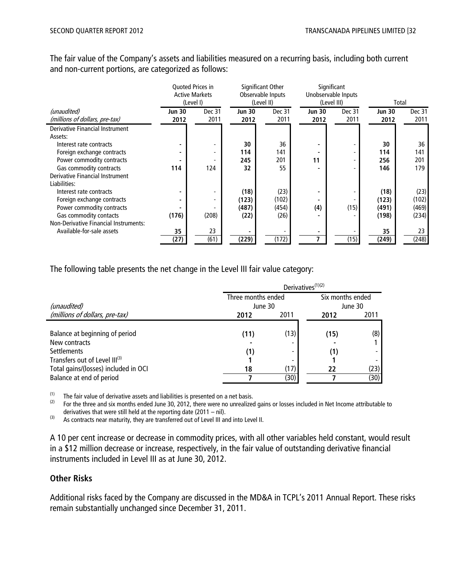The fair value of the Company's assets and liabilities measured on a recurring basis, including both current and non-current portions, are categorized as follows:

|                                              |        | <b>Ouoted Prices in</b><br><b>Active Markets</b><br>(Level I) |               | Significant Other<br>Observable Inputs<br>(Level II) |                       | Significant<br>Unobservable Inputs<br>(Level III) | Total                   |       |  |
|----------------------------------------------|--------|---------------------------------------------------------------|---------------|------------------------------------------------------|-----------------------|---------------------------------------------------|-------------------------|-------|--|
| (unaudited)                                  | Jun 30 | Dec 31                                                        | <b>Jun 30</b> | Dec 31                                               |                       | Dec 31                                            | <b>Jun 30</b><br>Dec 31 |       |  |
| (millions of dollars, pre-tax)               | 2012   | 2011                                                          | 2012          | 2011                                                 | <b>Jun 30</b><br>2012 | 2011                                              | 2012                    | 2011  |  |
| Derivative Financial Instrument              |        |                                                               |               |                                                      |                       |                                                   |                         |       |  |
| Assets:                                      |        |                                                               |               |                                                      |                       |                                                   |                         |       |  |
| Interest rate contracts                      |        |                                                               | 30            | 36                                                   |                       |                                                   | 30                      | 36    |  |
| Foreign exchange contracts                   |        |                                                               | 114           | 141                                                  |                       |                                                   | 114                     | 141   |  |
| Power commodity contracts                    |        |                                                               | 245           | 201                                                  | 11                    |                                                   | 256                     | 201   |  |
| Gas commodity contracts                      | 114    | 124                                                           | 32            | 55                                                   |                       |                                                   | 146                     | 179   |  |
| Derivative Financial Instrument              |        |                                                               |               |                                                      |                       |                                                   |                         |       |  |
| Liabilities:                                 |        |                                                               |               |                                                      |                       |                                                   |                         |       |  |
| Interest rate contracts                      |        |                                                               | (18)          | (23)                                                 |                       |                                                   | (18)                    | (23)  |  |
| Foreign exchange contracts                   |        | ٠                                                             | (123)         | (102)                                                |                       |                                                   | (123)                   | (102) |  |
| Power commodity contracts                    |        |                                                               | (487)         | (454)                                                | (4)                   | (15)                                              | (491)                   | (469) |  |
| Gas commodity contacts                       | (176)  | (208)                                                         | (22)          | (26)                                                 |                       |                                                   | (198)                   | (234) |  |
| <b>Non-Derivative Financial Instruments:</b> |        |                                                               |               |                                                      |                       |                                                   |                         |       |  |
| Available-for-sale assets                    | 35     | 23                                                            |               |                                                      |                       |                                                   | 35                      | 23    |  |
|                                              | (27)   | (61)                                                          | (229)         | (172)                                                |                       | (15)                                              | (249)                   | (248) |  |

The following table presents the net change in the Level III fair value category:

|                                      | Derivatives <sup>(1)(2)</sup> |                          |         |      |  |  |  |  |
|--------------------------------------|-------------------------------|--------------------------|---------|------|--|--|--|--|
|                                      | Three months ended            | Six months ended         |         |      |  |  |  |  |
| (unaudited)                          | June 30                       |                          | June 30 |      |  |  |  |  |
| (millions of dollars, pre-tax)       | 2012                          | 2011                     | 2012    | 2011 |  |  |  |  |
|                                      |                               |                          |         |      |  |  |  |  |
| Balance at beginning of period       | (11)                          | (13)                     | (15)    | (8)  |  |  |  |  |
| New contracts                        |                               | $\overline{\phantom{0}}$ |         |      |  |  |  |  |
| <b>Settlements</b>                   | (1)                           | $\overline{\phantom{0}}$ | (1)     |      |  |  |  |  |
| Transfers out of Level III(3)        |                               | $\overline{\phantom{a}}$ |         |      |  |  |  |  |
| Total gains/(losses) included in OCI | 18                            | (17)                     | 22      | (23) |  |  |  |  |
| Balance at end of period             |                               | (30)                     |         | (30) |  |  |  |  |

 $(1)$  The fair value of derivative assets and liabilities is presented on a net basis.

 $(2)$  For the three and six months ended June 30, 2012, there were no unrealized gains or losses included in Net Income attributable to derivatives that were still held at the reporting date (2011 – nil).

 $(3)$  As contracts near maturity, they are transferred out of Level III and into Level II.

A 10 per cent increase or decrease in commodity prices, with all other variables held constant, would result in a \$12 million decrease or increase, respectively, in the fair value of outstanding derivative financial instruments included in Level III as at June 30, 2012.

#### **Other Risks**

Additional risks faced by the Company are discussed in the MD&A in TCPL's 2011 Annual Report. These risks remain substantially unchanged since December 31, 2011.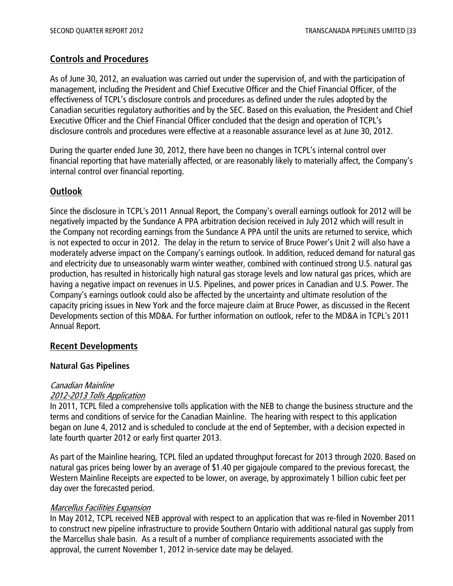# **Controls and Procedures**

As of June 30, 2012, an evaluation was carried out under the supervision of, and with the participation of management, including the President and Chief Executive Officer and the Chief Financial Officer, of the effectiveness of TCPL's disclosure controls and procedures as defined under the rules adopted by the Canadian securities regulatory authorities and by the SEC. Based on this evaluation, the President and Chief Executive Officer and the Chief Financial Officer concluded that the design and operation of TCPL's disclosure controls and procedures were effective at a reasonable assurance level as at June 30, 2012.

During the quarter ended June 30, 2012, there have been no changes in TCPL's internal control over financial reporting that have materially affected, or are reasonably likely to materially affect, the Company's internal control over financial reporting.

# **Outlook**

Since the disclosure in TCPL's 2011 Annual Report, the Company's overall earnings outlook for 2012 will be negatively impacted by the Sundance A PPA arbitration decision received in July 2012 which will result in the Company not recording earnings from the Sundance A PPA until the units are returned to service, which is not expected to occur in 2012. The delay in the return to service of Bruce Power's Unit 2 will also have a moderately adverse impact on the Company's earnings outlook. In addition, reduced demand for natural gas and electricity due to unseasonably warm winter weather, combined with continued strong U.S. natural gas production, has resulted in historically high natural gas storage levels and low natural gas prices, which are having a negative impact on revenues in U.S. Pipelines, and power prices in Canadian and U.S. Power. The Company's earnings outlook could also be affected by the uncertainty and ultimate resolution of the capacity pricing issues in New York and the force majeure claim at Bruce Power, as discussed in the Recent Developments section of this MD&A. For further information on outlook, refer to the MD&A in TCPL's 2011 Annual Report.

# **Recent Developments**

# **Natural Gas Pipelines**

#### Canadian Mainline

#### 2012-2013 Tolls Application

In 2011, TCPL filed a comprehensive tolls application with the NEB to change the business structure and the terms and conditions of service for the Canadian Mainline. The hearing with respect to this application began on June 4, 2012 and is scheduled to conclude at the end of September, with a decision expected in late fourth quarter 2012 or early first quarter 2013.

As part of the Mainline hearing, TCPL filed an updated throughput forecast for 2013 through 2020. Based on natural gas prices being lower by an average of \$1.40 per gigajoule compared to the previous forecast, the Western Mainline Receipts are expected to be lower, on average, by approximately 1 billion cubic feet per day over the forecasted period.

# Marcellus Facilities Expansion

In May 2012, TCPL received NEB approval with respect to an application that was re-filed in November 2011 to construct new pipeline infrastructure to provide Southern Ontario with additional natural gas supply from the Marcellus shale basin. As a result of a number of compliance requirements associated with the approval, the current November 1, 2012 in-service date may be delayed.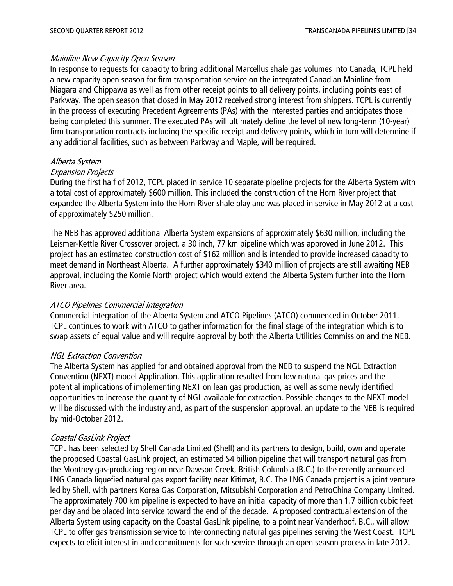#### Mainline New Capacity Open Season

In response to requests for capacity to bring additional Marcellus shale gas volumes into Canada, TCPL held a new capacity open season for firm transportation service on the integrated Canadian Mainline from Niagara and Chippawa as well as from other receipt points to all delivery points, including points east of Parkway. The open season that closed in May 2012 received strong interest from shippers. TCPL is currently in the process of executing Precedent Agreements (PAs) with the interested parties and anticipates those being completed this summer. The executed PAs will ultimately define the level of new long-term (10-year) firm transportation contracts including the specific receipt and delivery points, which in turn will determine if any additional facilities, such as between Parkway and Maple, will be required.

# Alberta System

#### Expansion Projects

During the first half of 2012, TCPL placed in service 10 separate pipeline projects for the Alberta System with a total cost of approximately \$600 million. This included the construction of the Horn River project that expanded the Alberta System into the Horn River shale play and was placed in service in May 2012 at a cost of approximately \$250 million.

The NEB has approved additional Alberta System expansions of approximately \$630 million, including the Leismer-Kettle River Crossover project, a 30 inch, 77 km pipeline which was approved in June 2012. This project has an estimated construction cost of \$162 million and is intended to provide increased capacity to meet demand in Northeast Alberta. A further approximately \$340 million of projects are still awaiting NEB approval, including the Komie North project which would extend the Alberta System further into the Horn River area.

#### ATCO Pipelines Commercial Integration

Commercial integration of the Alberta System and ATCO Pipelines (ATCO) commenced in October 2011. TCPL continues to work with ATCO to gather information for the final stage of the integration which is to swap assets of equal value and will require approval by both the Alberta Utilities Commission and the NEB.

# NGL Extraction Convention

The Alberta System has applied for and obtained approval from the NEB to suspend the NGL Extraction Convention (NEXT) model Application. This application resulted from low natural gas prices and the potential implications of implementing NEXT on lean gas production, as well as some newly identified opportunities to increase the quantity of NGL available for extraction. Possible changes to the NEXT model will be discussed with the industry and, as part of the suspension approval, an update to the NEB is required by mid-October 2012.

# Coastal GasLink Project

TCPL has been selected by Shell Canada Limited (Shell) and its partners to design, build, own and operate the proposed Coastal GasLink project, an estimated \$4 billion pipeline that will transport natural gas from the Montney gas-producing region near Dawson Creek, British Columbia (B.C.) to the recently announced LNG Canada liquefied natural gas export facility near Kitimat, B.C. The LNG Canada project is a joint venture led by Shell, with partners Korea Gas Corporation, Mitsubishi Corporation and PetroChina Company Limited. The approximately 700 km pipeline is expected to have an initial capacity of more than 1.7 billion cubic feet per day and be placed into service toward the end of the decade. A proposed contractual extension of the Alberta System using capacity on the Coastal GasLink pipeline, to a point near Vanderhoof, B.C., will allow TCPL to offer gas transmission service to interconnecting natural gas pipelines serving the West Coast. TCPL expects to elicit interest in and commitments for such service through an open season process in late 2012.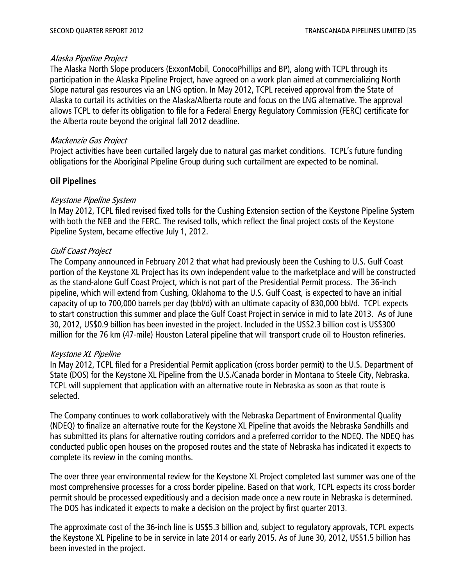#### Alaska Pipeline Project

The Alaska North Slope producers (ExxonMobil, ConocoPhillips and BP), along with TCPL through its participation in the Alaska Pipeline Project, have agreed on a work plan aimed at commercializing North Slope natural gas resources via an LNG option. In May 2012, TCPL received approval from the State of Alaska to curtail its activities on the Alaska/Alberta route and focus on the LNG alternative. The approval allows TCPL to defer its obligation to file for a Federal Energy Regulatory Commission (FERC) certificate for the Alberta route beyond the original fall 2012 deadline.

#### Mackenzie Gas Project

Project activities have been curtailed largely due to natural gas market conditions. TCPL's future funding obligations for the Aboriginal Pipeline Group during such curtailment are expected to be nominal.

# **Oil Pipelines**

# Keystone Pipeline System

In May 2012, TCPL filed revised fixed tolls for the Cushing Extension section of the Keystone Pipeline System with both the NEB and the FERC. The revised tolls, which reflect the final project costs of the Keystone Pipeline System, became effective July 1, 2012.

# Gulf Coast Project

The Company announced in February 2012 that what had previously been the Cushing to U.S. Gulf Coast portion of the Keystone XL Project has its own independent value to the marketplace and will be constructed as the stand-alone Gulf Coast Project, which is not part of the Presidential Permit process. The 36-inch pipeline, which will extend from Cushing, Oklahoma to the U.S. Gulf Coast, is expected to have an initial capacity of up to 700,000 barrels per day (bbl/d) with an ultimate capacity of 830,000 bbl/d. TCPL expects to start construction this summer and place the Gulf Coast Project in service in mid to late 2013. As of June 30, 2012, US\$0.9 billion has been invested in the project. Included in the US\$2.3 billion cost is US\$300 million for the 76 km (47-mile) Houston Lateral pipeline that will transport crude oil to Houston refineries.

#### Keystone XL Pipeline

In May 2012, TCPL filed for a Presidential Permit application (cross border permit) to the U.S. Department of State (DOS) for the Keystone XL Pipeline from the U.S./Canada border in Montana to Steele City, Nebraska. TCPL will supplement that application with an alternative route in Nebraska as soon as that route is selected.

The Company continues to work collaboratively with the Nebraska Department of Environmental Quality (NDEQ) to finalize an alternative route for the Keystone XL Pipeline that avoids the Nebraska Sandhills and has submitted its plans for alternative routing corridors and a preferred corridor to the NDEQ. The NDEQ has conducted public open houses on the proposed routes and the state of Nebraska has indicated it expects to complete its review in the coming months.

The over three year environmental review for the Keystone XL Project completed last summer was one of the most comprehensive processes for a cross border pipeline. Based on that work, TCPL expects its cross border permit should be processed expeditiously and a decision made once a new route in Nebraska is determined. The DOS has indicated it expects to make a decision on the project by first quarter 2013.

The approximate cost of the 36-inch line is US\$5.3 billion and, subject to regulatory approvals, TCPL expects the Keystone XL Pipeline to be in service in late 2014 or early 2015. As of June 30, 2012, US\$1.5 billion has been invested in the project.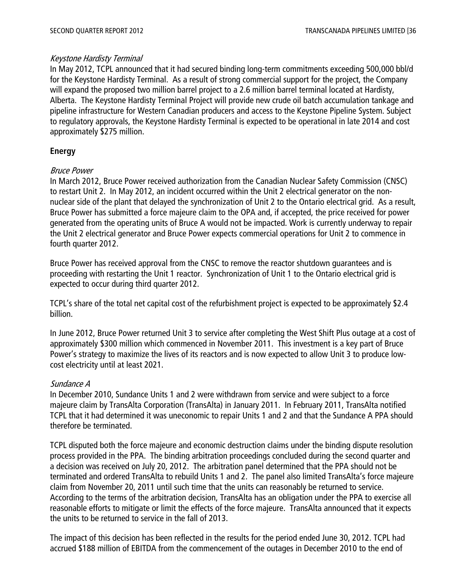#### Keystone Hardisty Terminal

In May 2012, TCPL announced that it had secured binding long-term commitments exceeding 500,000 bbl/d for the Keystone Hardisty Terminal. As a result of strong commercial support for the project, the Company will expand the proposed two million barrel project to a 2.6 million barrel terminal located at Hardisty, Alberta. The Keystone Hardisty Terminal Project will provide new crude oil batch accumulation tankage and pipeline infrastructure for Western Canadian producers and access to the Keystone Pipeline System. Subject to regulatory approvals, the Keystone Hardisty Terminal is expected to be operational in late 2014 and cost approximately \$275 million.

# **Energy**

# Bruce Power

In March 2012, Bruce Power received authorization from the Canadian Nuclear Safety Commission (CNSC) to restart Unit 2. In May 2012, an incident occurred within the Unit 2 electrical generator on the nonnuclear side of the plant that delayed the synchronization of Unit 2 to the Ontario electrical grid. As a result, Bruce Power has submitted a force majeure claim to the OPA and, if accepted, the price received for power generated from the operating units of Bruce A would not be impacted. Work is currently underway to repair the Unit 2 electrical generator and Bruce Power expects commercial operations for Unit 2 to commence in fourth quarter 2012.

Bruce Power has received approval from the CNSC to remove the reactor shutdown guarantees and is proceeding with restarting the Unit 1 reactor. Synchronization of Unit 1 to the Ontario electrical grid is expected to occur during third quarter 2012.

TCPL's share of the total net capital cost of the refurbishment project is expected to be approximately \$2.4 billion.

In June 2012, Bruce Power returned Unit 3 to service after completing the West Shift Plus outage at a cost of approximately \$300 million which commenced in November 2011. This investment is a key part of Bruce Power's strategy to maximize the lives of its reactors and is now expected to allow Unit 3 to produce lowcost electricity until at least 2021.

# Sundance A

In December 2010, Sundance Units 1 and 2 were withdrawn from service and were subject to a force majeure claim by TransAlta Corporation (TransAlta) in January 2011. In February 2011, TransAlta notified TCPL that it had determined it was uneconomic to repair Units 1 and 2 and that the Sundance A PPA should therefore be terminated.

TCPL disputed both the force majeure and economic destruction claims under the binding dispute resolution process provided in the PPA. The binding arbitration proceedings concluded during the second quarter and a decision was received on July 20, 2012. The arbitration panel determined that the PPA should not be terminated and ordered TransAlta to rebuild Units 1 and 2. The panel also limited TransAlta's force majeure claim from November 20, 2011 until such time that the units can reasonably be returned to service. According to the terms of the arbitration decision, TransAlta has an obligation under the PPA to exercise all reasonable efforts to mitigate or limit the effects of the force majeure. TransAlta announced that it expects the units to be returned to service in the fall of 2013.

The impact of this decision has been reflected in the results for the period ended June 30, 2012. TCPL had accrued \$188 million of EBITDA from the commencement of the outages in December 2010 to the end of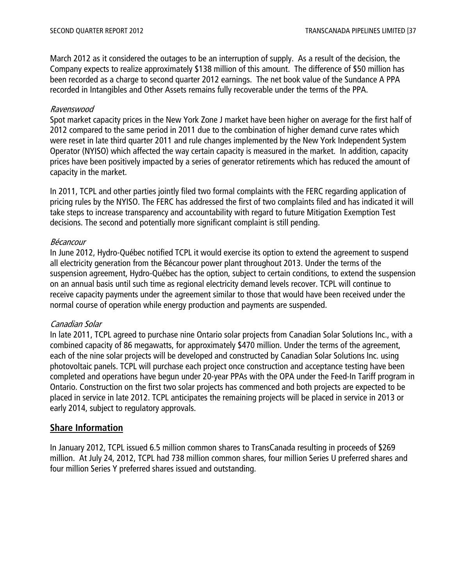March 2012 as it considered the outages to be an interruption of supply. As a result of the decision, the Company expects to realize approximately \$138 million of this amount. The difference of \$50 million has been recorded as a charge to second quarter 2012 earnings. The net book value of the Sundance A PPA recorded in Intangibles and Other Assets remains fully recoverable under the terms of the PPA.

#### Ravenswood

Spot market capacity prices in the New York Zone J market have been higher on average for the first half of 2012 compared to the same period in 2011 due to the combination of higher demand curve rates which were reset in late third quarter 2011 and rule changes implemented by the New York Independent System Operator (NYISO) which affected the way certain capacity is measured in the market. In addition, capacity prices have been positively impacted by a series of generator retirements which has reduced the amount of capacity in the market.

In 2011, TCPL and other parties jointly filed two formal complaints with the FERC regarding application of pricing rules by the NYISO. The FERC has addressed the first of two complaints filed and has indicated it will take steps to increase transparency and accountability with regard to future Mitigation Exemption Test decisions. The second and potentially more significant complaint is still pending.

#### Bécancour

In June 2012, Hydro-Québec notified TCPL it would exercise its option to extend the agreement to suspend all electricity generation from the Bécancour power plant throughout 2013. Under the terms of the suspension agreement, Hydro-Québec has the option, subject to certain conditions, to extend the suspension on an annual basis until such time as regional electricity demand levels recover. TCPL will continue to receive capacity payments under the agreement similar to those that would have been received under the normal course of operation while energy production and payments are suspended.

#### Canadian Solar

In late 2011, TCPL agreed to purchase nine Ontario solar projects from Canadian Solar Solutions Inc., with a combined capacity of 86 megawatts, for approximately \$470 million. Under the terms of the agreement, each of the nine solar projects will be developed and constructed by Canadian Solar Solutions Inc. using photovoltaic panels. TCPL will purchase each project once construction and acceptance testing have been completed and operations have begun under 20-year PPAs with the OPA under the Feed-In Tariff program in Ontario. Construction on the first two solar projects has commenced and both projects are expected to be placed in service in late 2012. TCPL anticipates the remaining projects will be placed in service in 2013 or early 2014, subject to regulatory approvals.

# **Share Information**

In January 2012, TCPL issued 6.5 million common shares to TransCanada resulting in proceeds of \$269 million. At July 24, 2012, TCPL had 738 million common shares, four million Series U preferred shares and four million Series Y preferred shares issued and outstanding.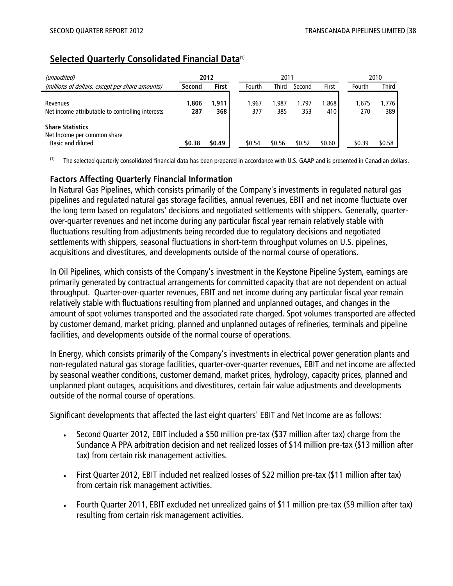# **Selected Quarterly Consolidated Financial Data**(1)

| (unaudited)                                                                 | 2012         |                | 2011         |              |              |              | 2010         |              |  |
|-----------------------------------------------------------------------------|--------------|----------------|--------------|--------------|--------------|--------------|--------------|--------------|--|
| (millions of dollars, except per share amounts)                             | Second       | First          | Fourth       | Third        | Second       | First        | Fourth       | <b>Third</b> |  |
| Revenues<br>Net income attributable to controlling interests                | 1.806<br>287 | 1,911  <br>368 | 1.967<br>377 | 1.987<br>385 | 797،۱<br>353 | 1.868<br>410 | 1.675<br>270 | 1,776<br>389 |  |
| <b>Share Statistics</b><br>Net Income per common share<br>Basic and diluted | \$0.38       | \$0.49         | \$0.54       | \$0.56       | \$0.52       | \$0.60       | \$0.39       | \$0.58       |  |

<sup>(1)</sup> The selected quarterly consolidated financial data has been prepared in accordance with U.S. GAAP and is presented in Canadian dollars.

# **Factors Affecting Quarterly Financial Information**

In Natural Gas Pipelines, which consists primarily of the Company's investments in regulated natural gas pipelines and regulated natural gas storage facilities, annual revenues, EBIT and net income fluctuate over the long term based on regulators' decisions and negotiated settlements with shippers. Generally, quarterover-quarter revenues and net income during any particular fiscal year remain relatively stable with fluctuations resulting from adjustments being recorded due to regulatory decisions and negotiated settlements with shippers, seasonal fluctuations in short-term throughput volumes on U.S. pipelines, acquisitions and divestitures, and developments outside of the normal course of operations.

In Oil Pipelines, which consists of the Company's investment in the Keystone Pipeline System, earnings are primarily generated by contractual arrangements for committed capacity that are not dependent on actual throughput. Quarter-over-quarter revenues, EBIT and net income during any particular fiscal year remain relatively stable with fluctuations resulting from planned and unplanned outages, and changes in the amount of spot volumes transported and the associated rate charged. Spot volumes transported are affected by customer demand, market pricing, planned and unplanned outages of refineries, terminals and pipeline facilities, and developments outside of the normal course of operations.

In Energy, which consists primarily of the Company's investments in electrical power generation plants and non-regulated natural gas storage facilities, quarter-over-quarter revenues, EBIT and net income are affected by seasonal weather conditions, customer demand, market prices, hydrology, capacity prices, planned and unplanned plant outages, acquisitions and divestitures, certain fair value adjustments and developments outside of the normal course of operations.

Significant developments that affected the last eight quarters' EBIT and Net Income are as follows:

- Second Quarter 2012, EBIT included a \$50 million pre-tax (\$37 million after tax) charge from the Sundance A PPA arbitration decision and net realized losses of \$14 million pre-tax (\$13 million after tax) from certain risk management activities.
- First Quarter 2012, EBIT included net realized losses of \$22 million pre-tax (\$11 million after tax) from certain risk management activities.
- Fourth Quarter 2011, EBIT excluded net unrealized gains of \$11 million pre-tax (\$9 million after tax) resulting from certain risk management activities.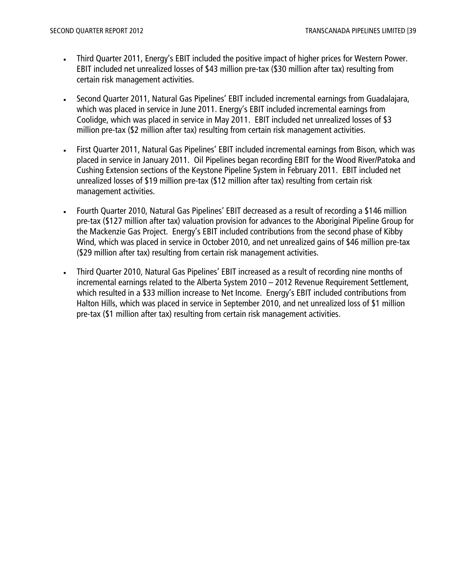- Third Quarter 2011, Energy's EBIT included the positive impact of higher prices for Western Power. EBIT included net unrealized losses of \$43 million pre-tax (\$30 million after tax) resulting from certain risk management activities.
- Second Quarter 2011, Natural Gas Pipelines' EBIT included incremental earnings from Guadalajara, which was placed in service in June 2011. Energy's EBIT included incremental earnings from Coolidge, which was placed in service in May 2011. EBIT included net unrealized losses of \$3 million pre-tax (\$2 million after tax) resulting from certain risk management activities.
- First Quarter 2011, Natural Gas Pipelines' EBIT included incremental earnings from Bison, which was placed in service in January 2011. Oil Pipelines began recording EBIT for the Wood River/Patoka and Cushing Extension sections of the Keystone Pipeline System in February 2011. EBIT included net unrealized losses of \$19 million pre-tax (\$12 million after tax) resulting from certain risk management activities.
- Fourth Quarter 2010, Natural Gas Pipelines' EBIT decreased as a result of recording a \$146 million pre-tax (\$127 million after tax) valuation provision for advances to the Aboriginal Pipeline Group for the Mackenzie Gas Project. Energy's EBIT included contributions from the second phase of Kibby Wind, which was placed in service in October 2010, and net unrealized gains of \$46 million pre-tax (\$29 million after tax) resulting from certain risk management activities.
- Third Quarter 2010, Natural Gas Pipelines' EBIT increased as a result of recording nine months of incremental earnings related to the Alberta System 2010 – 2012 Revenue Requirement Settlement, which resulted in a \$33 million increase to Net Income. Energy's EBIT included contributions from Halton Hills, which was placed in service in September 2010, and net unrealized loss of \$1 million pre-tax (\$1 million after tax) resulting from certain risk management activities.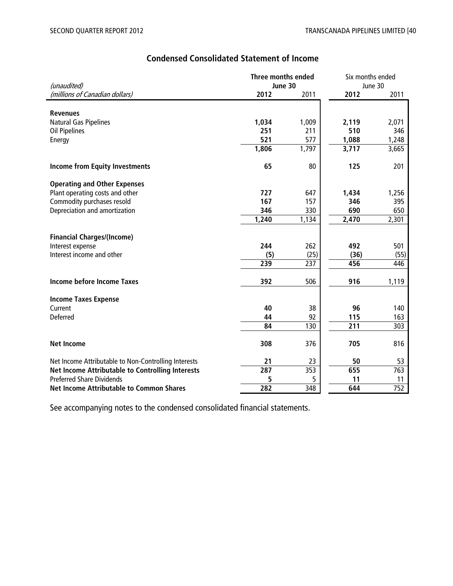| (unaudited)                                             | <b>Three months ended</b><br>June 30 |       | Six months ended<br>June 30 |                  |  |
|---------------------------------------------------------|--------------------------------------|-------|-----------------------------|------------------|--|
| (millions of Canadian dollars)                          | 2012                                 | 2011  | 2012                        | 2011             |  |
|                                                         |                                      |       |                             |                  |  |
| <b>Revenues</b>                                         |                                      |       |                             |                  |  |
| Natural Gas Pipelines                                   | 1,034                                | 1,009 | 2,119                       | 2,071            |  |
| <b>Oil Pipelines</b>                                    | 251                                  | 211   | 510                         | 346              |  |
| Energy                                                  | 521                                  | 577   | 1,088                       | 1,248            |  |
|                                                         | 1,806                                | 1,797 | 3,717                       | 3,665            |  |
| <b>Income from Equity Investments</b>                   | 65                                   | 80    | 125                         | 201              |  |
| <b>Operating and Other Expenses</b>                     |                                      |       |                             |                  |  |
| Plant operating costs and other                         | 727                                  | 647   | 1,434                       | 1,256            |  |
| Commodity purchases resold                              | 167                                  | 157   | 346                         | 395              |  |
| Depreciation and amortization                           | 346                                  | 330   | 690                         | 650              |  |
|                                                         | 1,240                                | 1,134 | 2,470                       | 2,301            |  |
| <b>Financial Charges/(Income)</b>                       |                                      |       |                             |                  |  |
| Interest expense                                        | 244                                  | 262   | 492                         | 501              |  |
| Interest income and other                               | (5)                                  | (25)  | (36)                        | (55)             |  |
|                                                         | 239                                  | 237   | 456                         | 446              |  |
| <b>Income before Income Taxes</b>                       | 392                                  | 506   | 916                         | 1,119            |  |
| <b>Income Taxes Expense</b>                             |                                      |       |                             |                  |  |
| Current                                                 | 40                                   | 38    | 96                          | 140              |  |
| Deferred                                                | 44                                   | 92    | 115                         | 163              |  |
|                                                         | 84                                   | 130   | 211                         | 303              |  |
| <b>Net Income</b>                                       | 308                                  | 376   | 705                         | 816              |  |
| Net Income Attributable to Non-Controlling Interests    | 21                                   | 23    | 50                          | 53               |  |
| <b>Net Income Attributable to Controlling Interests</b> | 287                                  | 353   | 655                         | 763              |  |
| <b>Preferred Share Dividends</b>                        | 5                                    | 5     | 11                          | 11               |  |
| <b>Net Income Attributable to Common Shares</b>         | $\overline{282}$                     | 348   | 644                         | $\overline{752}$ |  |

# **Condensed Consolidated Statement of Income**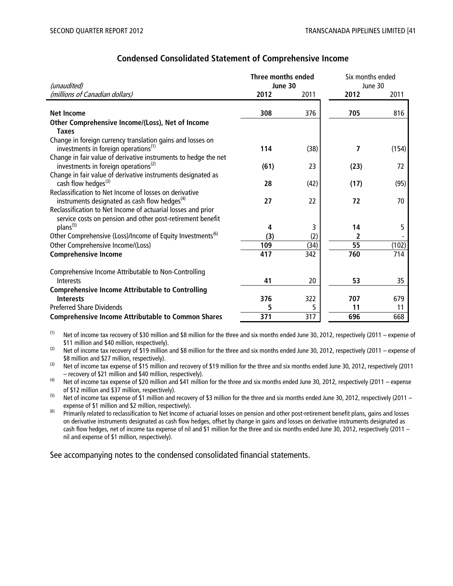|                                                                        | Three months ended |      | Six months ended |       |  |
|------------------------------------------------------------------------|--------------------|------|------------------|-------|--|
| (unaudited)                                                            | June 30            |      | June 30          |       |  |
| (millions of Canadian dollars)                                         | 2012               | 2011 | 2012             | 2011  |  |
|                                                                        |                    |      |                  |       |  |
| <b>Net Income</b>                                                      | 308                | 376  | 705              | 816   |  |
| Other Comprehensive Income/(Loss), Net of Income                       |                    |      |                  |       |  |
| <b>Taxes</b>                                                           |                    |      |                  |       |  |
| Change in foreign currency translation gains and losses on             |                    |      |                  |       |  |
| investments in foreign operations <sup>(1)</sup>                       | 114                | (38) | 7                | (154) |  |
| Change in fair value of derivative instruments to hedge the net        |                    |      |                  |       |  |
| investments in foreign operations <sup>(2)</sup>                       | (61)               | 23   | (23)             | 72    |  |
| Change in fair value of derivative instruments designated as           |                    |      |                  |       |  |
| cash flow hedges <sup>(3)</sup>                                        | 28                 | (42) | (17)             | (95)  |  |
| Reclassification to Net Income of losses on derivative                 |                    |      |                  |       |  |
| instruments designated as cash flow hedges <sup>(4)</sup>              | 27                 | 22   | 72               | 70    |  |
| Reclassification to Net Income of actuarial losses and prior           |                    |      |                  |       |  |
| service costs on pension and other post-retirement benefit             |                    |      |                  |       |  |
| plans <sup>(5)</sup>                                                   | 4                  | 3    | 14               | 5     |  |
| Other Comprehensive (Loss)/Income of Equity Investments <sup>(6)</sup> | (3)                | (2)  | 2                |       |  |
| Other Comprehensive Income/(Loss)                                      | 109                | (34) | $\overline{55}$  | (102) |  |
| <b>Comprehensive Income</b>                                            | 417                | 342  | 760              | 714   |  |
| Comprehensive Income Attributable to Non-Controlling                   |                    |      |                  |       |  |
| Interests                                                              | 41                 | 20   | 53               | 35    |  |
| <b>Comprehensive Income Attributable to Controlling</b>                |                    |      |                  |       |  |
| <b>Interests</b>                                                       | 376                | 322  | 707              | 679   |  |
| <b>Preferred Share Dividends</b>                                       | 5                  | 5    | 11               | 11    |  |
| <b>Comprehensive Income Attributable to Common Shares</b>              | 371                | 317  | 696              | 668   |  |

#### **Condensed Consolidated Statement of Comprehensive Income**

(1) Net of income tax recovery of \$30 million and \$8 million for the three and six months ended June 30, 2012, respectively (2011 – expense of \$11 million and \$40 million, respectively).

(2) Net of income tax recovery of \$19 million and \$8 million for the three and six months ended June 30, 2012, respectively (2011 – expense of \$8 million and \$27 million, respectively).

(3) Net of income tax expense of \$15 million and recovery of \$19 million for the three and six months ended June 30, 2012, respectively (2011 – recovery of \$21 million and \$40 million, respectively).

<sup>(4)</sup> Net of income tax expense of \$20 million and \$41 million for the three and six months ended June 30, 2012, respectively (2011 – expense of \$12 million and \$37 million, respectively).

<sup>(5)</sup> Net of income tax expense of \$1 million and recovery of \$3 million for the three and six months ended June 30, 2012, respectively (2011 – expense of \$1 million and \$2 million, respectively).

<sup>(6)</sup> Primarily related to reclassification to Net Income of actuarial losses on pension and other post-retirement benefit plans, gains and losses on derivative instruments designated as cash flow hedges, offset by change in gains and losses on derivative instruments designated as cash flow hedges, net of income tax expense of nil and \$1 million for the three and six months ended June 30, 2012, respectively (2011 – nil and expense of \$1 million, respectively).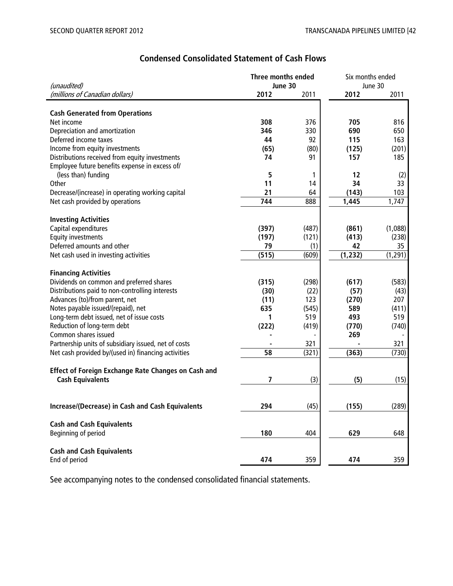| (unaudited)                                                                                      | Three months ended<br>June 30 |       | Six months ended<br>June 30 |           |  |
|--------------------------------------------------------------------------------------------------|-------------------------------|-------|-----------------------------|-----------|--|
| (millions of Canadian dollars)                                                                   | 2012                          | 2011  | 2012                        | 2011      |  |
|                                                                                                  |                               |       |                             |           |  |
| <b>Cash Generated from Operations</b>                                                            |                               |       |                             |           |  |
| Net income                                                                                       | 308                           | 376   | 705                         | 816       |  |
| Depreciation and amortization                                                                    | 346                           | 330   | 690                         | 650       |  |
| Deferred income taxes                                                                            | 44                            | 92    | 115                         | 163       |  |
| Income from equity investments                                                                   | (65)                          | (80)  | (125)                       | (201)     |  |
| Distributions received from equity investments<br>Employee future benefits expense in excess of/ | 74                            | 91    | 157                         | 185       |  |
| (less than) funding                                                                              | 5                             | 1     | 12                          |           |  |
| Other                                                                                            | 11                            | 14    | 34                          | (2)<br>33 |  |
| Decrease/(increase) in operating working capital                                                 | 21                            | 64    | (143)                       | 103       |  |
| Net cash provided by operations                                                                  | 744                           | 888   | 1,445                       | 1,747     |  |
|                                                                                                  |                               |       |                             |           |  |
| <b>Investing Activities</b>                                                                      |                               |       |                             |           |  |
| Capital expenditures                                                                             | (397)                         | (487) | (861)                       | (1,088)   |  |
| <b>Equity investments</b>                                                                        | (197)                         | (121) | (413)                       | (238)     |  |
| Deferred amounts and other                                                                       | 79                            | (1)   | 42                          | 35        |  |
| Net cash used in investing activities                                                            | (515)                         | (609) | (1, 232)                    | (1, 291)  |  |
|                                                                                                  |                               |       |                             |           |  |
| <b>Financing Activities</b>                                                                      |                               |       |                             |           |  |
| Dividends on common and preferred shares                                                         | (315)                         | (298) | (617)                       | (583)     |  |
| Distributions paid to non-controlling interests                                                  | (30)                          | (22)  | (57)                        | (43)      |  |
| Advances (to)/from parent, net                                                                   | (11)                          | 123   | (270)                       | 207       |  |
| Notes payable issued/(repaid), net                                                               | 635                           | (545) | 589                         | (411)     |  |
| Long-term debt issued, net of issue costs                                                        | 1                             | 519   | 493                         | 519       |  |
| Reduction of long-term debt                                                                      | (222)                         | (419) | (770)                       | (740)     |  |
| Common shares issued                                                                             |                               |       | 269                         |           |  |
| Partnership units of subsidiary issued, net of costs                                             |                               | 321   |                             | 321       |  |
| Net cash provided by/(used in) financing activities                                              | 58                            | (321) | (363)                       | (730)     |  |
|                                                                                                  |                               |       |                             |           |  |
| <b>Effect of Foreign Exchange Rate Changes on Cash and</b>                                       |                               |       |                             |           |  |
| <b>Cash Equivalents</b>                                                                          | 7                             | (3)   | (5)                         | (15)      |  |
|                                                                                                  |                               |       |                             |           |  |
| <b>Increase/(Decrease) in Cash and Cash Equivalents</b>                                          | 294                           | (45)  | (155)                       | (289)     |  |
|                                                                                                  |                               |       |                             |           |  |
| <b>Cash and Cash Equivalents</b>                                                                 |                               |       |                             |           |  |
| Beginning of period                                                                              | 180                           | 404   | 629                         | 648       |  |
|                                                                                                  |                               |       |                             |           |  |
| <b>Cash and Cash Equivalents</b>                                                                 |                               |       |                             |           |  |
| End of period                                                                                    | 474                           | 359   | 474                         | 359       |  |
|                                                                                                  |                               |       |                             |           |  |

# **Condensed Consolidated Statement of Cash Flows**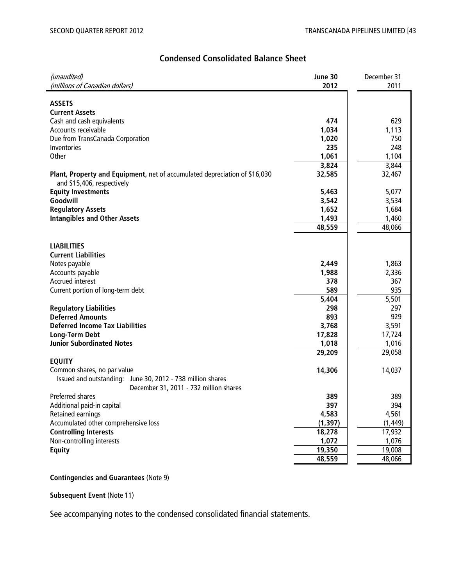# **Condensed Consolidated Balance Sheet**

| (unaudited)<br>(millions of Canadian dollars)                                                            | June 30<br>2012 | December 31<br>2011 |
|----------------------------------------------------------------------------------------------------------|-----------------|---------------------|
|                                                                                                          |                 |                     |
| <b>ASSETS</b>                                                                                            |                 |                     |
| <b>Current Assets</b>                                                                                    |                 |                     |
| Cash and cash equivalents                                                                                | 474             | 629                 |
| Accounts receivable                                                                                      | 1,034           | 1,113               |
| Due from TransCanada Corporation                                                                         | 1,020           | 750                 |
| Inventories                                                                                              | 235             | 248                 |
| Other                                                                                                    | 1,061           | 1,104               |
|                                                                                                          | 3,824           | 3,844               |
| Plant, Property and Equipment, net of accumulated depreciation of \$16,030<br>and \$15,406, respectively | 32,585          | 32,467              |
| <b>Equity Investments</b>                                                                                | 5,463           | 5,077               |
| Goodwill                                                                                                 | 3,542           | 3,534               |
| <b>Regulatory Assets</b>                                                                                 | 1,652           | 1,684               |
| <b>Intangibles and Other Assets</b>                                                                      | 1,493           | 1,460               |
|                                                                                                          | 48,559          | 48,066              |
| <b>LIABILITIES</b><br><b>Current Liabilities</b>                                                         |                 |                     |
| Notes payable                                                                                            | 2,449           | 1,863               |
| Accounts payable                                                                                         | 1,988           | 2,336               |
| <b>Accrued interest</b>                                                                                  | 378             | 367                 |
| Current portion of long-term debt                                                                        | 589             | 935                 |
|                                                                                                          | 5,404           | 5,501               |
| <b>Regulatory Liabilities</b>                                                                            | 298             | 297                 |
| <b>Deferred Amounts</b>                                                                                  | 893             | 929                 |
| <b>Deferred Income Tax Liabilities</b>                                                                   | 3,768           | 3,591               |
| <b>Long-Term Debt</b>                                                                                    | 17,828          | 17,724              |
| <b>Junior Subordinated Notes</b>                                                                         | 1,018           | 1,016               |
| <b>EQUITY</b>                                                                                            | 29,209          | 29,058              |
| Common shares, no par value                                                                              | 14,306          | 14,037              |
| Issued and outstanding:<br>June 30, 2012 - 738 million shares<br>December 31, 2011 - 732 million shares  |                 |                     |
| Preferred shares                                                                                         | 389             | 389                 |
| Additional paid-in capital                                                                               | 397             | 394                 |
| <b>Retained earnings</b>                                                                                 | 4,583           | 4,561               |
| Accumulated other comprehensive loss                                                                     | (1, 397)        | (1, 449)            |
| <b>Controlling Interests</b>                                                                             | 18,278          | 17,932              |
| Non-controlling interests                                                                                | 1,072           | 1,076               |
| <b>Equity</b>                                                                                            | 19,350          | 19,008              |
|                                                                                                          | 48,559          | 48,066              |

# **Contingencies and Guarantees** (Note 9)

**Subsequent Event** (Note 11)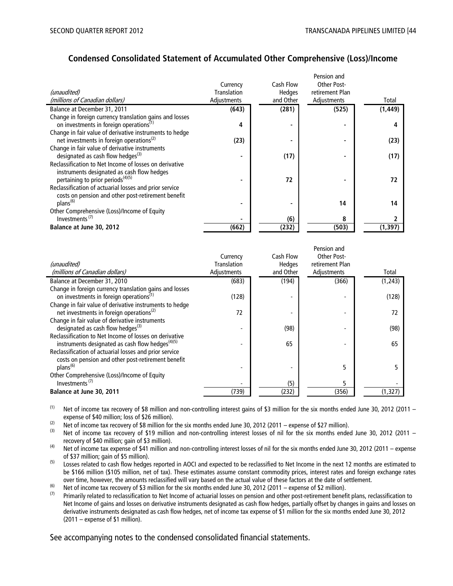Pension and

#### **Condensed Consolidated Statement of Accumulated Other Comprehensive (Loss)/Income**

|                                                         |                |           | Pension and        |          |
|---------------------------------------------------------|----------------|-----------|--------------------|----------|
|                                                         | Currency       | Cash Flow | <b>Other Post-</b> |          |
| (unaudited)                                             | Translation    | Hedges    | retirement Plan    |          |
| (millions of Canadian dollars)                          | Adjustments    | and Other | Adjustments        | Total    |
| Balance at December 31, 2011                            | (643)          | (281)     | (525)              | (1, 449) |
| Change in foreign currency translation gains and losses |                |           |                    |          |
| on investments in foreign operations <sup>(1)</sup>     | 4              |           |                    |          |
| Change in fair value of derivative instruments to hedge |                |           |                    |          |
| net investments in foreign operations <sup>(2)</sup>    | (23)           |           |                    | (23)     |
| Change in fair value of derivative instruments          |                |           |                    |          |
| designated as cash flow hedges <sup>(3)</sup>           | $\blacksquare$ | (17)      |                    | (17)     |
| Reclassification to Net Income of losses on derivative  |                |           |                    |          |
| instruments designated as cash flow hedges              |                |           |                    |          |
| pertaining to prior periods <sup>(4)(5)</sup>           |                | 72        |                    | 72       |
| Reclassification of actuarial losses and prior service  |                |           |                    |          |
| costs on pension and other post-retirement benefit      |                |           |                    |          |
| plans <sup>(6)</sup>                                    |                |           | 14                 | 14       |
| Other Comprehensive (Loss)/Income of Equity             |                |           |                    |          |
| Investments <sup>(7)</sup>                              |                | (6)       | 8                  |          |
| Balance at June 30, 2012                                | (662)          | (232)     | (503)              | (1, 397) |

| Total    |
|----------|
| (1, 243) |
|          |
| (128)    |
|          |
| 72       |
|          |
| (98)     |
|          |
| 65       |
|          |
|          |
| 5        |
|          |
|          |
| (1, 327) |
|          |

(1) Net of income tax recovery of \$8 million and non-controlling interest gains of \$3 million for the six months ended June 30, 2012 (2011 – expense of \$40 million; loss of \$26 million).

(2) Net of income tax recovery of \$8 million for the six months ended June 30, 2012 (2011 – expense of \$27 million).

Net of income tax recovery of \$19 million and non-controlling interest losses of nil for the six months ended June 30, 2012 (2011 – recovery of \$40 million; gain of \$3 million).

(4) Net of income tax expense of \$41 million and non-controlling interest losses of nil for the six months ended June 30, 2012 (2011 – expense of \$37 million; gain of \$5 million).

(5) Losses related to cash flow hedges reported in AOCI and expected to be reclassified to Net Income in the next 12 months are estimated to be \$166 million (\$105 million, net of tax). These estimates assume constant commodity prices, interest rates and foreign exchange rates over time, however, the amounts reclassified will vary based on the actual value of these factors at the date of settlement.

(6) Net of income tax recovery of \$3 million for the six months ended June 30, 2012 (2011 – expense of \$2 million).

Primarily related to reclassification to Net Income of actuarial losses on pension and other post-retirement benefit plans, reclassification to Net Income of gains and losses on derivative instruments designated as cash flow hedges, partially offset by changes in gains and losses on derivative instruments designated as cash flow hedges, net of income tax expense of \$1 million for the six months ended June 30, 2012 (2011 – expense of \$1 million).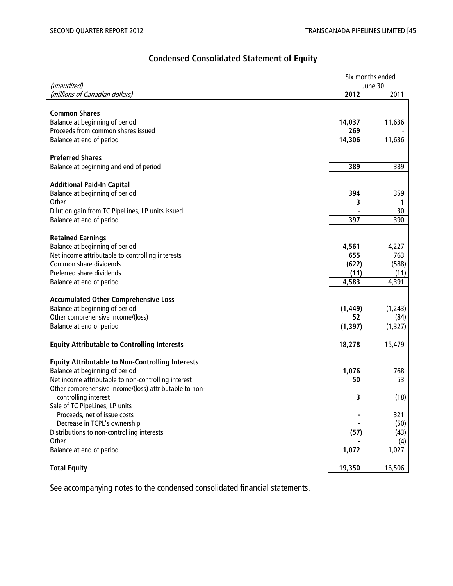# **Condensed Consolidated Statement of Equity**

|                                                                      |               | Six months ended<br>June 30 |  |
|----------------------------------------------------------------------|---------------|-----------------------------|--|
| (unaudited)<br>(millions of Canadian dollars)                        | 2012          | 2011                        |  |
|                                                                      |               |                             |  |
| <b>Common Shares</b>                                                 |               |                             |  |
| Balance at beginning of period<br>Proceeds from common shares issued | 14,037<br>269 | 11,636                      |  |
| Balance at end of period                                             | 14,306        | 11,636                      |  |
|                                                                      |               |                             |  |
| <b>Preferred Shares</b>                                              |               |                             |  |
| Balance at beginning and end of period                               | 389           | 389                         |  |
| <b>Additional Paid-In Capital</b>                                    |               |                             |  |
| Balance at beginning of period                                       | 394           | 359                         |  |
| Other                                                                | 3             |                             |  |
| Dilution gain from TC PipeLines, LP units issued                     |               | 30                          |  |
| Balance at end of period                                             | 397           | 390                         |  |
| <b>Retained Earnings</b>                                             |               |                             |  |
| Balance at beginning of period                                       | 4,561         | 4,227                       |  |
| Net income attributable to controlling interests                     | 655           | 763                         |  |
| Common share dividends                                               | (622)         | (588)                       |  |
| Preferred share dividends                                            | (11)          | (11)                        |  |
| Balance at end of period                                             | 4,583         | 4,391                       |  |
| <b>Accumulated Other Comprehensive Loss</b>                          |               |                             |  |
| Balance at beginning of period                                       | (1, 449)      | (1, 243)                    |  |
| Other comprehensive income/(loss)                                    | 52            | (84)                        |  |
| Balance at end of period                                             | (1, 397)      | (1, 327)                    |  |
|                                                                      |               |                             |  |
| <b>Equity Attributable to Controlling Interests</b>                  | 18,278        | 15,479                      |  |
| <b>Equity Attributable to Non-Controlling Interests</b>              |               |                             |  |
| Balance at beginning of period                                       | 1,076         | 768                         |  |
| Net income attributable to non-controlling interest                  | 50            | 53                          |  |
| Other comprehensive income/(loss) attributable to non-               |               |                             |  |
| controlling interest                                                 | 3             | (18)                        |  |
| Sale of TC PipeLines, LP units                                       |               |                             |  |
| Proceeds, net of issue costs                                         |               | 321                         |  |
| Decrease in TCPL's ownership                                         |               | (50)                        |  |
| Distributions to non-controlling interests                           | (57)          | (43)                        |  |
| Other                                                                |               | (4)                         |  |
| Balance at end of period                                             | 1,072         | 1,027                       |  |
| <b>Total Equity</b>                                                  | 19,350        | 16,506                      |  |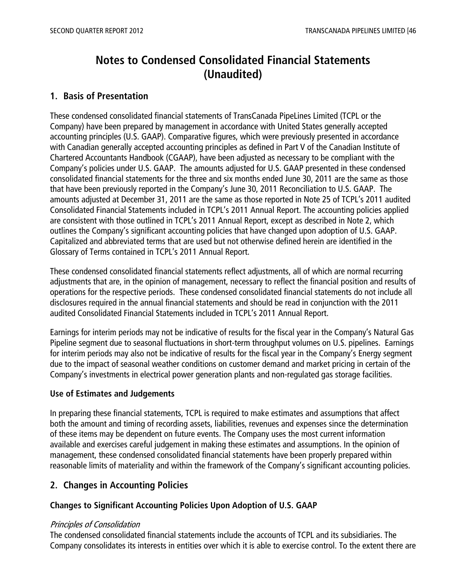# **Notes to Condensed Consolidated Financial Statements (Unaudited)**

# **1. Basis of Presentation**

These condensed consolidated financial statements of TransCanada PipeLines Limited (TCPL or the Company) have been prepared by management in accordance with United States generally accepted accounting principles (U.S. GAAP). Comparative figures, which were previously presented in accordance with Canadian generally accepted accounting principles as defined in Part V of the Canadian Institute of Chartered Accountants Handbook (CGAAP), have been adjusted as necessary to be compliant with the Company's policies under U.S. GAAP. The amounts adjusted for U.S. GAAP presented in these condensed consolidated financial statements for the three and six months ended June 30, 2011 are the same as those that have been previously reported in the Company's June 30, 2011 Reconciliation to U.S. GAAP. The amounts adjusted at December 31, 2011 are the same as those reported in Note 25 of TCPL's 2011 audited Consolidated Financial Statements included in TCPL's 2011 Annual Report. The accounting policies applied are consistent with those outlined in TCPL's 2011 Annual Report, except as described in Note 2, which outlines the Company's significant accounting policies that have changed upon adoption of U.S. GAAP. Capitalized and abbreviated terms that are used but not otherwise defined herein are identified in the Glossary of Terms contained in TCPL's 2011 Annual Report.

These condensed consolidated financial statements reflect adjustments, all of which are normal recurring adjustments that are, in the opinion of management, necessary to reflect the financial position and results of operations for the respective periods. These condensed consolidated financial statements do not include all disclosures required in the annual financial statements and should be read in conjunction with the 2011 audited Consolidated Financial Statements included in TCPL's 2011 Annual Report.

Earnings for interim periods may not be indicative of results for the fiscal year in the Company's Natural Gas Pipeline segment due to seasonal fluctuations in short-term throughput volumes on U.S. pipelines. Earnings for interim periods may also not be indicative of results for the fiscal year in the Company's Energy segment due to the impact of seasonal weather conditions on customer demand and market pricing in certain of the Company's investments in electrical power generation plants and non-regulated gas storage facilities.

#### **Use of Estimates and Judgements**

In preparing these financial statements, TCPL is required to make estimates and assumptions that affect both the amount and timing of recording assets, liabilities, revenues and expenses since the determination of these items may be dependent on future events. The Company uses the most current information available and exercises careful judgement in making these estimates and assumptions. In the opinion of management, these condensed consolidated financial statements have been properly prepared within reasonable limits of materiality and within the framework of the Company's significant accounting policies.

# **2. Changes in Accounting Policies**

#### **Changes to Significant Accounting Policies Upon Adoption of U.S. GAAP**

#### Principles of Consolidation

The condensed consolidated financial statements include the accounts of TCPL and its subsidiaries. The Company consolidates its interests in entities over which it is able to exercise control. To the extent there are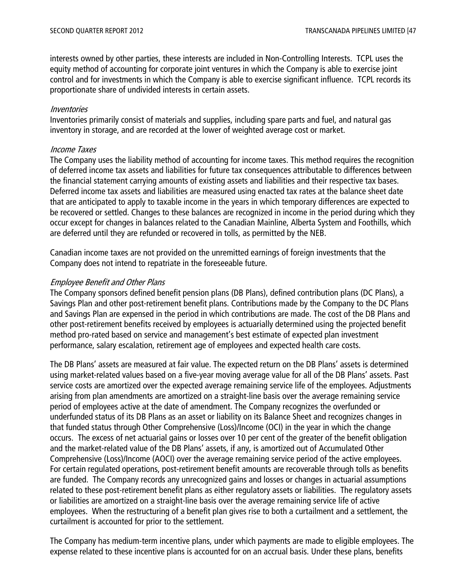interests owned by other parties, these interests are included in Non-Controlling Interests. TCPL uses the equity method of accounting for corporate joint ventures in which the Company is able to exercise joint control and for investments in which the Company is able to exercise significant influence. TCPL records its proportionate share of undivided interests in certain assets.

#### **Inventories**

Inventories primarily consist of materials and supplies, including spare parts and fuel, and natural gas inventory in storage, and are recorded at the lower of weighted average cost or market.

#### Income Taxes

The Company uses the liability method of accounting for income taxes. This method requires the recognition of deferred income tax assets and liabilities for future tax consequences attributable to differences between the financial statement carrying amounts of existing assets and liabilities and their respective tax bases. Deferred income tax assets and liabilities are measured using enacted tax rates at the balance sheet date that are anticipated to apply to taxable income in the years in which temporary differences are expected to be recovered or settled. Changes to these balances are recognized in income in the period during which they occur except for changes in balances related to the Canadian Mainline, Alberta System and Foothills, which are deferred until they are refunded or recovered in tolls, as permitted by the NEB.

Canadian income taxes are not provided on the unremitted earnings of foreign investments that the Company does not intend to repatriate in the foreseeable future.

# Employee Benefit and Other Plans

The Company sponsors defined benefit pension plans (DB Plans), defined contribution plans (DC Plans), a Savings Plan and other post-retirement benefit plans. Contributions made by the Company to the DC Plans and Savings Plan are expensed in the period in which contributions are made. The cost of the DB Plans and other post-retirement benefits received by employees is actuarially determined using the projected benefit method pro-rated based on service and management's best estimate of expected plan investment performance, salary escalation, retirement age of employees and expected health care costs.

The DB Plans' assets are measured at fair value. The expected return on the DB Plans' assets is determined using market-related values based on a five-year moving average value for all of the DB Plans' assets. Past service costs are amortized over the expected average remaining service life of the employees. Adjustments arising from plan amendments are amortized on a straight-line basis over the average remaining service period of employees active at the date of amendment. The Company recognizes the overfunded or underfunded status of its DB Plans as an asset or liability on its Balance Sheet and recognizes changes in that funded status through Other Comprehensive (Loss)/Income (OCI) in the year in which the change occurs. The excess of net actuarial gains or losses over 10 per cent of the greater of the benefit obligation and the market-related value of the DB Plans' assets, if any, is amortized out of Accumulated Other Comprehensive (Loss)/Income (AOCI) over the average remaining service period of the active employees. For certain regulated operations, post-retirement benefit amounts are recoverable through tolls as benefits are funded. The Company records any unrecognized gains and losses or changes in actuarial assumptions related to these post-retirement benefit plans as either regulatory assets or liabilities. The regulatory assets or liabilities are amortized on a straight-line basis over the average remaining service life of active employees. When the restructuring of a benefit plan gives rise to both a curtailment and a settlement, the curtailment is accounted for prior to the settlement.

The Company has medium-term incentive plans, under which payments are made to eligible employees. The expense related to these incentive plans is accounted for on an accrual basis. Under these plans, benefits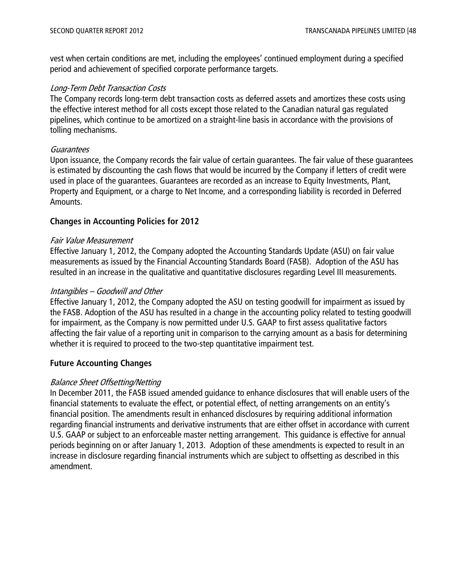vest when certain conditions are met, including the employees' continued employment during a specified period and achievement of specified corporate performance targets.

#### Long-Term Debt Transaction Costs

The Company records long-term debt transaction costs as deferred assets and amortizes these costs using the effective interest method for all costs except those related to the Canadian natural gas regulated pipelines, which continue to be amortized on a straight-line basis in accordance with the provisions of tolling mechanisms.

#### Guarantees

Upon issuance, the Company records the fair value of certain guarantees. The fair value of these guarantees is estimated by discounting the cash flows that would be incurred by the Company if letters of credit were used in place of the guarantees. Guarantees are recorded as an increase to Equity Investments, Plant, Property and Equipment, or a charge to Net Income, and a corresponding liability is recorded in Deferred Amounts.

#### **Changes in Accounting Policies for 2012**

#### Fair Value Measurement

Effective January 1, 2012, the Company adopted the Accounting Standards Update (ASU) on fair value measurements as issued by the Financial Accounting Standards Board (FASB). Adoption of the ASU has resulted in an increase in the qualitative and quantitative disclosures regarding Level III measurements.

#### Intangibles – Goodwill and Other

Effective January 1, 2012, the Company adopted the ASU on testing goodwill for impairment as issued by the FASB. Adoption of the ASU has resulted in a change in the accounting policy related to testing goodwill for impairment, as the Company is now permitted under U.S. GAAP to first assess qualitative factors affecting the fair value of a reporting unit in comparison to the carrying amount as a basis for determining whether it is required to proceed to the two-step quantitative impairment test.

#### **Future Accounting Changes**

#### Balance Sheet Offsetting/Netting

In December 2011, the FASB issued amended guidance to enhance disclosures that will enable users of the financial statements to evaluate the effect, or potential effect, of netting arrangements on an entity's financial position. The amendments result in enhanced disclosures by requiring additional information regarding financial instruments and derivative instruments that are either offset in accordance with current U.S. GAAP or subject to an enforceable master netting arrangement. This guidance is effective for annual periods beginning on or after January 1, 2013. Adoption of these amendments is expected to result in an increase in disclosure regarding financial instruments which are subject to offsetting as described in this amendment.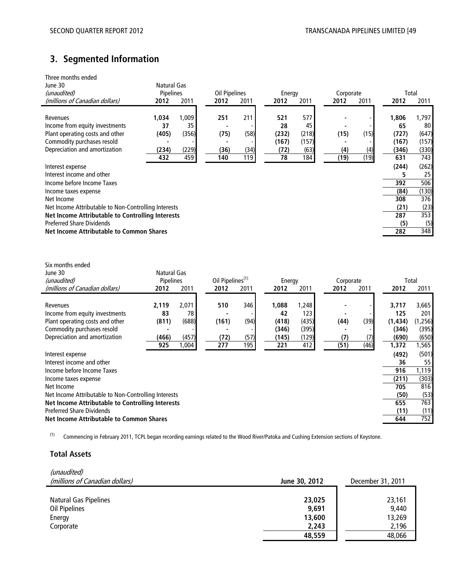# **3. Segmented Information**

| Three months ended                                      |             |       |                      |      |        |       |           |      |       |       |
|---------------------------------------------------------|-------------|-------|----------------------|------|--------|-------|-----------|------|-------|-------|
| June 30                                                 | Natural Gas |       |                      |      |        |       |           |      |       |       |
| (unaudited)                                             | Pipelines   |       | <b>Oil Pipelines</b> |      | Energy |       | Corporate |      | Total |       |
| (millions of Canadian dollars)                          | 2012        | 2011  | 2012                 | 2011 | 2012   | 2011  | 2012      | 2011 | 2012  | 2011  |
|                                                         |             |       |                      |      |        |       |           |      |       |       |
| Revenues                                                | 1,034       | 1,009 | 251                  | 211  | 521    | 577   |           |      | 1,806 | 1,797 |
| Income from equity investments                          | 37          | 35    |                      |      | 28     | 45    |           |      | 65    | 80    |
| Plant operating costs and other                         | (405)       | (356) | (75)                 | (58) | (232)  | (218) | (15)      | (15) | (727) | (647) |
| Commodity purchases resold                              |             |       |                      |      | (167)  | (157) |           |      | (167) | (157) |
| Depreciation and amortization                           | (234)       | (229) | (36)                 | (34) | (72)   | (63)  | (4)       | (4)  | (346) | (330) |
|                                                         | 432         | 459   | 140                  | 119  | 78     | 184   | (19)      | (19) | 631   | 743   |
| Interest expense                                        |             |       |                      |      |        |       |           |      | (244) | (262) |
| Interest income and other                               |             |       |                      |      |        |       |           |      | 5     | 25    |
| Income before Income Taxes                              |             |       |                      |      |        |       |           |      | 392   | 506   |
| Income taxes expense                                    |             |       |                      |      |        |       |           |      | (84)  | (130) |
| Net Income                                              |             |       |                      |      |        |       |           |      | 308   | 376   |
| Net Income Attributable to Non-Controlling Interests    |             |       |                      |      |        |       |           |      | (21)  | (23)  |
| <b>Net Income Attributable to Controlling Interests</b> |             |       |                      |      |        |       |           |      | 287   | 353   |
| <b>Preferred Share Dividends</b>                        |             |       |                      |      |        |       |           |      | (5)   | (5)   |
| Net Income Attributable to Common Shares                |             |       |                      |      |        |       |           |      | 282   | 348   |

| Six months ended<br>June 30<br>(unaudited)<br>(millions of Canadian dollars)                                                                                                                                                                                                                                         | Natural Gas<br>Pipelines<br>2012     | 2011                                   | Oil Pipelines <sup>(1)</sup><br>2012 | 2011                       | Energy<br>2012                                | 2011                                           | Corporate<br>2012   | 2011                | 2012                                                             | Total<br>2011                                                      |
|----------------------------------------------------------------------------------------------------------------------------------------------------------------------------------------------------------------------------------------------------------------------------------------------------------------------|--------------------------------------|----------------------------------------|--------------------------------------|----------------------------|-----------------------------------------------|------------------------------------------------|---------------------|---------------------|------------------------------------------------------------------|--------------------------------------------------------------------|
| Revenues<br>Income from equity investments<br>Plant operating costs and other<br>Commodity purchases resold<br>Depreciation and amortization                                                                                                                                                                         | 2,119<br>83<br>(811)<br>(466)<br>925 | 2,071<br>78<br>(688)<br>(457)<br>1,004 | 510<br>(161)<br>(72)<br>277          | 346<br>(94)<br>(57)<br>195 | 1,088<br>42<br>(418)<br>(346)<br>(145)<br>221 | 1,248<br>123<br>(435)<br>(395)<br>(129)<br>412 | (44)<br>(7)<br>(51) | (39)<br>(7)<br>(46) | 3,717<br>125<br>(1, 434)<br>(346)<br>(690)<br>1,372              | 3,665<br>201<br>(1,256)<br>(395)<br>(650)<br>1,565                 |
| Interest expense<br>Interest income and other<br>Income before Income Taxes<br>Income taxes expense<br>Net Income<br>Net Income Attributable to Non-Controlling Interests<br><b>Net Income Attributable to Controlling Interests</b><br><b>Preferred Share Dividends</b><br>Net Income Attributable to Common Shares |                                      |                                        |                                      |                            |                                               |                                                |                     |                     | (492)<br>36<br>916<br>(211)<br>705<br>(50)<br>655<br>(11)<br>644 | (501)<br>55<br>1,119<br>(303)<br>816<br>(53)<br>763<br>(11)<br>752 |

(1) Commencing in February 2011, TCPL began recording earnings related to the Wood River/Patoka and Cushing Extension sections of Keystone.

#### **Total Assets**

| (unaudited)<br>(millions of Canadian dollars) | June 30, 2012   | December 31, 2011 |
|-----------------------------------------------|-----------------|-------------------|
| <b>Natural Gas Pipelines</b>                  | 23,025          | 23,161            |
| Oil Pipelines<br>Energy                       | 9,691<br>13,600 | 9,440<br>13,269   |
| Corporate                                     | 2,243<br>48,559 | 2,196<br>48,066   |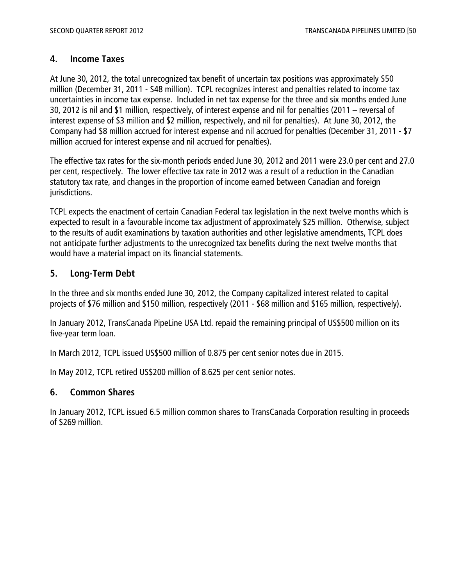# **4. Income Taxes**

At June 30, 2012, the total unrecognized tax benefit of uncertain tax positions was approximately \$50 million (December 31, 2011 - \$48 million). TCPL recognizes interest and penalties related to income tax uncertainties in income tax expense. Included in net tax expense for the three and six months ended June 30, 2012 is nil and \$1 million, respectively, of interest expense and nil for penalties (2011 – reversal of interest expense of \$3 million and \$2 million, respectively, and nil for penalties). At June 30, 2012, the Company had \$8 million accrued for interest expense and nil accrued for penalties (December 31, 2011 - \$7 million accrued for interest expense and nil accrued for penalties).

The effective tax rates for the six-month periods ended June 30, 2012 and 2011 were 23.0 per cent and 27.0 per cent, respectively. The lower effective tax rate in 2012 was a result of a reduction in the Canadian statutory tax rate, and changes in the proportion of income earned between Canadian and foreign jurisdictions.

TCPL expects the enactment of certain Canadian Federal tax legislation in the next twelve months which is expected to result in a favourable income tax adjustment of approximately \$25 million. Otherwise, subject to the results of audit examinations by taxation authorities and other legislative amendments, TCPL does not anticipate further adjustments to the unrecognized tax benefits during the next twelve months that would have a material impact on its financial statements.

# **5. Long-Term Debt**

In the three and six months ended June 30, 2012, the Company capitalized interest related to capital projects of \$76 million and \$150 million, respectively (2011 - \$68 million and \$165 million, respectively).

In January 2012, TransCanada PipeLine USA Ltd. repaid the remaining principal of US\$500 million on its five-year term loan.

In March 2012, TCPL issued US\$500 million of 0.875 per cent senior notes due in 2015.

In May 2012, TCPL retired US\$200 million of 8.625 per cent senior notes.

#### **6. Common Shares**

In January 2012, TCPL issued 6.5 million common shares to TransCanada Corporation resulting in proceeds of \$269 million.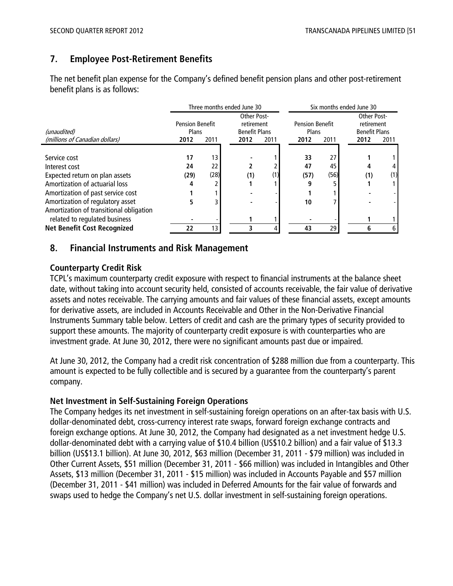# **7. Employee Post-Retirement Benefits**

The net benefit plan expense for the Company's defined benefit pension plans and other post-retirement benefit plans is as follows:

|                                                                                                                                                                                                                       |                                                 |                  | Three months ended June 30 |                                                           | Six months ended June 30 |                                                 |          |                                                                          |  |
|-----------------------------------------------------------------------------------------------------------------------------------------------------------------------------------------------------------------------|-------------------------------------------------|------------------|----------------------------|-----------------------------------------------------------|--------------------------|-------------------------------------------------|----------|--------------------------------------------------------------------------|--|
| (unaudited)<br>(millions of Canadian dollars)                                                                                                                                                                         | <b>Pension Benefit</b><br>Plans<br>2011<br>2012 |                  | 2012                       | Other Post-<br>retirement<br><b>Benefit Plans</b><br>2011 |                          | <b>Pension Benefit</b><br>Plans<br>2011<br>2012 |          | <b>Other Post-</b><br>retirement<br><b>Benefit Plans</b><br>2011<br>2012 |  |
| Service cost<br>Interest cost<br>Expected return on plan assets<br>Amortization of actuarial loss<br>Amortization of past service cost<br>Amortization of regulatory asset<br>Amortization of transitional obligation | 17<br>24<br>(29)                                | 13<br>22<br>(28) | (1)                        |                                                           | 33<br>47<br>(57)<br>10   | 27<br>45<br>(56)                                | 4<br>(1) | 4<br>(1)                                                                 |  |
| related to regulated business<br><b>Net Benefit Cost Recognized</b>                                                                                                                                                   | 22                                              | 13               |                            |                                                           | 43                       | 29                                              | 6        | 6                                                                        |  |

# **8. Financial Instruments and Risk Management**

# **Counterparty Credit Risk**

TCPL's maximum counterparty credit exposure with respect to financial instruments at the balance sheet date, without taking into account security held, consisted of accounts receivable, the fair value of derivative assets and notes receivable. The carrying amounts and fair values of these financial assets, except amounts for derivative assets, are included in Accounts Receivable and Other in the Non-Derivative Financial Instruments Summary table below. Letters of credit and cash are the primary types of security provided to support these amounts. The majority of counterparty credit exposure is with counterparties who are investment grade. At June 30, 2012, there were no significant amounts past due or impaired.

At June 30, 2012, the Company had a credit risk concentration of \$288 million due from a counterparty. This amount is expected to be fully collectible and is secured by a guarantee from the counterparty's parent company.

# **Net Investment in Self-Sustaining Foreign Operations**

The Company hedges its net investment in self-sustaining foreign operations on an after-tax basis with U.S. dollar-denominated debt, cross-currency interest rate swaps, forward foreign exchange contracts and foreign exchange options. At June 30, 2012, the Company had designated as a net investment hedge U.S. dollar-denominated debt with a carrying value of \$10.4 billion (US\$10.2 billion) and a fair value of \$13.3 billion (US\$13.1 billion). At June 30, 2012, \$63 million (December 31, 2011 - \$79 million) was included in Other Current Assets, \$51 million (December 31, 2011 - \$66 million) was included in Intangibles and Other Assets, \$13 million (December 31, 2011 - \$15 million) was included in Accounts Payable and \$57 million (December 31, 2011 - \$41 million) was included in Deferred Amounts for the fair value of forwards and swaps used to hedge the Company's net U.S. dollar investment in self-sustaining foreign operations.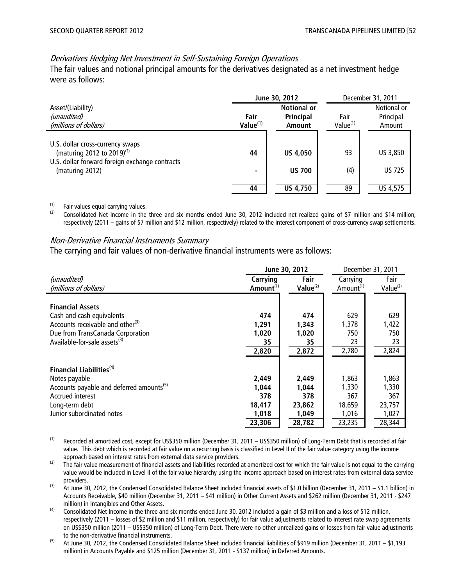#### Derivatives Hedging Net Investment in Self-Sustaining Foreign Operations

The fair values and notional principal amounts for the derivatives designated as a net investment hedge were as follows:

|                                                                                                                                                 |                     | June 30, 2012                                    |                              | December 31, 2011                  |
|-------------------------------------------------------------------------------------------------------------------------------------------------|---------------------|--------------------------------------------------|------------------------------|------------------------------------|
| Asset/(Liability)<br>(unaudited)<br>(millions of dollars)                                                                                       | Fair<br>Value $(1)$ | <b>Notional or</b><br>Principal<br><b>Amount</b> | Fair<br>Value <sup>(1)</sup> | Notional or<br>Principal<br>Amount |
| U.S. dollar cross-currency swaps<br>(maturing 2012 to 2019) <sup>(2)</sup><br>U.S. dollar forward foreign exchange contracts<br>(maturing 2012) | 44                  | <b>US 4,050</b><br><b>US 700</b>                 | 93<br>(4)                    | US 3,850<br><b>US 725</b>          |
|                                                                                                                                                 | 44                  | <b>US 4,750</b>                                  | 89                           | US 4,575                           |

 $\frac{1}{2}$  Fair values equal carrying values.

Consolidated Net Income in the three and six months ended June 30, 2012 included net realized gains of \$7 million and \$14 million, respectively (2011 – gains of \$7 million and \$12 million, respectively) related to the interest component of cross-currency swap settlements.

#### Non-Derivative Financial Instruments Summary

The carrying and fair values of non-derivative financial instruments were as follows:

|                                                      | June 30, 2012         | December 31, 2011 |                       |             |
|------------------------------------------------------|-----------------------|-------------------|-----------------------|-------------|
| (unaudited)                                          | Carrying              | Fair              | Carrying              | Fair        |
| (millions of dollars)                                | Amount <sup>(1)</sup> | Value $(2)$       | Amount <sup>(1)</sup> | Value $(2)$ |
|                                                      |                       |                   |                       |             |
| <b>Financial Assets</b>                              |                       |                   |                       |             |
| Cash and cash equivalents                            | 474                   | 474               | 629                   | 629         |
| Accounts receivable and other <sup>(3)</sup>         | 1,291                 | 1,343             | 1,378                 | 1,422       |
| Due from TransCanada Corporation                     | 1,020                 | 1,020             | 750                   | 750         |
| Available-for-sale assets <sup>(3)</sup>             | 35                    | 35                | 23                    | 23          |
|                                                      | 2,820                 | 2,872             | 2,780                 | 2,824       |
|                                                      |                       |                   |                       |             |
| Financial Liabilities <sup>(4)</sup>                 |                       |                   |                       |             |
| Notes payable                                        | 2,449                 | 2,449             | 1,863                 | 1,863       |
| Accounts payable and deferred amounts <sup>(5)</sup> | 1,044                 | 1.044             | 1,330                 | 1,330       |
| <b>Accrued interest</b>                              | 378                   | 378               | 367                   | 367         |
| Long-term debt                                       | 18,417                | 23,862            | 18,659                | 23,757      |
| Junior subordinated notes                            | 1,018                 | 1,049             | 1,016                 | 1,027       |
|                                                      | 23,306                | 28,782            | 23,235                | 28,344      |

(1) Recorded at amortized cost, except for US\$350 million (December 31, 2011 – US\$350 million) of Long-Term Debt that is recorded at fair value. This debt which is recorded at fair value on a recurring basis is classified in Level II of the fair value category using the income approach based on interest rates from external data service providers.

(2) The fair value measurement of financial assets and liabilities recorded at amortized cost for which the fair value is not equal to the carrying value would be included in Level II of the fair value hierarchy using the income approach based on interest rates from external data service providers.

(3) At June 30, 2012, the Condensed Consolidated Balance Sheet included financial assets of \$1.0 billion (December 31, 2011 – \$1.1 billion) in Accounts Receivable, \$40 million (December 31, 2011 – \$41 million) in Other Current Assets and \$262 million (December 31, 2011 - \$247 million) in Intangibles and Other Assets.

(4) Consolidated Net Income in the three and six months ended June 30, 2012 included a gain of \$3 million and a loss of \$12 million, respectively (2011 – losses of \$2 million and \$11 million, respectively) for fair value adjustments related to interest rate swap agreements on US\$350 million (2011 – US\$350 million) of Long-Term Debt. There were no other unrealized gains or losses from fair value adjustments to the non-derivative financial instruments.

<sup>(5)</sup> At June 30, 2012, the Condensed Consolidated Balance Sheet included financial liabilities of \$919 million (December 31, 2011 – \$1,193 million) in Accounts Payable and \$125 million (December 31, 2011 - \$137 million) in Deferred Amounts.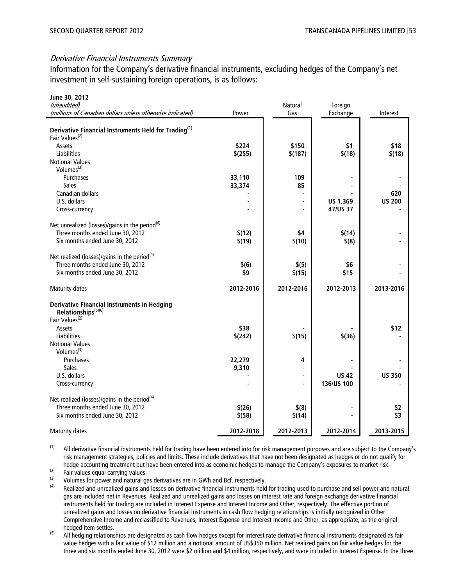#### Derivative Financial Instruments Summary

Information for the Company's derivative financial instruments, excluding hedges of the Company's net investment in self-sustaining foreign operations, is as follows:

| June 30, 2012<br>(unaudited)                                                                   |           | <b>Natural</b> | Foreign      |               |
|------------------------------------------------------------------------------------------------|-----------|----------------|--------------|---------------|
| (millions of Canadian dollars unless otherwise indicated)                                      | Power     | Gas            | Exchange     | Interest      |
| Derivative Financial Instruments Held for Trading <sup>(1)</sup><br>Fair Values <sup>(2)</sup> |           |                |              |               |
| Assets                                                                                         | \$224     | \$150          | \$1          | \$18          |
| Liabilities                                                                                    | \$(255)   | \$(187)        | \$(18)       | \$(18)        |
| <b>Notional Values</b>                                                                         |           |                |              |               |
| Volumes <sup>(3)</sup>                                                                         |           |                |              |               |
| Purchases                                                                                      | 33,110    | 109            |              |               |
| Sales                                                                                          | 33,374    | 85             |              |               |
| Canadian dollars                                                                               |           |                |              | 620           |
| U.S. dollars                                                                                   |           |                | US 1,369     | <b>US 200</b> |
| Cross-currency                                                                                 |           |                | 47/US 37     |               |
| Net unrealized (losses)/gains in the period <sup>(4)</sup>                                     |           |                |              |               |
| Three months ended June 30, 2012                                                               | \$(12)    | \$4            | \$(14)       |               |
| Six months ended June 30, 2012                                                                 | \$(19)    | \$(10)         | \$(8)        |               |
| Net realized (losses)/gains in the period <sup>(4)</sup>                                       |           |                |              |               |
| Three months ended June 30, 2012                                                               | \$(6)     | \$(5)          | \$6          |               |
| Six months ended June 30, 2012                                                                 | \$9       | \$(15)         | \$15         |               |
| <b>Maturity dates</b>                                                                          | 2012-2016 | 2012-2016      | 2012-2013    | 2013-2016     |
| <b>Derivative Financial Instruments in Hedging</b><br>Relationships <sup>(5)(6)</sup>          |           |                |              |               |
| Fair Values <sup>(2)</sup>                                                                     |           |                |              |               |
| Assets                                                                                         | \$38      |                |              | \$12          |
| Liabilities                                                                                    | \$(242)   | \$(15)         | \$(36)       |               |
| <b>Notional Values</b>                                                                         |           |                |              |               |
| Volumes <sup>(3)</sup>                                                                         |           |                |              |               |
| Purchases                                                                                      | 22,279    | 4              |              |               |
| <b>Sales</b>                                                                                   | 9,310     |                |              |               |
| U.S. dollars                                                                                   |           |                | <b>US 42</b> | <b>US 350</b> |
| Cross-currency                                                                                 |           |                | 136/US 100   |               |
| Net realized (losses)/gains in the period <sup>(4)</sup>                                       |           |                |              |               |
| Three months ended June 30, 2012                                                               | \$(26)    | \$(8)          |              | \$2           |
| Six months ended June 30, 2012                                                                 | \$(58)    | \$(14)         |              | \$3           |
| <b>Maturity dates</b>                                                                          | 2012-2018 | 2012-2013      | 2012-2014    | 2013-2015     |

 $<sup>(1)</sup>$  All derivative financial instruments held for trading have been entered into for risk management purposes and are subject to the Company's</sup> risk management strategies, policies and limits. These include derivatives that have not been designated as hedges or do not qualify for hedge accounting treatment but have been entered into as economic hedges to manage the Company's exposures to market risk.

 $\overrightarrow{c}$  Fair values equal carrying values.

 $\frac{(3)}{2}$  Volumes for power and natural gas derivatives are in GWh and Bcf, respectively.

- Realized and unrealized gains and losses on derivative financial instruments held for trading used to purchase and sell power and natural gas are included net in Revenues. Realized and unrealized gains and losses on interest rate and foreign exchange derivative financial instruments held for trading are included in Interest Expense and Interest Income and Other, respectively. The effective portion of unrealized gains and losses on derivative financial instruments in cash flow hedging relationships is initially recognized in Other Comprehensive Income and reclassified to Revenues, Interest Expense and Interest Income and Other, as appropriate, as the original hedged item settles.
- $<sup>(5)</sup>$  All hedging relationships are designated as cash flow hedges except for interest rate derivative financial instruments designated as fair</sup> value hedges with a fair value of \$12 million and a notional amount of US\$350 million. Net realized gains on fair value hedges for the three and six months ended June 30, 2012 were \$2 million and \$4 million, respectively, and were included in Interest Expense. In the three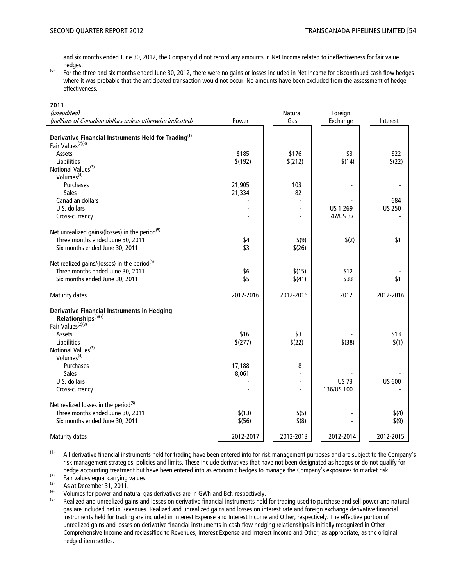**2011** 

and six months ended June 30, 2012, the Company did not record any amounts in Net Income related to ineffectiveness for fair value hedges.

(6) For the three and six months ended June 30, 2012, there were no gains or losses included in Net Income for discontinued cash flow hedges where it was probable that the anticipated transaction would not occur. No amounts have been excluded from the assessment of hedge effectiveness.

| 2011<br>(unaudited)<br>(millions of Canadian dollars unless otherwise indicated) | Power           | <b>Natural</b><br>Gas | Foreign<br>Exchange | Interest      |
|----------------------------------------------------------------------------------|-----------------|-----------------------|---------------------|---------------|
|                                                                                  |                 |                       |                     |               |
| Derivative Financial Instruments Held for Trading <sup>(1)</sup>                 |                 |                       |                     |               |
| Fair Values <sup>(2)(3)</sup>                                                    |                 |                       |                     |               |
| Assets                                                                           | \$185           | \$176                 | \$3                 | \$22          |
| Liabilities                                                                      | \$(192)         | \$(212)               | \$(14)              | \$(22)        |
| Notional Values <sup>(3)</sup><br>Volumes <sup>(4)</sup>                         |                 |                       |                     |               |
| Purchases                                                                        | 21,905          | 103                   |                     |               |
| Sales                                                                            | 21,334          | 82                    |                     |               |
| Canadian dollars                                                                 |                 | $\overline{a}$        |                     | 684           |
| U.S. dollars                                                                     |                 | $\overline{a}$        | US 1,269            | <b>US 250</b> |
| Cross-currency                                                                   |                 |                       | 47/US 37            |               |
| Net unrealized gains/(losses) in the period <sup>(5)</sup>                       |                 |                       |                     |               |
| Three months ended June 30, 2011                                                 | \$4             | \$(9)                 | \$(2)               | \$1           |
| Six months ended June 30, 2011                                                   | \$3             | \$(26)                |                     |               |
| Net realized gains/(losses) in the period <sup>(5)</sup>                         |                 |                       |                     |               |
| Three months ended June 30, 2011                                                 | \$6             | \$(15)                | \$12                |               |
| Six months ended June 30, 2011                                                   | \$5             | \$(41)                | \$33                | \$1           |
| <b>Maturity dates</b>                                                            | 2012-2016       | 2012-2016             | 2012                | 2012-2016     |
| <b>Derivative Financial Instruments in Hedging</b>                               |                 |                       |                     |               |
| Relationships <sup>(6)(7)</sup>                                                  |                 |                       |                     |               |
| Fair Values <sup>(2)(3)</sup>                                                    |                 |                       |                     |               |
| Assets<br>Liabilities                                                            | \$16<br>\$(277) | \$3<br>\$(22)         | $$$ (38)            | \$13<br>\$(1) |
| Notional Values <sup>(3)</sup>                                                   |                 |                       |                     |               |
| Volumes <sup>(4)</sup>                                                           |                 |                       |                     |               |
| Purchases                                                                        | 17,188          | 8                     |                     |               |
| <b>Sales</b>                                                                     | 8,061           |                       |                     |               |
| U.S. dollars                                                                     |                 | $\overline{a}$        | <b>US 73</b>        | <b>US 600</b> |
| Cross-currency                                                                   |                 | $\overline{a}$        | 136/US 100          |               |
| Net realized losses in the period <sup>(5)</sup>                                 |                 |                       |                     |               |
| Three months ended June 30, 2011                                                 | \$(13)          | \$(5)                 |                     | \$(4)         |
| Six months ended June 30, 2011                                                   | \$(56)          | \$(8)                 |                     | \$(9)         |
| <b>Maturity dates</b>                                                            | 2012-2017       | 2012-2013             | 2012-2014           | 2012-2015     |

<sup>(1)</sup> All derivative financial instruments held for trading have been entered into for risk management purposes and are subject to the Company's risk management strategies, policies and limits. These include derivatives that have not been designated as hedges or do not qualify for hedge accounting treatment but have been entered into as economic hedges to manage the Company's exposures to market risk.

 $(2)$  Fair values equal carrying values.<br> $(3)$  As at Desember 21, 2011.

 $^{(3)}$  As at December 31, 2011.

(4) Volumes for power and natural gas derivatives are in GWh and Bcf, respectively.<br>(5) Bealized and unrealized gains and losses on derivative financial instruments held

Realized and unrealized gains and losses on derivative financial instruments held for trading used to purchase and sell power and natural gas are included net in Revenues. Realized and unrealized gains and losses on interest rate and foreign exchange derivative financial instruments held for trading are included in Interest Expense and Interest Income and Other, respectively. The effective portion of unrealized gains and losses on derivative financial instruments in cash flow hedging relationships is initially recognized in Other Comprehensive Income and reclassified to Revenues, Interest Expense and Interest Income and Other, as appropriate, as the original hedged item settles.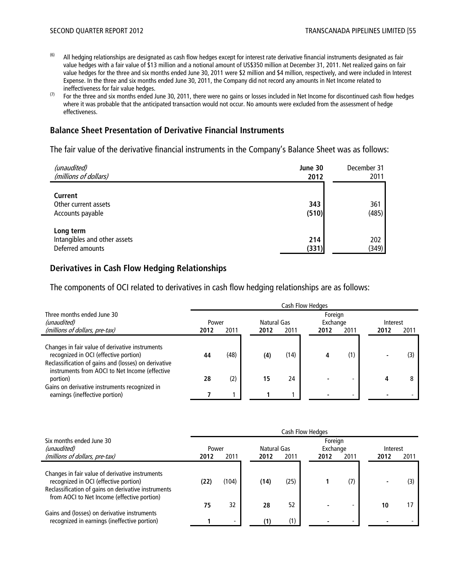- <sup>(6)</sup> All hedging relationships are designated as cash flow hedges except for interest rate derivative financial instruments designated as fair value hedges with a fair value of \$13 million and a notional amount of US\$350 million at December 31, 2011. Net realized gains on fair value hedges for the three and six months ended June 30, 2011 were \$2 million and \$4 million, respectively, and were included in Interest Expense. In the three and six months ended June 30, 2011, the Company did not record any amounts in Net Income related to ineffectiveness for fair value hedges.
- (7) For the three and six months ended June 30, 2011, there were no gains or losses included in Net Income for discontinued cash flow hedges where it was probable that the anticipated transaction would not occur. No amounts were excluded from the assessment of hedge effectiveness.

#### **Balance Sheet Presentation of Derivative Financial Instruments**

The fair value of the derivative financial instruments in the Company's Balance Sheet was as follows:

| (unaudited)<br>(millions of dollars)                          | June 30<br>2012 | December 31<br>2011 |
|---------------------------------------------------------------|-----------------|---------------------|
| Current<br>Other current assets<br>Accounts payable           | 343<br>(510)    | 361<br>(485)        |
| Long term<br>Intangibles and other assets<br>Deferred amounts | 214<br>(331)    | 202<br>(349)        |

#### **Derivatives in Cash Flow Hedging Relationships**

The components of OCI related to derivatives in cash flow hedging relationships are as follows:

|                                                                                                                                                 | Cash Flow Hedges |      |             |      |          |      |          |      |  |  |
|-------------------------------------------------------------------------------------------------------------------------------------------------|------------------|------|-------------|------|----------|------|----------|------|--|--|
| Three months ended June 30                                                                                                                      | Foreign          |      |             |      |          |      |          |      |  |  |
| (unaudited)                                                                                                                                     | Power            |      | Natural Gas |      | Exchange |      | Interest |      |  |  |
| (millions of dollars, pre-tax)                                                                                                                  | 2012             | 2011 | 2012        | 2011 | 2012     | 2011 | 2012     | 2011 |  |  |
| Changes in fair value of derivative instruments                                                                                                 |                  |      |             |      |          |      |          |      |  |  |
| recognized in OCI (effective portion)<br>Reclassification of gains and (losses) on derivative<br>instruments from AOCI to Net Income (effective | 44               | (48) | (4)         | (14) | 4        | (1)  |          |      |  |  |
| portion)                                                                                                                                        | 28               | (2)  | 15          | 24   |          |      |          |      |  |  |
| Gains on derivative instruments recognized in<br>earnings (ineffective portion)                                                                 |                  |      |             |      |          |      |          |      |  |  |

|                                                                                                                                                                                                | Cash Flow Hedges |       |      |             |          |      |          |      |  |
|------------------------------------------------------------------------------------------------------------------------------------------------------------------------------------------------|------------------|-------|------|-------------|----------|------|----------|------|--|
| Six months ended June 30                                                                                                                                                                       |                  |       |      |             | Foreign  |      |          |      |  |
| (unaudited)                                                                                                                                                                                    | Power            |       |      | Natural Gas | Exchange |      | Interest |      |  |
| (millions of dollars, pre-tax)                                                                                                                                                                 | 2012             | 2011  | 2012 | 2011        | 2012     | 2011 | 2012     | 2011 |  |
| Changes in fair value of derivative instruments<br>recognized in OCI (effective portion)<br>Reclassification of gains on derivative instruments<br>from AOCI to Net Income (effective portion) | (22)             | (104) | (14) | (25)        |          | (7)  |          |      |  |
|                                                                                                                                                                                                | 75               | 32    | 28   | 52          |          |      | 10       |      |  |
| Gains and (losses) on derivative instruments<br>recognized in earnings (ineffective portion)                                                                                                   |                  | -     | (1)  | (1)         |          |      |          |      |  |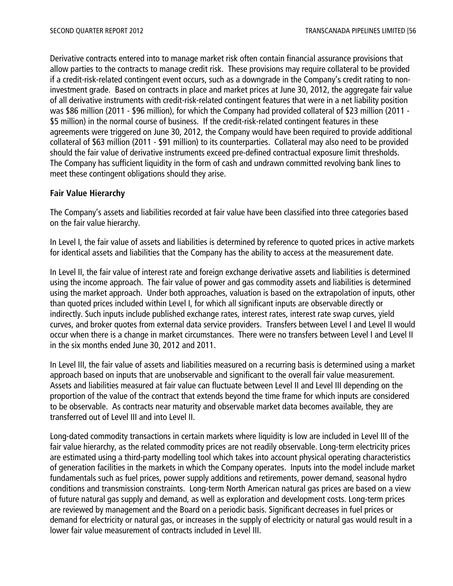Derivative contracts entered into to manage market risk often contain financial assurance provisions that allow parties to the contracts to manage credit risk. These provisions may require collateral to be provided if a credit-risk-related contingent event occurs, such as a downgrade in the Company's credit rating to noninvestment grade. Based on contracts in place and market prices at June 30, 2012, the aggregate fair value of all derivative instruments with credit-risk-related contingent features that were in a net liability position was \$86 million (2011 - \$96 million), for which the Company had provided collateral of \$23 million (2011 - \$5 million) in the normal course of business. If the credit-risk-related contingent features in these agreements were triggered on June 30, 2012, the Company would have been required to provide additional collateral of \$63 million (2011 - \$91 million) to its counterparties. Collateral may also need to be provided should the fair value of derivative instruments exceed pre-defined contractual exposure limit thresholds. The Company has sufficient liquidity in the form of cash and undrawn committed revolving bank lines to meet these contingent obligations should they arise.

# **Fair Value Hierarchy**

The Company's assets and liabilities recorded at fair value have been classified into three categories based on the fair value hierarchy.

In Level I, the fair value of assets and liabilities is determined by reference to quoted prices in active markets for identical assets and liabilities that the Company has the ability to access at the measurement date.

In Level II, the fair value of interest rate and foreign exchange derivative assets and liabilities is determined using the income approach. The fair value of power and gas commodity assets and liabilities is determined using the market approach. Under both approaches, valuation is based on the extrapolation of inputs, other than quoted prices included within Level I, for which all significant inputs are observable directly or indirectly. Such inputs include published exchange rates, interest rates, interest rate swap curves, yield curves, and broker quotes from external data service providers. Transfers between Level I and Level II would occur when there is a change in market circumstances. There were no transfers between Level I and Level II in the six months ended June 30, 2012 and 2011.

In Level III, the fair value of assets and liabilities measured on a recurring basis is determined using a market approach based on inputs that are unobservable and significant to the overall fair value measurement. Assets and liabilities measured at fair value can fluctuate between Level II and Level III depending on the proportion of the value of the contract that extends beyond the time frame for which inputs are considered to be observable. As contracts near maturity and observable market data becomes available, they are transferred out of Level III and into Level II.

Long-dated commodity transactions in certain markets where liquidity is low are included in Level III of the fair value hierarchy, as the related commodity prices are not readily observable. Long-term electricity prices are estimated using a third-party modelling tool which takes into account physical operating characteristics of generation facilities in the markets in which the Company operates. Inputs into the model include market fundamentals such as fuel prices, power supply additions and retirements, power demand, seasonal hydro conditions and transmission constraints. Long-term North American natural gas prices are based on a view of future natural gas supply and demand, as well as exploration and development costs. Long-term prices are reviewed by management and the Board on a periodic basis. Significant decreases in fuel prices or demand for electricity or natural gas, or increases in the supply of electricity or natural gas would result in a lower fair value measurement of contracts included in Level III.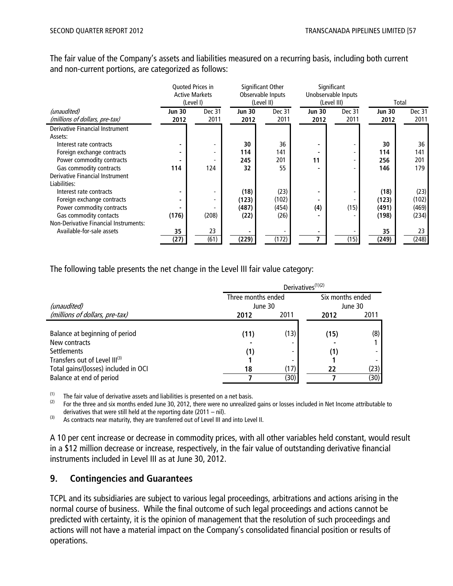The fair value of the Company's assets and liabilities measured on a recurring basis, including both current and non-current portions, are categorized as follows:

|                                              | <b>Ouoted Prices in</b><br><b>Active Markets</b> |           |               | Significant Other<br>Observable Inputs |               | Significant<br>Unobservable Inputs |               |        |  |
|----------------------------------------------|--------------------------------------------------|-----------|---------------|----------------------------------------|---------------|------------------------------------|---------------|--------|--|
|                                              |                                                  | (Level I) |               | (Level II)                             |               | (Level III)                        | Total         |        |  |
| (unaudited)                                  | Jun 30                                           | Dec 31    | <b>Jun 30</b> | Dec 31                                 | <b>Jun 30</b> | Dec 31                             | <b>Jun 30</b> | Dec 31 |  |
| (millions of dollars, pre-tax)               | 2012                                             | 2011      | 2012          | 2011                                   | 2012          | 2011                               | 2012          | 2011   |  |
| Derivative Financial Instrument              |                                                  |           |               |                                        |               |                                    |               |        |  |
| Assets:                                      |                                                  |           |               |                                        |               |                                    |               |        |  |
| Interest rate contracts                      |                                                  |           | 30            | 36                                     |               |                                    | 30            | 36     |  |
| Foreign exchange contracts                   |                                                  |           | 114           | 141                                    |               |                                    | 114           | 141    |  |
| Power commodity contracts                    |                                                  |           | 245           | 201                                    | 11            |                                    | 256           | 201    |  |
| Gas commodity contracts                      | 114                                              | 124       | 32            | 55                                     |               |                                    | 146           | 179    |  |
| Derivative Financial Instrument              |                                                  |           |               |                                        |               |                                    |               |        |  |
| Liabilities:                                 |                                                  |           |               |                                        |               |                                    |               |        |  |
| Interest rate contracts                      |                                                  |           | (18)          | (23)                                   |               |                                    | (18)          | (23)   |  |
| Foreign exchange contracts                   |                                                  |           | (123)         | (102)                                  |               |                                    | (123)         | (102)  |  |
| Power commodity contracts                    |                                                  |           | (487)         | (454)                                  | (4)           | (15)                               | (491)         | (469)  |  |
| Gas commodity contacts                       | (176)                                            | (208)     | (22)          | (26)                                   |               |                                    | (198)         | (234)  |  |
| <b>Non-Derivative Financial Instruments:</b> |                                                  |           |               |                                        |               |                                    |               |        |  |
| Available-for-sale assets                    | 35                                               | 23        |               |                                        |               |                                    | 35            | 23     |  |
|                                              | (27)                                             | (61)      | (229)         | (172)                                  |               | (15)                               | (249)         | (248)  |  |

The following table presents the net change in the Level III fair value category:

|                                      | Derivatives <sup>(1)(2)</sup> |                          |                  |         |  |  |  |  |
|--------------------------------------|-------------------------------|--------------------------|------------------|---------|--|--|--|--|
|                                      | Three months ended            |                          | Six months ended |         |  |  |  |  |
| (unaudited)                          | June 30                       |                          |                  | June 30 |  |  |  |  |
| (millions of dollars, pre-tax)       | 2012                          | 2011                     | 2012             | 2011    |  |  |  |  |
| Balance at beginning of period       | (11)                          | (13)                     | (15)             | (8)     |  |  |  |  |
| New contracts                        |                               |                          |                  |         |  |  |  |  |
| <b>Settlements</b>                   | (1)                           | $\overline{\phantom{0}}$ | (1)              |         |  |  |  |  |
| Transfers out of Level III(3)        |                               |                          |                  |         |  |  |  |  |
| Total gains/(losses) included in OCI | 18                            | (17)                     | 22               | (23)    |  |  |  |  |
| Balance at end of period             |                               | (30)                     |                  | (30)    |  |  |  |  |

 $(1)$  The fair value of derivative assets and liabilities is presented on a net basis.

 $(2)$  For the three and six months ended June 30, 2012, there were no unrealized gains or losses included in Net Income attributable to derivatives that were still held at the reporting date (2011 – nil).

 $(3)$  As contracts near maturity, they are transferred out of Level III and into Level II.

A 10 per cent increase or decrease in commodity prices, with all other variables held constant, would result in a \$12 million decrease or increase, respectively, in the fair value of outstanding derivative financial instruments included in Level III as at June 30, 2012.

#### **9. Contingencies and Guarantees**

TCPL and its subsidiaries are subject to various legal proceedings, arbitrations and actions arising in the normal course of business. While the final outcome of such legal proceedings and actions cannot be predicted with certainty, it is the opinion of management that the resolution of such proceedings and actions will not have a material impact on the Company's consolidated financial position or results of operations.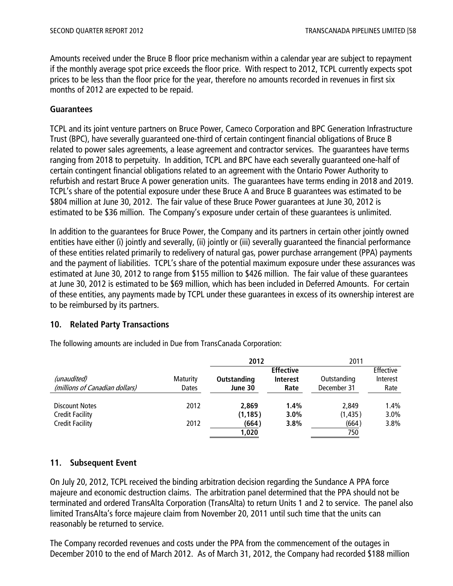Amounts received under the Bruce B floor price mechanism within a calendar year are subject to repayment if the monthly average spot price exceeds the floor price. With respect to 2012, TCPL currently expects spot prices to be less than the floor price for the year, therefore no amounts recorded in revenues in first six months of 2012 are expected to be repaid.

# **Guarantees**

TCPL and its joint venture partners on Bruce Power, Cameco Corporation and BPC Generation Infrastructure Trust (BPC), have severally guaranteed one-third of certain contingent financial obligations of Bruce B related to power sales agreements, a lease agreement and contractor services. The guarantees have terms ranging from 2018 to perpetuity. In addition, TCPL and BPC have each severally guaranteed one-half of certain contingent financial obligations related to an agreement with the Ontario Power Authority to refurbish and restart Bruce A power generation units. The guarantees have terms ending in 2018 and 2019. TCPL's share of the potential exposure under these Bruce A and Bruce B guarantees was estimated to be \$804 million at June 30, 2012. The fair value of these Bruce Power guarantees at June 30, 2012 is estimated to be \$36 million. The Company's exposure under certain of these guarantees is unlimited.

In addition to the guarantees for Bruce Power, the Company and its partners in certain other jointly owned entities have either (i) jointly and severally, (ii) jointly or (iii) severally guaranteed the financial performance of these entities related primarily to redelivery of natural gas, power purchase arrangement (PPA) payments and the payment of liabilities. TCPL's share of the potential maximum exposure under these assurances was estimated at June 30, 2012 to range from \$155 million to \$426 million. The fair value of these guarantees at June 30, 2012 is estimated to be \$69 million, which has been included in Deferred Amounts. For certain of these entities, any payments made by TCPL under these guarantees in excess of its ownership interest are to be reimbursed by its partners.

#### **10. Related Party Transactions**

The following amounts are included in Due from TransCanada Corporation:

|                 | 2012        |                  | 2011        |           |
|-----------------|-------------|------------------|-------------|-----------|
|                 |             | <b>Effective</b> |             | Effective |
| <b>Maturity</b> | Outstanding | <b>Interest</b>  | Outstanding | Interest  |
| Dates           | June 30     | Rate             | December 31 | Rate      |
|                 |             |                  |             |           |
| 2012            | 2,869       | 1.4%             | 2,849       | 1.4%      |
|                 | (1, 185)    | 3.0%             | (1, 435)    | 3.0%      |
| 2012            | (664)       | 3.8%             | (664)       | 3.8%      |
|                 | 1,020       |                  | 750         |           |
|                 |             |                  |             |           |

# **11. Subsequent Event**

On July 20, 2012, TCPL received the binding arbitration decision regarding the Sundance A PPA force majeure and economic destruction claims. The arbitration panel determined that the PPA should not be terminated and ordered TransAlta Corporation (TransAlta) to return Units 1 and 2 to service. The panel also limited TransAlta's force majeure claim from November 20, 2011 until such time that the units can reasonably be returned to service.

The Company recorded revenues and costs under the PPA from the commencement of the outages in December 2010 to the end of March 2012. As of March 31, 2012, the Company had recorded \$188 million